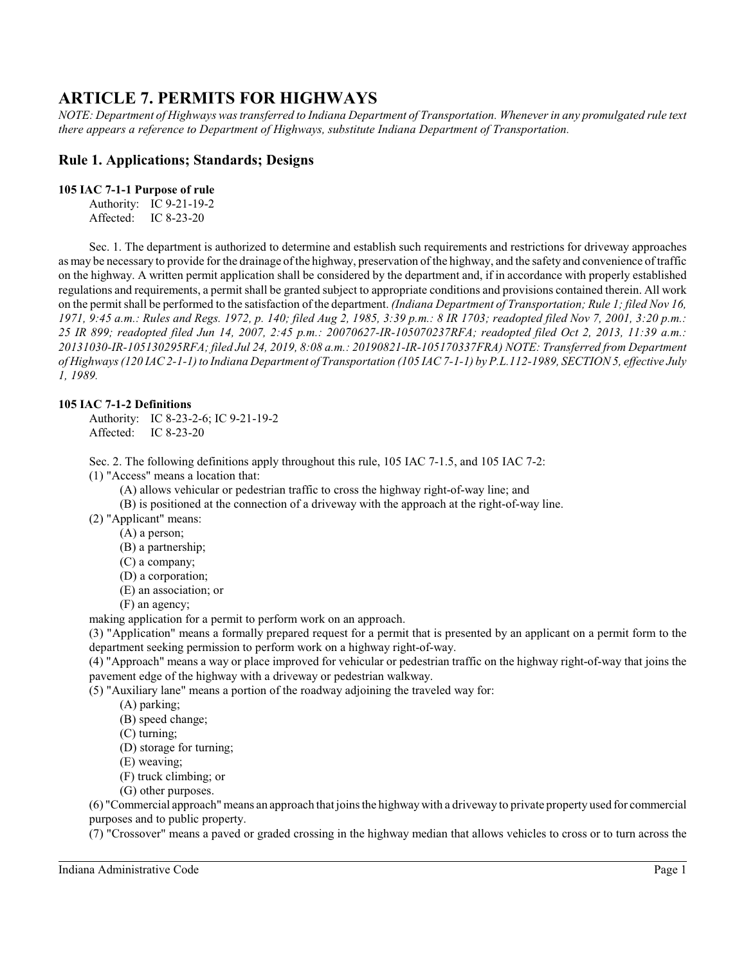# **ARTICLE 7. PERMITS FOR HIGHWAYS**

*NOTE: Department of Highways was transferred to Indiana Department of Transportation. Whenever in any promulgated rule text there appears a reference to Department of Highways, substitute Indiana Department of Transportation.*

# **Rule 1. Applications; Standards; Designs**

# **105 IAC 7-1-1 Purpose of rule**

Authority: IC 9-21-19-2 Affected: IC 8-23-20

Sec. 1. The department is authorized to determine and establish such requirements and restrictions for driveway approaches as may be necessary to provide for the drainage of the highway, preservation of the highway, and the safety and convenience of traffic on the highway. A written permit application shall be considered by the department and, if in accordance with properly established regulations and requirements, a permit shall be granted subject to appropriate conditions and provisions contained therein. All work on the permit shall be performed to the satisfaction of the department. *(Indiana Department of Transportation; Rule 1; filed Nov 16, 1971, 9:45 a.m.: Rules and Regs. 1972, p. 140; filed Aug 2, 1985, 3:39 p.m.: 8 IR 1703; readopted filed Nov 7, 2001, 3:20 p.m.: 25 IR 899; readopted filed Jun 14, 2007, 2:45 p.m.: 20070627-IR-105070237RFA; readopted filed Oct 2, 2013, 11:39 a.m.: 20131030-IR-105130295RFA; filed Jul 24, 2019, 8:08 a.m.: 20190821-IR-105170337FRA) NOTE: Transferred from Department of Highways (120 IAC 2-1-1) to Indiana Department of Transportation (105 IAC 7-1-1) by P.L.112-1989, SECTION 5, effective July 1, 1989.*

# **105 IAC 7-1-2 Definitions**

Authority: IC 8-23-2-6; IC 9-21-19-2 Affected: IC 8-23-20

Sec. 2. The following definitions apply throughout this rule, 105 IAC 7-1.5, and 105 IAC 7-2:

(1) "Access" means a location that:

(A) allows vehicular or pedestrian traffic to cross the highway right-of-way line; and

(B) is positioned at the connection of a driveway with the approach at the right-of-way line.

- (2) "Applicant" means:
	- (A) a person;

(B) a partnership;

- (C) a company;
- (D) a corporation;
- (E) an association; or
- (F) an agency;

making application for a permit to perform work on an approach.

(3) "Application" means a formally prepared request for a permit that is presented by an applicant on a permit form to the department seeking permission to perform work on a highway right-of-way.

(4) "Approach" means a way or place improved for vehicular or pedestrian traffic on the highway right-of-way that joins the pavement edge of the highway with a driveway or pedestrian walkway.

(5) "Auxiliary lane" means a portion of the roadway adjoining the traveled way for:

- (A) parking;
- (B) speed change;
- (C) turning;
- (D) storage for turning;
- (E) weaving;
- (F) truck climbing; or
- (G) other purposes.

(6) "Commercial approach" means an approach that joins the highway with a driveway to private property used for commercial purposes and to public property.

(7) "Crossover" means a paved or graded crossing in the highway median that allows vehicles to cross or to turn across the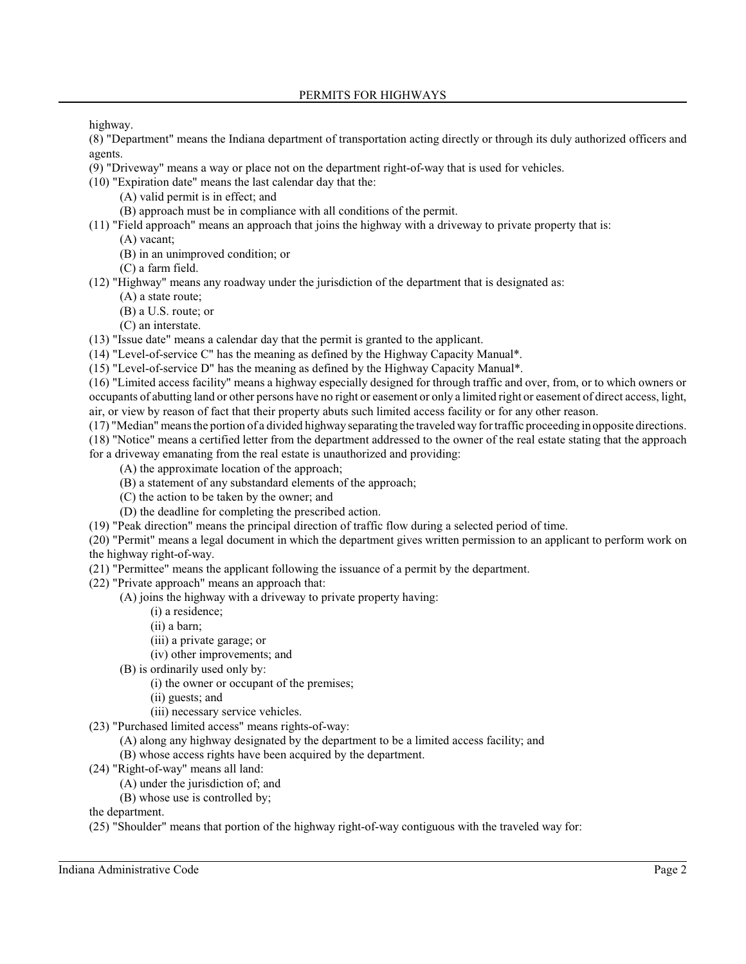highway.

(8) "Department" means the Indiana department of transportation acting directly or through its duly authorized officers and agents.

(9) "Driveway" means a way or place not on the department right-of-way that is used for vehicles.

(10) "Expiration date" means the last calendar day that the:

(A) valid permit is in effect; and

(B) approach must be in compliance with all conditions of the permit.

(11) "Field approach" means an approach that joins the highway with a driveway to private property that is:

(A) vacant;

(B) in an unimproved condition; or

(C) a farm field.

(12) "Highway" means any roadway under the jurisdiction of the department that is designated as:

(A) a state route;

(B) a U.S. route; or

(C) an interstate.

(13) "Issue date" means a calendar day that the permit is granted to the applicant.

(14) "Level-of-service C" has the meaning as defined by the Highway Capacity Manual\*.

(15) "Level-of-service D" has the meaning as defined by the Highway Capacity Manual\*.

(16) "Limited access facility" means a highway especially designed for through traffic and over, from, or to which owners or occupants of abutting land or other persons have no right or easement or only a limited right or easement of direct access, light, air, or view by reason of fact that their property abuts such limited access facility or for any other reason.

(17) "Median" means the portion of a divided highway separating the traveled way for traffic proceeding in opposite directions.

(18) "Notice" means a certified letter from the department addressed to the owner of the real estate stating that the approach for a driveway emanating from the real estate is unauthorized and providing:

(A) the approximate location of the approach;

(B) a statement of any substandard elements of the approach;

(C) the action to be taken by the owner; and

(D) the deadline for completing the prescribed action.

(19) "Peak direction" means the principal direction of traffic flow during a selected period of time.

(20) "Permit" means a legal document in which the department gives written permission to an applicant to perform work on the highway right-of-way.

(21) "Permittee" means the applicant following the issuance of a permit by the department.

(22) "Private approach" means an approach that:

(A) joins the highway with a driveway to private property having:

(i) a residence;

- (ii) a barn;
- (iii) a private garage; or
- (iv) other improvements; and

(B) is ordinarily used only by:

(i) the owner or occupant of the premises;

(ii) guests; and

(iii) necessary service vehicles.

(23) "Purchased limited access" means rights-of-way:

(A) along any highway designated by the department to be a limited access facility; and

(B) whose access rights have been acquired by the department.

(24) "Right-of-way" means all land:

(A) under the jurisdiction of; and

(B) whose use is controlled by;

the department.

(25) "Shoulder" means that portion of the highway right-of-way contiguous with the traveled way for: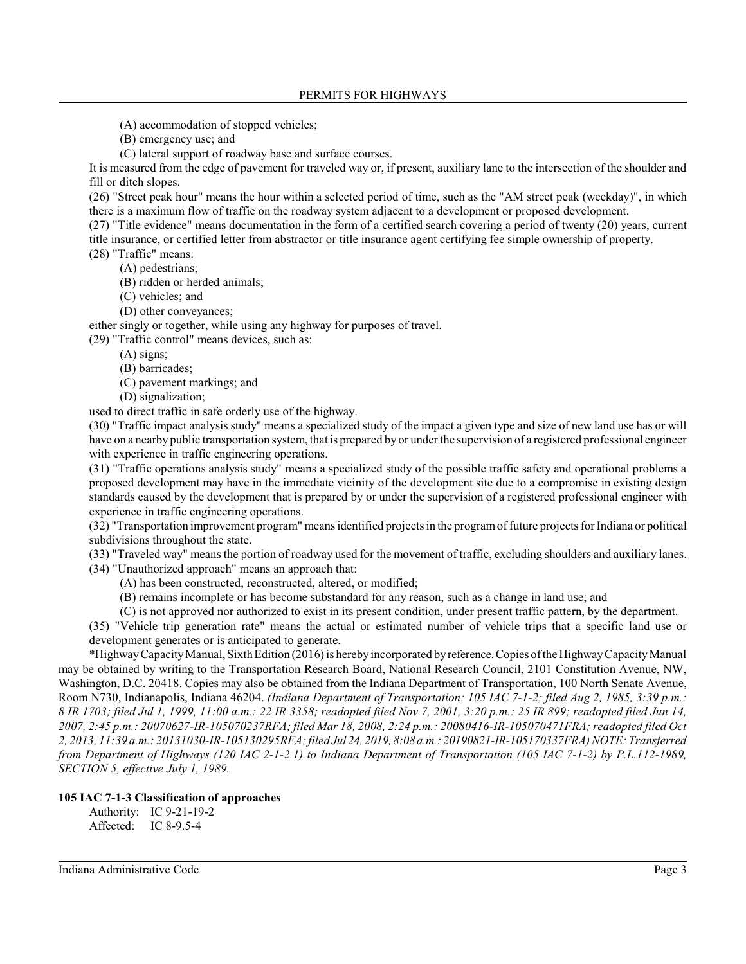- (A) accommodation of stopped vehicles;
- (B) emergency use; and
- (C) lateral support of roadway base and surface courses.

It is measured from the edge of pavement for traveled way or, if present, auxiliary lane to the intersection of the shoulder and fill or ditch slopes.

(26) "Street peak hour" means the hour within a selected period of time, such as the "AM street peak (weekday)", in which there is a maximum flow of traffic on the roadway system adjacent to a development or proposed development.

(27) "Title evidence" means documentation in the form of a certified search covering a period of twenty (20) years, current title insurance, or certified letter from abstractor or title insurance agent certifying fee simple ownership of property.

- (28) "Traffic" means:
	- (A) pedestrians;
	- (B) ridden or herded animals;
	- (C) vehicles; and
	- (D) other conveyances;

either singly or together, while using any highway for purposes of travel.

(29) "Traffic control" means devices, such as:

- (A) signs;
- (B) barricades;
- (C) pavement markings; and
- (D) signalization;

used to direct traffic in safe orderly use of the highway.

(30) "Traffic impact analysis study" means a specialized study of the impact a given type and size of new land use has or will have on a nearby public transportation system, that is prepared by or under the supervision of a registered professional engineer with experience in traffic engineering operations.

(31) "Traffic operations analysis study" means a specialized study of the possible traffic safety and operational problems a proposed development may have in the immediate vicinity of the development site due to a compromise in existing design standards caused by the development that is prepared by or under the supervision of a registered professional engineer with experience in traffic engineering operations.

(32) "Transportation improvement program" means identified projects in the programof future projects for Indiana or political subdivisions throughout the state.

(33) "Traveled way" means the portion of roadway used for the movement of traffic, excluding shoulders and auxiliary lanes.

- (34) "Unauthorized approach" means an approach that:
	- (A) has been constructed, reconstructed, altered, or modified;
	- (B) remains incomplete or has become substandard for any reason, such as a change in land use; and
	- (C) is not approved nor authorized to exist in its present condition, under present traffic pattern, by the department.

(35) "Vehicle trip generation rate" means the actual or estimated number of vehicle trips that a specific land use or development generates or is anticipated to generate.

\*HighwayCapacityManual, SixthEdition (2016)is hereby incorporated byreference. Copies of the HighwayCapacityManual may be obtained by writing to the Transportation Research Board, National Research Council, 2101 Constitution Avenue, NW, Washington, D.C. 20418. Copies may also be obtained from the Indiana Department of Transportation, 100 North Senate Avenue, Room N730, Indianapolis, Indiana 46204. *(Indiana Department of Transportation; 105 IAC 7-1-2; filed Aug 2, 1985, 3:39 p.m.: 8 IR 1703; filed Jul 1, 1999, 11:00 a.m.: 22 IR 3358; readopted filed Nov 7, 2001, 3:20 p.m.: 25 IR 899; readopted filed Jun 14, 2007, 2:45 p.m.: 20070627-IR-105070237RFA; filed Mar 18, 2008, 2:24 p.m.: 20080416-IR-105070471FRA; readopted filed Oct 2, 2013, 11:39 a.m.: 20131030-IR-105130295RFA; filed Jul 24, 2019, 8:08 a.m.: 20190821-IR-105170337FRA) NOTE: Transferred from Department of Highways (120 IAC 2-1-2.1) to Indiana Department of Transportation (105 IAC 7-1-2) by P.L.112-1989, SECTION 5, effective July 1, 1989.*

## **105 IAC 7-1-3 Classification of approaches**

Authority: IC 9-21-19-2 Affected: IC 8-9.5-4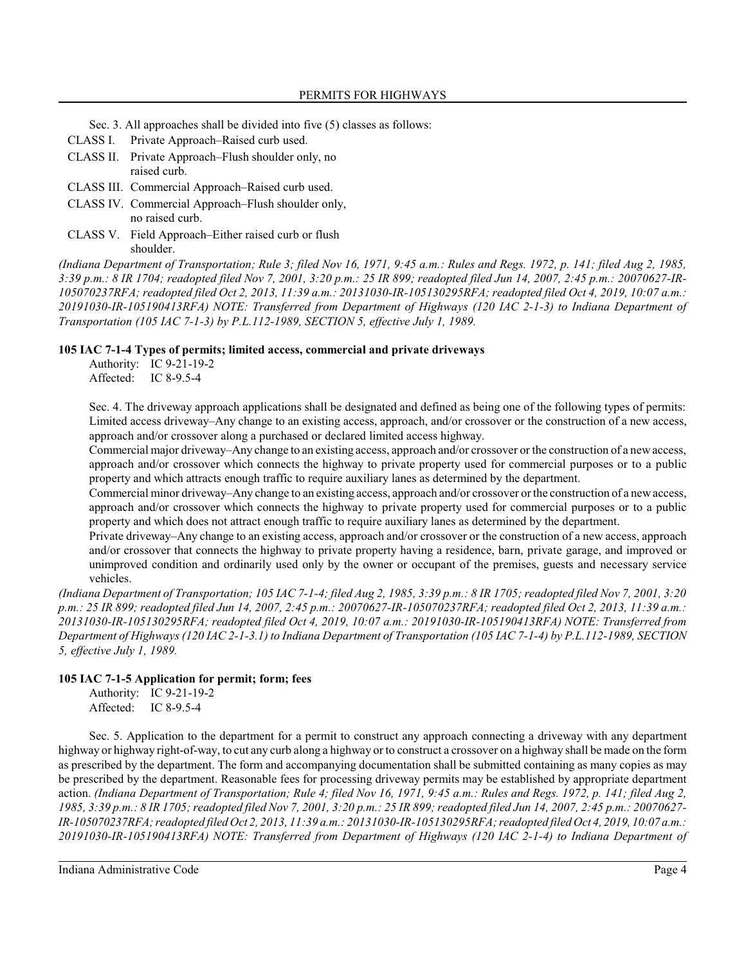Sec. 3. All approaches shall be divided into five (5) classes as follows:

- CLASS I. Private Approach–Raised curb used.
- CLASS II. Private Approach–Flush shoulder only, no raised curb.
- CLASS III. Commercial Approach–Raised curb used.
- CLASS IV. Commercial Approach–Flush shoulder only, no raised curb.
- CLASS V. Field Approach–Either raised curb or flush shoulder.

*(Indiana Department of Transportation; Rule 3; filed Nov 16, 1971, 9:45 a.m.: Rules and Regs. 1972, p. 141; filed Aug 2, 1985, 3:39 p.m.: 8 IR 1704; readopted filed Nov 7, 2001, 3:20 p.m.: 25 IR 899; readopted filed Jun 14, 2007, 2:45 p.m.: 20070627-IR-105070237RFA; readopted filed Oct 2, 2013, 11:39 a.m.: 20131030-IR-105130295RFA; readopted filed Oct 4, 2019, 10:07 a.m.: 20191030-IR-105190413RFA) NOTE: Transferred from Department of Highways (120 IAC 2-1-3) to Indiana Department of Transportation (105 IAC 7-1-3) by P.L.112-1989, SECTION 5, effective July 1, 1989.*

## **105 IAC 7-1-4 Types of permits; limited access, commercial and private driveways**

Authority: IC 9-21-19-2 Affected: IC 8-9.5-4

Sec. 4. The driveway approach applications shall be designated and defined as being one of the following types of permits: Limited access driveway–Any change to an existing access, approach, and/or crossover or the construction of a new access, approach and/or crossover along a purchased or declared limited access highway.

Commercial major driveway–Any change to an existing access, approach and/or crossover or the construction of a newaccess, approach and/or crossover which connects the highway to private property used for commercial purposes or to a public property and which attracts enough traffic to require auxiliary lanes as determined by the department.

Commercial minor driveway–Any change to an existing access, approach and/or crossover or the construction of a newaccess, approach and/or crossover which connects the highway to private property used for commercial purposes or to a public property and which does not attract enough traffic to require auxiliary lanes as determined by the department.

Private driveway–Any change to an existing access, approach and/or crossover or the construction of a new access, approach and/or crossover that connects the highway to private property having a residence, barn, private garage, and improved or unimproved condition and ordinarily used only by the owner or occupant of the premises, guests and necessary service vehicles.

*(Indiana Department of Transportation; 105 IAC 7-1-4; filed Aug 2, 1985, 3:39 p.m.: 8 IR 1705; readopted filed Nov 7, 2001, 3:20 p.m.: 25 IR 899; readopted filed Jun 14, 2007, 2:45 p.m.: 20070627-IR-105070237RFA; readopted filed Oct 2, 2013, 11:39 a.m.: 20131030-IR-105130295RFA; readopted filed Oct 4, 2019, 10:07 a.m.: 20191030-IR-105190413RFA) NOTE: Transferred from Department of Highways (120 IAC 2-1-3.1) to Indiana Department of Transportation (105 IAC 7-1-4) by P.L.112-1989, SECTION 5, effective July 1, 1989.*

## **105 IAC 7-1-5 Application for permit; form; fees**

Authority: IC 9-21-19-2 Affected: IC 8-9.5-4

Sec. 5. Application to the department for a permit to construct any approach connecting a driveway with any department highway or highway right-of-way, to cut any curb along a highway or to construct a crossover on a highway shall be made on the form as prescribed by the department. The form and accompanying documentation shall be submitted containing as many copies as may be prescribed by the department. Reasonable fees for processing driveway permits may be established by appropriate department action. *(Indiana Department of Transportation; Rule 4; filed Nov 16, 1971, 9:45 a.m.: Rules and Regs. 1972, p. 141; filed Aug 2, 1985, 3:39 p.m.: 8 IR 1705; readopted filed Nov 7, 2001, 3:20 p.m.: 25 IR 899; readopted filed Jun 14, 2007, 2:45 p.m.: 20070627- IR-105070237RFA; readopted filed Oct 2, 2013, 11:39 a.m.: 20131030-IR-105130295RFA; readopted filed Oct 4, 2019, 10:07 a.m.: 20191030-IR-105190413RFA) NOTE: Transferred from Department of Highways (120 IAC 2-1-4) to Indiana Department of*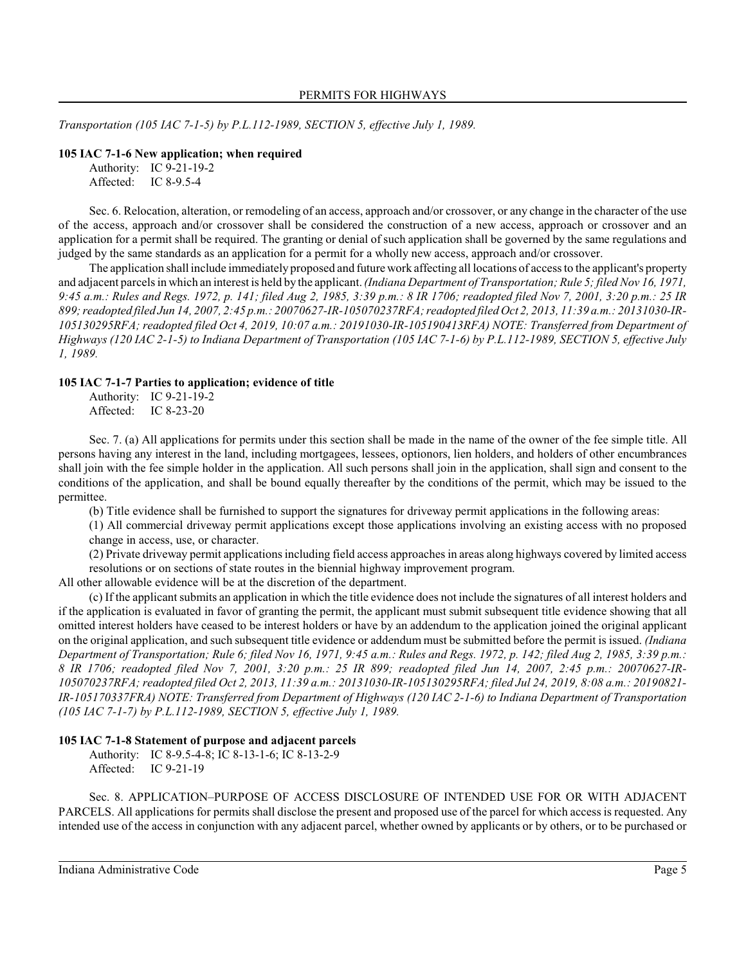*Transportation (105 IAC 7-1-5) by P.L.112-1989, SECTION 5, effective July 1, 1989.*

## **105 IAC 7-1-6 New application; when required**

```
Authority: IC 9-21-19-2
Affected: IC 8-9.5-4
```
Sec. 6. Relocation, alteration, or remodeling of an access, approach and/or crossover, or any change in the character of the use of the access, approach and/or crossover shall be considered the construction of a new access, approach or crossover and an application for a permit shall be required. The granting or denial of such application shall be governed by the same regulations and judged by the same standards as an application for a permit for a wholly new access, approach and/or crossover.

The application shall include immediately proposed and future work affecting all locations of access to the applicant's property and adjacent parcels in which an interest is held by the applicant. *(Indiana Department of Transportation; Rule 5; filed Nov 16, 1971, 9:45 a.m.: Rules and Regs. 1972, p. 141; filed Aug 2, 1985, 3:39 p.m.: 8 IR 1706; readopted filed Nov 7, 2001, 3:20 p.m.: 25 IR 899;readopted filed Jun 14, 2007, 2:45 p.m.: 20070627-IR-105070237RFA; readopted filed Oct 2, 2013, 11:39 a.m.: 20131030-IR-105130295RFA; readopted filed Oct 4, 2019, 10:07 a.m.: 20191030-IR-105190413RFA) NOTE: Transferred from Department of Highways (120 IAC 2-1-5) to Indiana Department of Transportation (105 IAC 7-1-6) by P.L.112-1989, SECTION 5, effective July 1, 1989.*

## **105 IAC 7-1-7 Parties to application; evidence of title**

Authority: IC 9-21-19-2 Affected: IC 8-23-20

Sec. 7. (a) All applications for permits under this section shall be made in the name of the owner of the fee simple title. All persons having any interest in the land, including mortgagees, lessees, optionors, lien holders, and holders of other encumbrances shall join with the fee simple holder in the application. All such persons shall join in the application, shall sign and consent to the conditions of the application, and shall be bound equally thereafter by the conditions of the permit, which may be issued to the permittee.

(b) Title evidence shall be furnished to support the signatures for driveway permit applications in the following areas:

(1) All commercial driveway permit applications except those applications involving an existing access with no proposed change in access, use, or character.

(2) Private driveway permit applications including field access approaches in areas along highways covered by limited access resolutions or on sections of state routes in the biennial highway improvement program.

All other allowable evidence will be at the discretion of the department.

(c) If the applicant submits an application in which the title evidence does not include the signatures of all interest holders and if the application is evaluated in favor of granting the permit, the applicant must submit subsequent title evidence showing that all omitted interest holders have ceased to be interest holders or have by an addendum to the application joined the original applicant on the original application, and such subsequent title evidence or addendum must be submitted before the permit is issued. *(Indiana Department of Transportation; Rule 6; filed Nov 16, 1971, 9:45 a.m.: Rules and Regs. 1972, p. 142; filed Aug 2, 1985, 3:39 p.m.: 8 IR 1706; readopted filed Nov 7, 2001, 3:20 p.m.: 25 IR 899; readopted filed Jun 14, 2007, 2:45 p.m.: 20070627-IR-105070237RFA; readopted filed Oct 2, 2013, 11:39 a.m.: 20131030-IR-105130295RFA; filed Jul 24, 2019, 8:08 a.m.: 20190821- IR-105170337FRA) NOTE: Transferred from Department of Highways (120 IAC 2-1-6) to Indiana Department of Transportation (105 IAC 7-1-7) by P.L.112-1989, SECTION 5, effective July 1, 1989.*

# **105 IAC 7-1-8 Statement of purpose and adjacent parcels**

Authority: IC 8-9.5-4-8; IC 8-13-1-6; IC 8-13-2-9 Affected: IC 9-21-19

Sec. 8. APPLICATION–PURPOSE OF ACCESS DISCLOSURE OF INTENDED USE FOR OR WITH ADJACENT PARCELS. All applications for permits shall disclose the present and proposed use of the parcel for which access is requested. Any intended use of the access in conjunction with any adjacent parcel, whether owned by applicants or by others, or to be purchased or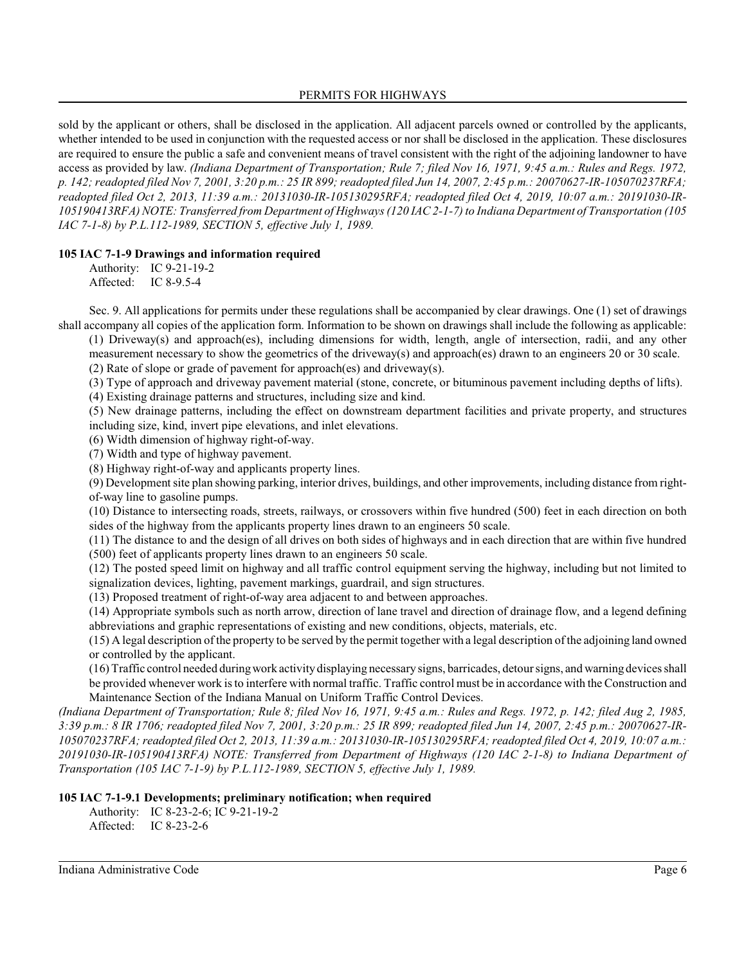sold by the applicant or others, shall be disclosed in the application. All adjacent parcels owned or controlled by the applicants, whether intended to be used in conjunction with the requested access or nor shall be disclosed in the application. These disclosures are required to ensure the public a safe and convenient means of travel consistent with the right of the adjoining landowner to have access as provided by law. *(Indiana Department of Transportation; Rule 7; filed Nov 16, 1971, 9:45 a.m.: Rules and Regs. 1972, p. 142; readopted filed Nov 7, 2001, 3:20 p.m.: 25 IR 899; readopted filed Jun 14, 2007, 2:45 p.m.: 20070627-IR-105070237RFA; readopted filed Oct 2, 2013, 11:39 a.m.: 20131030-IR-105130295RFA; readopted filed Oct 4, 2019, 10:07 a.m.: 20191030-IR-105190413RFA) NOTE: Transferred from Department of Highways (120 IAC 2-1-7) to Indiana Department of Transportation (105 IAC 7-1-8) by P.L.112-1989, SECTION 5, effective July 1, 1989.*

#### **105 IAC 7-1-9 Drawings and information required**

Authority: IC 9-21-19-2 Affected: IC 8-9.5-4

Sec. 9. All applications for permits under these regulations shall be accompanied by clear drawings. One (1) set of drawings shall accompany all copies of the application form. Information to be shown on drawings shall include the following as applicable:

(1) Driveway(s) and approach(es), including dimensions for width, length, angle of intersection, radii, and any other measurement necessary to show the geometrics of the driveway(s) and approach(es) drawn to an engineers 20 or 30 scale. (2) Rate of slope or grade of pavement for approach(es) and driveway(s).

(3) Type of approach and driveway pavement material (stone, concrete, or bituminous pavement including depths of lifts).

(4) Existing drainage patterns and structures, including size and kind.

(5) New drainage patterns, including the effect on downstream department facilities and private property, and structures including size, kind, invert pipe elevations, and inlet elevations.

(6) Width dimension of highway right-of-way.

(7) Width and type of highway pavement.

(8) Highway right-of-way and applicants property lines.

(9) Development site plan showing parking, interior drives, buildings, and other improvements, including distance from rightof-way line to gasoline pumps.

(10) Distance to intersecting roads, streets, railways, or crossovers within five hundred (500) feet in each direction on both sides of the highway from the applicants property lines drawn to an engineers 50 scale.

(11) The distance to and the design of all drives on both sides of highways and in each direction that are within five hundred (500) feet of applicants property lines drawn to an engineers 50 scale.

(12) The posted speed limit on highway and all traffic control equipment serving the highway, including but not limited to signalization devices, lighting, pavement markings, guardrail, and sign structures.

(13) Proposed treatment of right-of-way area adjacent to and between approaches.

(14) Appropriate symbols such as north arrow, direction of lane travel and direction of drainage flow, and a legend defining abbreviations and graphic representations of existing and new conditions, objects, materials, etc.

(15) A legal description of the property to be served by the permit together with a legal description of the adjoining land owned or controlled by the applicant.

(16) Traffic control needed during work activitydisplaying necessary signs, barricades, detour signs, and warning devices shall be provided whenever work is to interfere with normal traffic. Traffic control must be in accordance with the Construction and Maintenance Section of the Indiana Manual on Uniform Traffic Control Devices.

*(Indiana Department of Transportation; Rule 8; filed Nov 16, 1971, 9:45 a.m.: Rules and Regs. 1972, p. 142; filed Aug 2, 1985, 3:39 p.m.: 8 IR 1706; readopted filed Nov 7, 2001, 3:20 p.m.: 25 IR 899; readopted filed Jun 14, 2007, 2:45 p.m.: 20070627-IR-105070237RFA; readopted filed Oct 2, 2013, 11:39 a.m.: 20131030-IR-105130295RFA; readopted filed Oct 4, 2019, 10:07 a.m.: 20191030-IR-105190413RFA) NOTE: Transferred from Department of Highways (120 IAC 2-1-8) to Indiana Department of Transportation (105 IAC 7-1-9) by P.L.112-1989, SECTION 5, effective July 1, 1989.*

#### **105 IAC 7-1-9.1 Developments; preliminary notification; when required**

Authority: IC 8-23-2-6; IC 9-21-19-2 Affected: IC 8-23-2-6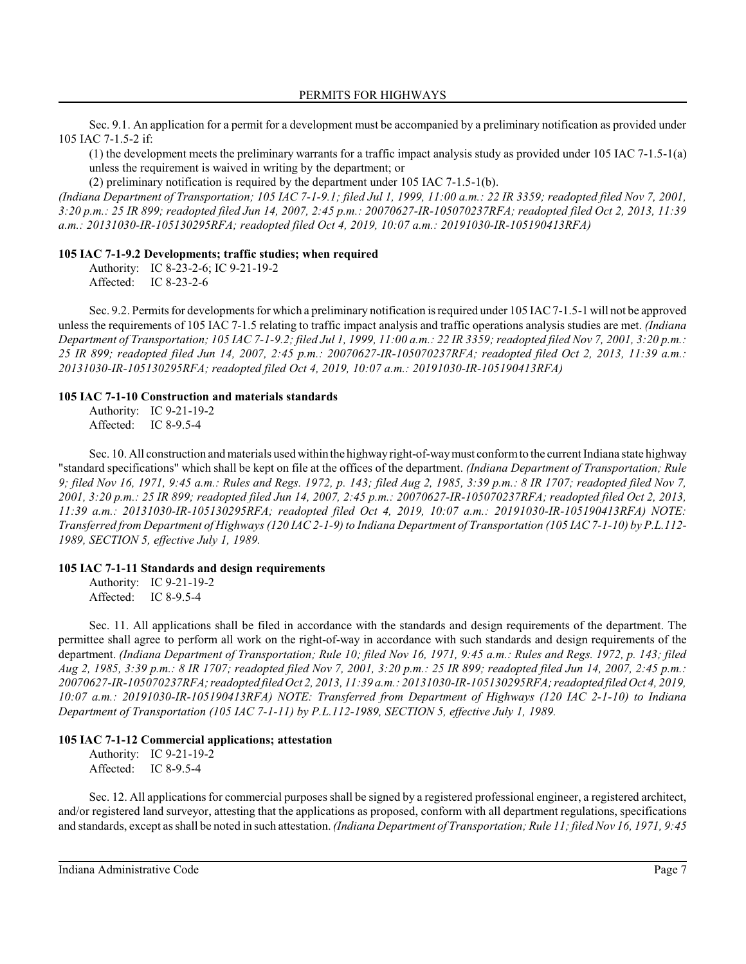Sec. 9.1. An application for a permit for a development must be accompanied by a preliminary notification as provided under 105 IAC 7-1.5-2 if:

(1) the development meets the preliminary warrants for a traffic impact analysis study as provided under 105 IAC 7-1.5-1(a) unless the requirement is waived in writing by the department; or

(2) preliminary notification is required by the department under 105 IAC 7-1.5-1(b).

*(Indiana Department of Transportation; 105 IAC 7-1-9.1; filed Jul 1, 1999, 11:00 a.m.: 22 IR 3359; readopted filed Nov 7, 2001, 3:20 p.m.: 25 IR 899; readopted filed Jun 14, 2007, 2:45 p.m.: 20070627-IR-105070237RFA; readopted filed Oct 2, 2013, 11:39 a.m.: 20131030-IR-105130295RFA; readopted filed Oct 4, 2019, 10:07 a.m.: 20191030-IR-105190413RFA)*

#### **105 IAC 7-1-9.2 Developments; traffic studies; when required**

Authority: IC 8-23-2-6; IC 9-21-19-2 Affected: IC 8-23-2-6

Sec. 9.2. Permits for developments for which a preliminary notification is required under 105 IAC7-1.5-1 will not be approved unless the requirements of 105 IAC 7-1.5 relating to traffic impact analysis and traffic operations analysis studies are met. *(Indiana Department of Transportation; 105 IAC 7-1-9.2; filed Jul 1, 1999, 11:00 a.m.: 22 IR 3359; readopted filed Nov 7, 2001, 3:20 p.m.: 25 IR 899; readopted filed Jun 14, 2007, 2:45 p.m.: 20070627-IR-105070237RFA; readopted filed Oct 2, 2013, 11:39 a.m.: 20131030-IR-105130295RFA; readopted filed Oct 4, 2019, 10:07 a.m.: 20191030-IR-105190413RFA)*

#### **105 IAC 7-1-10 Construction and materials standards**

Authority: IC 9-21-19-2 Affected: IC 8-9.5-4

Sec. 10. All construction and materials used within the highway right-of-waymust conformto the current Indiana state highway "standard specifications" which shall be kept on file at the offices of the department. *(Indiana Department of Transportation; Rule 9; filed Nov 16, 1971, 9:45 a.m.: Rules and Regs. 1972, p. 143; filed Aug 2, 1985, 3:39 p.m.: 8 IR 1707; readopted filed Nov 7, 2001, 3:20 p.m.: 25 IR 899; readopted filed Jun 14, 2007, 2:45 p.m.: 20070627-IR-105070237RFA; readopted filed Oct 2, 2013, 11:39 a.m.: 20131030-IR-105130295RFA; readopted filed Oct 4, 2019, 10:07 a.m.: 20191030-IR-105190413RFA) NOTE: Transferred from Department of Highways (120 IAC 2-1-9) to Indiana Department of Transportation (105 IAC 7-1-10) by P.L.112- 1989, SECTION 5, effective July 1, 1989.*

## **105 IAC 7-1-11 Standards and design requirements**

Authority: IC 9-21-19-2 Affected: IC 8-9.5-4

Sec. 11. All applications shall be filed in accordance with the standards and design requirements of the department. The permittee shall agree to perform all work on the right-of-way in accordance with such standards and design requirements of the department. *(Indiana Department of Transportation; Rule 10; filed Nov 16, 1971, 9:45 a.m.: Rules and Regs. 1972, p. 143; filed Aug 2, 1985, 3:39 p.m.: 8 IR 1707; readopted filed Nov 7, 2001, 3:20 p.m.: 25 IR 899; readopted filed Jun 14, 2007, 2:45 p.m.: 20070627-IR-105070237RFA; readopted filed Oct 2, 2013, 11:39 a.m.: 20131030-IR-105130295RFA; readopted filed Oct 4, 2019, 10:07 a.m.: 20191030-IR-105190413RFA) NOTE: Transferred from Department of Highways (120 IAC 2-1-10) to Indiana Department of Transportation (105 IAC 7-1-11) by P.L.112-1989, SECTION 5, effective July 1, 1989.*

## **105 IAC 7-1-12 Commercial applications; attestation**

Authority: IC 9-21-19-2 Affected: IC 8-9.5-4

Sec. 12. All applications for commercial purposes shall be signed by a registered professional engineer, a registered architect, and/or registered land surveyor, attesting that the applications as proposed, conform with all department regulations, specifications and standards, except as shall be noted in such attestation. *(Indiana Department of Transportation; Rule 11; filed Nov 16, 1971, 9:45*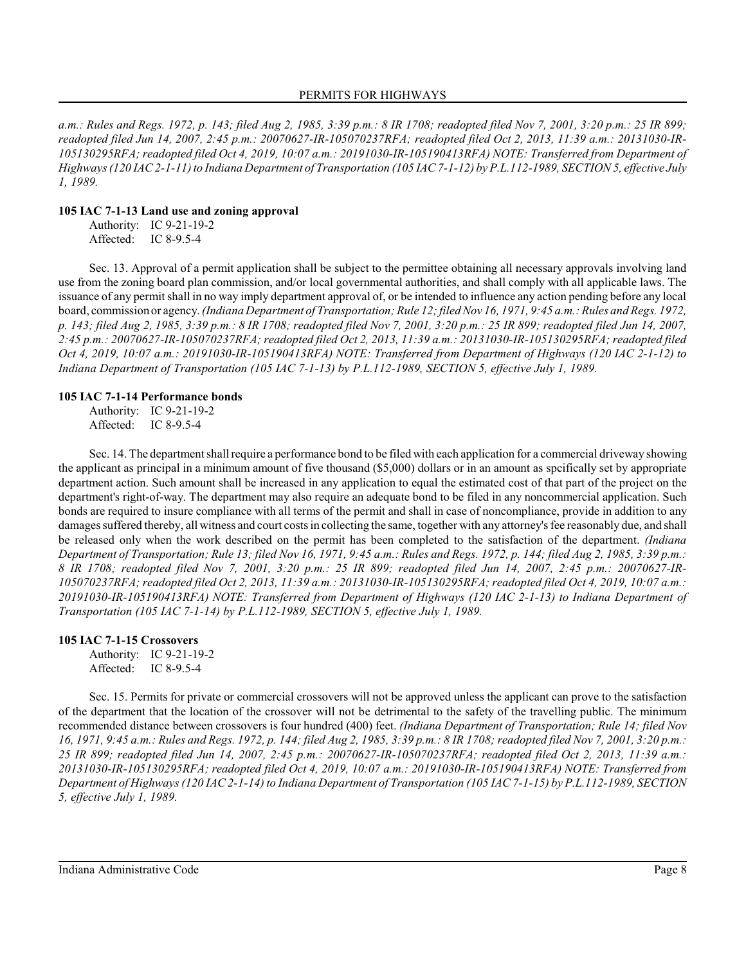*a.m.: Rules and Regs. 1972, p. 143; filed Aug 2, 1985, 3:39 p.m.: 8 IR 1708; readopted filed Nov 7, 2001, 3:20 p.m.: 25 IR 899; readopted filed Jun 14, 2007, 2:45 p.m.: 20070627-IR-105070237RFA; readopted filed Oct 2, 2013, 11:39 a.m.: 20131030-IR-105130295RFA; readopted filed Oct 4, 2019, 10:07 a.m.: 20191030-IR-105190413RFA) NOTE: Transferred from Department of Highways (120 IAC 2-1-11) to Indiana Department of Transportation (105 IAC 7-1-12) by P.L.112-1989, SECTION 5, effective July 1, 1989.*

#### **105 IAC 7-1-13 Land use and zoning approval**

Authority: IC 9-21-19-2 Affected: IC 8-9.5-4

Sec. 13. Approval of a permit application shall be subject to the permittee obtaining all necessary approvals involving land use from the zoning board plan commission, and/or local governmental authorities, and shall comply with all applicable laws. The issuance of any permit shall in no way imply department approval of, or be intended to influence any action pending before any local board, commission or agency. *(Indiana Department of Transportation; Rule 12; filed Nov 16, 1971, 9:45 a.m.: Rules and Regs. 1972, p. 143; filed Aug 2, 1985, 3:39 p.m.: 8 IR 1708; readopted filed Nov 7, 2001, 3:20 p.m.: 25 IR 899; readopted filed Jun 14, 2007, 2:45 p.m.: 20070627-IR-105070237RFA; readopted filed Oct 2, 2013, 11:39 a.m.: 20131030-IR-105130295RFA; readopted filed Oct 4, 2019, 10:07 a.m.: 20191030-IR-105190413RFA) NOTE: Transferred from Department of Highways (120 IAC 2-1-12) to Indiana Department of Transportation (105 IAC 7-1-13) by P.L.112-1989, SECTION 5, effective July 1, 1989.*

#### **105 IAC 7-1-14 Performance bonds**

Authority: IC 9-21-19-2 Affected: IC 8-9.5-4

Sec. 14. The department shall require a performance bond to be filed with each application for a commercial driveway showing the applicant as principal in a minimum amount of five thousand (\$5,000) dollars or in an amount as spcifically set by appropriate department action. Such amount shall be increased in any application to equal the estimated cost of that part of the project on the department's right-of-way. The department may also require an adequate bond to be filed in any noncommercial application. Such bonds are required to insure compliance with all terms of the permit and shall in case of noncompliance, provide in addition to any damages suffered thereby, all witness and court costs in collecting the same, together with any attorney's fee reasonably due, and shall be released only when the work described on the permit has been completed to the satisfaction of the department. *(Indiana Department of Transportation; Rule 13; filed Nov 16, 1971, 9:45 a.m.: Rules and Regs. 1972, p. 144; filed Aug 2, 1985, 3:39 p.m.: 8 IR 1708; readopted filed Nov 7, 2001, 3:20 p.m.: 25 IR 899; readopted filed Jun 14, 2007, 2:45 p.m.: 20070627-IR-105070237RFA; readopted filed Oct 2, 2013, 11:39 a.m.: 20131030-IR-105130295RFA; readopted filed Oct 4, 2019, 10:07 a.m.: 20191030-IR-105190413RFA) NOTE: Transferred from Department of Highways (120 IAC 2-1-13) to Indiana Department of Transportation (105 IAC 7-1-14) by P.L.112-1989, SECTION 5, effective July 1, 1989.*

## **105 IAC 7-1-15 Crossovers**

Authority: IC 9-21-19-2 Affected: IC 8-9.5-4

Sec. 15. Permits for private or commercial crossovers will not be approved unless the applicant can prove to the satisfaction of the department that the location of the crossover will not be detrimental to the safety of the travelling public. The minimum recommended distance between crossovers is four hundred (400) feet. *(Indiana Department of Transportation; Rule 14; filed Nov 16, 1971, 9:45 a.m.: Rules and Regs. 1972, p. 144; filed Aug 2, 1985, 3:39 p.m.: 8 IR 1708; readopted filed Nov 7, 2001, 3:20 p.m.: 25 IR 899; readopted filed Jun 14, 2007, 2:45 p.m.: 20070627-IR-105070237RFA; readopted filed Oct 2, 2013, 11:39 a.m.: 20131030-IR-105130295RFA; readopted filed Oct 4, 2019, 10:07 a.m.: 20191030-IR-105190413RFA) NOTE: Transferred from Department of Highways (120 IAC 2-1-14) to Indiana Department of Transportation (105 IAC 7-1-15) by P.L.112-1989, SECTION 5, effective July 1, 1989.*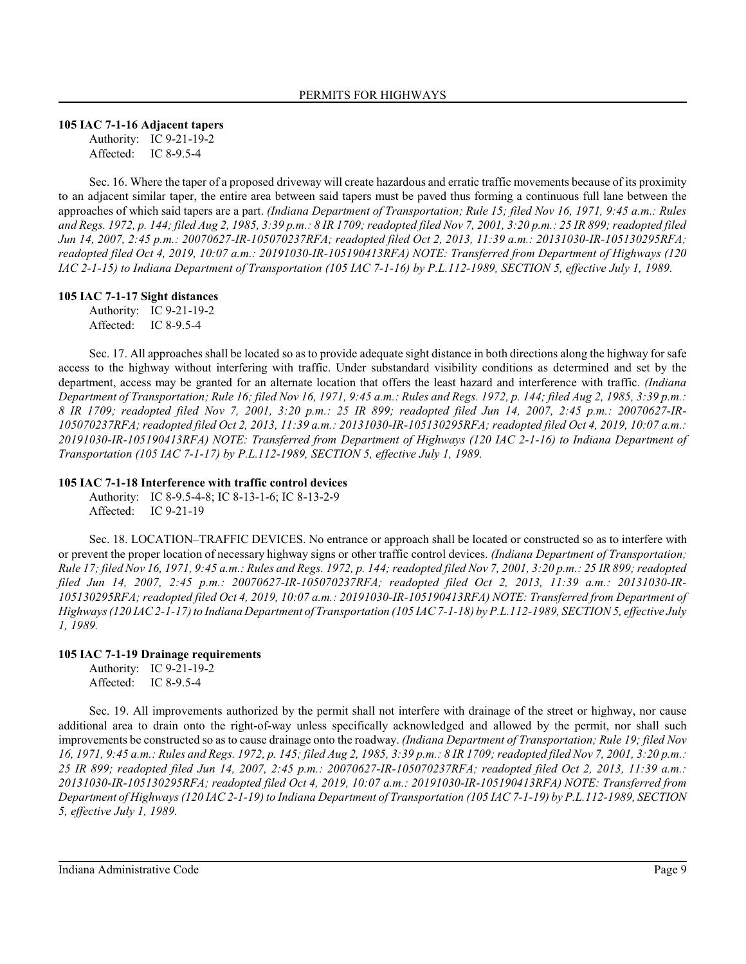#### **105 IAC 7-1-16 Adjacent tapers**

Authority: IC 9-21-19-2 Affected: IC 8-9.5-4

Sec. 16. Where the taper of a proposed driveway will create hazardous and erratic traffic movements because of its proximity to an adjacent similar taper, the entire area between said tapers must be paved thus forming a continuous full lane between the approaches of which said tapers are a part. *(Indiana Department of Transportation; Rule 15; filed Nov 16, 1971, 9:45 a.m.: Rules and Regs. 1972, p. 144; filed Aug 2, 1985, 3:39 p.m.: 8 IR 1709; readopted filed Nov 7, 2001, 3:20 p.m.: 25 IR 899; readopted filed Jun 14, 2007, 2:45 p.m.: 20070627-IR-105070237RFA; readopted filed Oct 2, 2013, 11:39 a.m.: 20131030-IR-105130295RFA; readopted filed Oct 4, 2019, 10:07 a.m.: 20191030-IR-105190413RFA) NOTE: Transferred from Department of Highways (120 IAC 2-1-15) to Indiana Department of Transportation (105 IAC 7-1-16) by P.L.112-1989, SECTION 5, effective July 1, 1989.*

#### **105 IAC 7-1-17 Sight distances**

Authority: IC 9-21-19-2 Affected: IC 8-9.5-4

Sec. 17. All approaches shall be located so as to provide adequate sight distance in both directions along the highway for safe access to the highway without interfering with traffic. Under substandard visibility conditions as determined and set by the department, access may be granted for an alternate location that offers the least hazard and interference with traffic. *(Indiana Department of Transportation; Rule 16; filed Nov 16, 1971, 9:45 a.m.: Rules and Regs. 1972, p. 144; filed Aug 2, 1985, 3:39 p.m.: 8 IR 1709; readopted filed Nov 7, 2001, 3:20 p.m.: 25 IR 899; readopted filed Jun 14, 2007, 2:45 p.m.: 20070627-IR-105070237RFA; readopted filed Oct 2, 2013, 11:39 a.m.: 20131030-IR-105130295RFA; readopted filed Oct 4, 2019, 10:07 a.m.: 20191030-IR-105190413RFA) NOTE: Transferred from Department of Highways (120 IAC 2-1-16) to Indiana Department of Transportation (105 IAC 7-1-17) by P.L.112-1989, SECTION 5, effective July 1, 1989.*

**105 IAC 7-1-18 Interference with traffic control devices**

Authority: IC 8-9.5-4-8; IC 8-13-1-6; IC 8-13-2-9 Affected: IC 9-21-19

Sec. 18. LOCATION–TRAFFIC DEVICES. No entrance or approach shall be located or constructed so as to interfere with or prevent the proper location of necessary highway signs or other traffic control devices. *(Indiana Department of Transportation; Rule 17; filed Nov 16, 1971, 9:45 a.m.: Rules and Regs. 1972, p. 144; readopted filed Nov 7, 2001, 3:20 p.m.: 25 IR 899;readopted filed Jun 14, 2007, 2:45 p.m.: 20070627-IR-105070237RFA; readopted filed Oct 2, 2013, 11:39 a.m.: 20131030-IR-105130295RFA; readopted filed Oct 4, 2019, 10:07 a.m.: 20191030-IR-105190413RFA) NOTE: Transferred from Department of Highways (120 IAC 2-1-17) to Indiana Department of Transportation (105 IAC 7-1-18) by P.L.112-1989, SECTION 5, effective July 1, 1989.*

## **105 IAC 7-1-19 Drainage requirements**

Authority: IC 9-21-19-2 Affected: IC 8-9.5-4

Sec. 19. All improvements authorized by the permit shall not interfere with drainage of the street or highway, nor cause additional area to drain onto the right-of-way unless specifically acknowledged and allowed by the permit, nor shall such improvements be constructed so as to cause drainage onto the roadway. *(Indiana Department of Transportation; Rule 19; filed Nov 16, 1971, 9:45 a.m.: Rules and Regs. 1972, p. 145; filed Aug 2, 1985, 3:39 p.m.: 8 IR 1709; readopted filed Nov 7, 2001, 3:20 p.m.: 25 IR 899; readopted filed Jun 14, 2007, 2:45 p.m.: 20070627-IR-105070237RFA; readopted filed Oct 2, 2013, 11:39 a.m.: 20131030-IR-105130295RFA; readopted filed Oct 4, 2019, 10:07 a.m.: 20191030-IR-105190413RFA) NOTE: Transferred from Department of Highways (120 IAC 2-1-19) to Indiana Department of Transportation (105 IAC 7-1-19) by P.L.112-1989, SECTION 5, effective July 1, 1989.*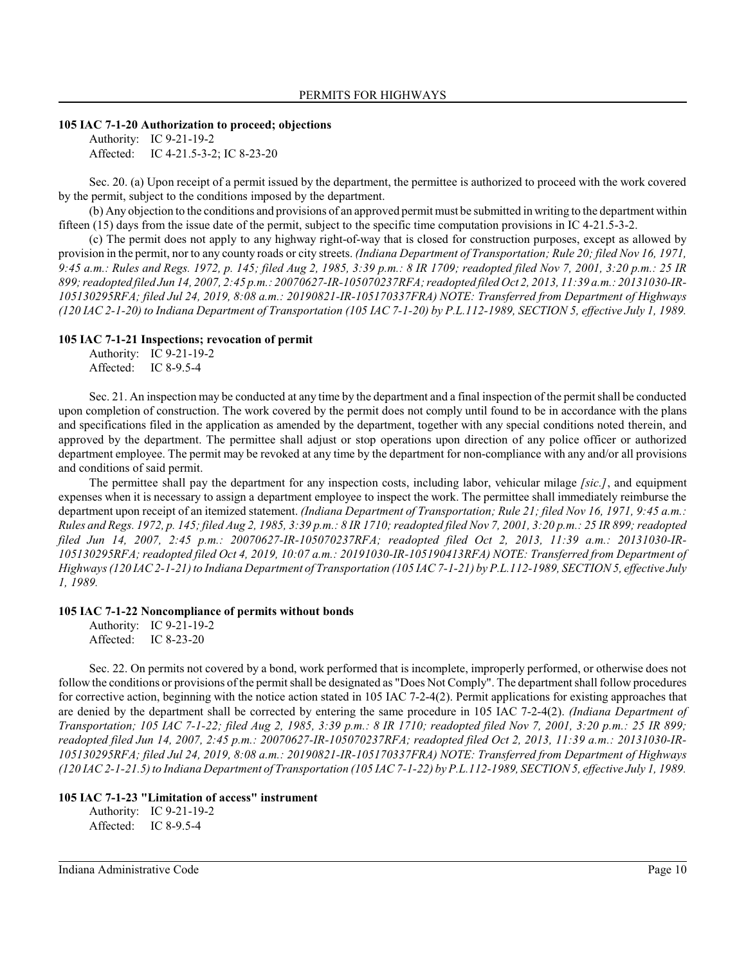#### **105 IAC 7-1-20 Authorization to proceed; objections**

Authority: IC 9-21-19-2 Affected: IC 4-21.5-3-2; IC 8-23-20

Sec. 20. (a) Upon receipt of a permit issued by the department, the permittee is authorized to proceed with the work covered by the permit, subject to the conditions imposed by the department.

(b) Any objection to the conditions and provisions of an approved permit must be submitted in writing to the department within fifteen (15) days from the issue date of the permit, subject to the specific time computation provisions in IC 4-21.5-3-2.

(c) The permit does not apply to any highway right-of-way that is closed for construction purposes, except as allowed by provision in the permit, nor to any county roads or city streets. *(Indiana Department of Transportation; Rule 20; filed Nov 16, 1971, 9:45 a.m.: Rules and Regs. 1972, p. 145; filed Aug 2, 1985, 3:39 p.m.: 8 IR 1709; readopted filed Nov 7, 2001, 3:20 p.m.: 25 IR 899;readopted filed Jun 14, 2007, 2:45 p.m.: 20070627-IR-105070237RFA; readopted filed Oct 2, 2013, 11:39 a.m.: 20131030-IR-105130295RFA; filed Jul 24, 2019, 8:08 a.m.: 20190821-IR-105170337FRA) NOTE: Transferred from Department of Highways (120 IAC 2-1-20) to Indiana Department of Transportation (105 IAC 7-1-20) by P.L.112-1989, SECTION 5, effective July 1, 1989.*

#### **105 IAC 7-1-21 Inspections; revocation of permit**

Authority: IC 9-21-19-2 Affected: IC 8-9.5-4

Sec. 21. An inspection may be conducted at any time by the department and a final inspection of the permit shall be conducted upon completion of construction. The work covered by the permit does not comply until found to be in accordance with the plans and specifications filed in the application as amended by the department, together with any special conditions noted therein, and approved by the department. The permittee shall adjust or stop operations upon direction of any police officer or authorized department employee. The permit may be revoked at any time by the department for non-compliance with any and/or all provisions and conditions of said permit.

The permittee shall pay the department for any inspection costs, including labor, vehicular milage *[sic.]*, and equipment expenses when it is necessary to assign a department employee to inspect the work. The permittee shall immediately reimburse the department upon receipt of an itemized statement. *(Indiana Department of Transportation; Rule 21; filed Nov 16, 1971, 9:45 a.m.: Rules and Regs. 1972, p. 145; filed Aug 2, 1985, 3:39 p.m.: 8 IR 1710; readopted filed Nov 7, 2001, 3:20 p.m.: 25 IR 899;readopted filed Jun 14, 2007, 2:45 p.m.: 20070627-IR-105070237RFA; readopted filed Oct 2, 2013, 11:39 a.m.: 20131030-IR-105130295RFA; readopted filed Oct 4, 2019, 10:07 a.m.: 20191030-IR-105190413RFA) NOTE: Transferred from Department of Highways (120 IAC 2-1-21) to Indiana Department of Transportation (105 IAC 7-1-21) by P.L.112-1989, SECTION 5, effective July 1, 1989.*

#### **105 IAC 7-1-22 Noncompliance of permits without bonds**

Authority: IC 9-21-19-2 Affected: IC 8-23-20

Sec. 22. On permits not covered by a bond, work performed that is incomplete, improperly performed, or otherwise does not follow the conditions or provisions of the permit shall be designated as "Does Not Comply". The department shall follow procedures for corrective action, beginning with the notice action stated in 105 IAC 7-2-4(2). Permit applications for existing approaches that are denied by the department shall be corrected by entering the same procedure in 105 IAC 7-2-4(2). *(Indiana Department of Transportation; 105 IAC 7-1-22; filed Aug 2, 1985, 3:39 p.m.: 8 IR 1710; readopted filed Nov 7, 2001, 3:20 p.m.: 25 IR 899; readopted filed Jun 14, 2007, 2:45 p.m.: 20070627-IR-105070237RFA; readopted filed Oct 2, 2013, 11:39 a.m.: 20131030-IR-105130295RFA; filed Jul 24, 2019, 8:08 a.m.: 20190821-IR-105170337FRA) NOTE: Transferred from Department of Highways (120 IAC 2-1-21.5) to Indiana Department of Transportation (105 IAC 7-1-22) by P.L.112-1989, SECTION 5, effective July 1, 1989.*

#### **105 IAC 7-1-23 "Limitation of access" instrument**

Authority: IC 9-21-19-2 Affected: IC 8-9.5-4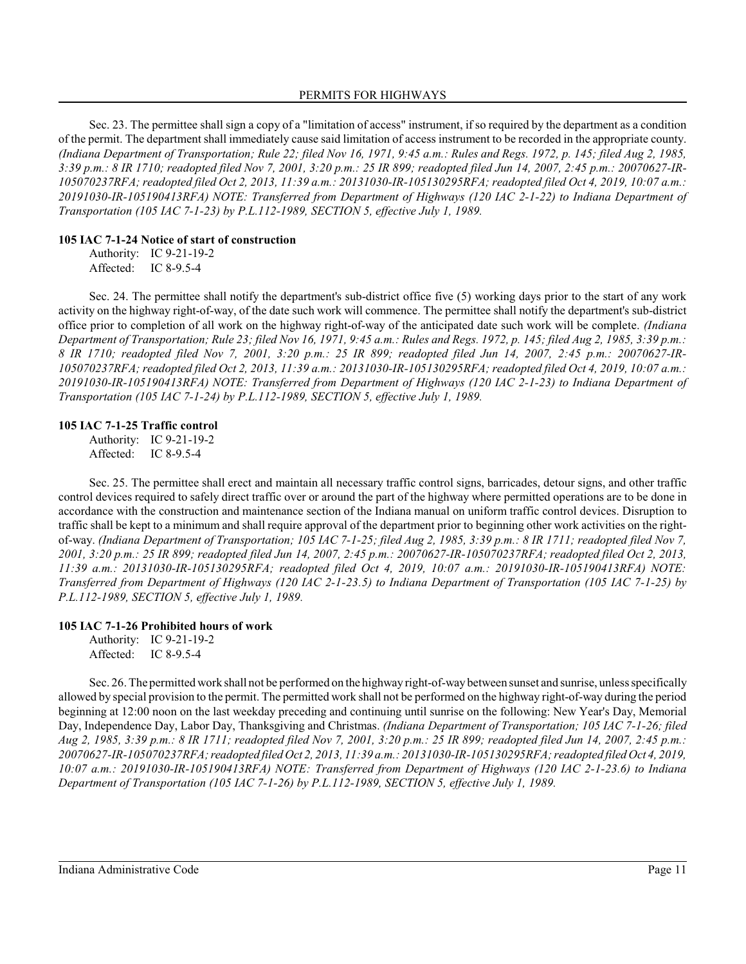Sec. 23. The permittee shall sign a copy of a "limitation of access" instrument, if so required by the department as a condition of the permit. The department shall immediately cause said limitation of access instrument to be recorded in the appropriate county. *(Indiana Department of Transportation; Rule 22; filed Nov 16, 1971, 9:45 a.m.: Rules and Regs. 1972, p. 145; filed Aug 2, 1985, 3:39 p.m.: 8 IR 1710; readopted filed Nov 7, 2001, 3:20 p.m.: 25 IR 899; readopted filed Jun 14, 2007, 2:45 p.m.: 20070627-IR-105070237RFA; readopted filed Oct 2, 2013, 11:39 a.m.: 20131030-IR-105130295RFA; readopted filed Oct 4, 2019, 10:07 a.m.: 20191030-IR-105190413RFA) NOTE: Transferred from Department of Highways (120 IAC 2-1-22) to Indiana Department of Transportation (105 IAC 7-1-23) by P.L.112-1989, SECTION 5, effective July 1, 1989.*

#### **105 IAC 7-1-24 Notice of start of construction**

Authority: IC 9-21-19-2 Affected: IC 8-9.5-4

Sec. 24. The permittee shall notify the department's sub-district office five (5) working days prior to the start of any work activity on the highway right-of-way, of the date such work will commence. The permittee shall notify the department's sub-district office prior to completion of all work on the highway right-of-way of the anticipated date such work will be complete. *(Indiana Department of Transportation; Rule 23; filed Nov 16, 1971, 9:45 a.m.: Rules and Regs. 1972, p. 145; filed Aug 2, 1985, 3:39 p.m.: 8 IR 1710; readopted filed Nov 7, 2001, 3:20 p.m.: 25 IR 899; readopted filed Jun 14, 2007, 2:45 p.m.: 20070627-IR-105070237RFA; readopted filed Oct 2, 2013, 11:39 a.m.: 20131030-IR-105130295RFA; readopted filed Oct 4, 2019, 10:07 a.m.: 20191030-IR-105190413RFA) NOTE: Transferred from Department of Highways (120 IAC 2-1-23) to Indiana Department of Transportation (105 IAC 7-1-24) by P.L.112-1989, SECTION 5, effective July 1, 1989.*

#### **105 IAC 7-1-25 Traffic control**

Authority: IC 9-21-19-2 Affected: IC 8-9.5-4

Sec. 25. The permittee shall erect and maintain all necessary traffic control signs, barricades, detour signs, and other traffic control devices required to safely direct traffic over or around the part of the highway where permitted operations are to be done in accordance with the construction and maintenance section of the Indiana manual on uniform traffic control devices. Disruption to traffic shall be kept to a minimum and shall require approval of the department prior to beginning other work activities on the rightof-way. *(Indiana Department of Transportation; 105 IAC 7-1-25; filed Aug 2, 1985, 3:39 p.m.: 8 IR 1711; readopted filed Nov 7, 2001, 3:20 p.m.: 25 IR 899; readopted filed Jun 14, 2007, 2:45 p.m.: 20070627-IR-105070237RFA; readopted filed Oct 2, 2013, 11:39 a.m.: 20131030-IR-105130295RFA; readopted filed Oct 4, 2019, 10:07 a.m.: 20191030-IR-105190413RFA) NOTE: Transferred from Department of Highways (120 IAC 2-1-23.5) to Indiana Department of Transportation (105 IAC 7-1-25) by P.L.112-1989, SECTION 5, effective July 1, 1989.*

## **105 IAC 7-1-26 Prohibited hours of work**

Authority: IC 9-21-19-2 Affected: IC 8-9.5-4

Sec. 26. The permitted work shall not be performed on the highway right-of-way between sunset and sunrise, unless specifically allowed by special provision to the permit. The permitted work shall not be performed on the highway right-of-way during the period beginning at 12:00 noon on the last weekday preceding and continuing until sunrise on the following: New Year's Day, Memorial Day, Independence Day, Labor Day, Thanksgiving and Christmas. *(Indiana Department of Transportation; 105 IAC 7-1-26; filed Aug 2, 1985, 3:39 p.m.: 8 IR 1711; readopted filed Nov 7, 2001, 3:20 p.m.: 25 IR 899; readopted filed Jun 14, 2007, 2:45 p.m.: 20070627-IR-105070237RFA; readopted filed Oct 2, 2013, 11:39 a.m.: 20131030-IR-105130295RFA; readopted filed Oct 4, 2019, 10:07 a.m.: 20191030-IR-105190413RFA) NOTE: Transferred from Department of Highways (120 IAC 2-1-23.6) to Indiana Department of Transportation (105 IAC 7-1-26) by P.L.112-1989, SECTION 5, effective July 1, 1989.*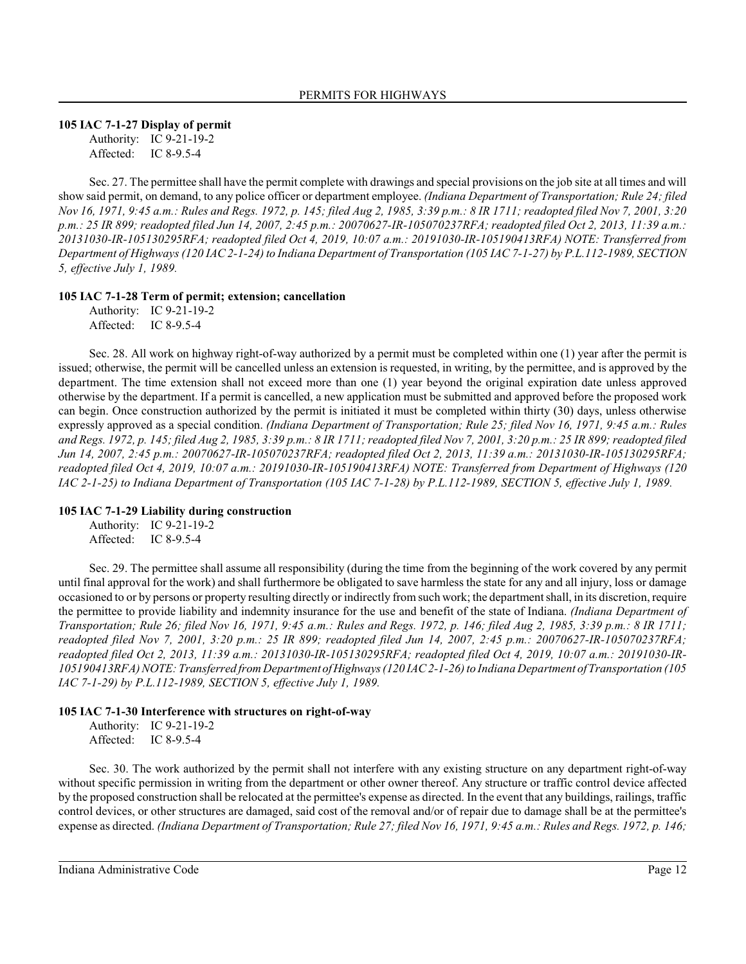**105 IAC 7-1-27 Display of permit**

Authority: IC 9-21-19-2 Affected: IC 8-9.5-4

Sec. 27. The permittee shall have the permit complete with drawings and special provisions on the job site at all times and will show said permit, on demand, to any police officer or department employee. *(Indiana Department of Transportation; Rule 24; filed Nov 16, 1971, 9:45 a.m.: Rules and Regs. 1972, p. 145; filed Aug 2, 1985, 3:39 p.m.: 8 IR 1711; readopted filed Nov 7, 2001, 3:20 p.m.: 25 IR 899; readopted filed Jun 14, 2007, 2:45 p.m.: 20070627-IR-105070237RFA; readopted filed Oct 2, 2013, 11:39 a.m.: 20131030-IR-105130295RFA; readopted filed Oct 4, 2019, 10:07 a.m.: 20191030-IR-105190413RFA) NOTE: Transferred from Department of Highways (120 IAC 2-1-24) to Indiana Department of Transportation (105 IAC 7-1-27) by P.L.112-1989, SECTION 5, effective July 1, 1989.*

#### **105 IAC 7-1-28 Term of permit; extension; cancellation**

Authority: IC 9-21-19-2 Affected: IC 8-9.5-4

Sec. 28. All work on highway right-of-way authorized by a permit must be completed within one (1) year after the permit is issued; otherwise, the permit will be cancelled unless an extension is requested, in writing, by the permittee, and is approved by the department. The time extension shall not exceed more than one (1) year beyond the original expiration date unless approved otherwise by the department. If a permit is cancelled, a new application must be submitted and approved before the proposed work can begin. Once construction authorized by the permit is initiated it must be completed within thirty (30) days, unless otherwise expressly approved as a special condition. *(Indiana Department of Transportation; Rule 25; filed Nov 16, 1971, 9:45 a.m.: Rules and Regs. 1972, p. 145; filed Aug 2, 1985, 3:39 p.m.: 8 IR 1711; readopted filed Nov 7, 2001, 3:20 p.m.: 25 IR 899; readopted filed Jun 14, 2007, 2:45 p.m.: 20070627-IR-105070237RFA; readopted filed Oct 2, 2013, 11:39 a.m.: 20131030-IR-105130295RFA; readopted filed Oct 4, 2019, 10:07 a.m.: 20191030-IR-105190413RFA) NOTE: Transferred from Department of Highways (120 IAC 2-1-25) to Indiana Department of Transportation (105 IAC 7-1-28) by P.L.112-1989, SECTION 5, effective July 1, 1989.*

## **105 IAC 7-1-29 Liability during construction**

Authority: IC 9-21-19-2 Affected: IC 8-9.5-4

Sec. 29. The permittee shall assume all responsibility (during the time from the beginning of the work covered by any permit until final approval for the work) and shall furthermore be obligated to save harmless the state for any and all injury, loss or damage occasioned to or by persons or property resulting directly or indirectly from such work; the department shall, in its discretion, require the permittee to provide liability and indemnity insurance for the use and benefit of the state of Indiana. *(Indiana Department of Transportation; Rule 26; filed Nov 16, 1971, 9:45 a.m.: Rules and Regs. 1972, p. 146; filed Aug 2, 1985, 3:39 p.m.: 8 IR 1711; readopted filed Nov 7, 2001, 3:20 p.m.: 25 IR 899; readopted filed Jun 14, 2007, 2:45 p.m.: 20070627-IR-105070237RFA; readopted filed Oct 2, 2013, 11:39 a.m.: 20131030-IR-105130295RFA; readopted filed Oct 4, 2019, 10:07 a.m.: 20191030-IR-105190413RFA) NOTE: Transferred from Department ofHighways (120 IAC 2-1-26) to Indiana Department of Transportation (105 IAC 7-1-29) by P.L.112-1989, SECTION 5, effective July 1, 1989.*

## **105 IAC 7-1-30 Interference with structures on right-of-way**

Authority: IC 9-21-19-2 Affected: IC 8-9.5-4

Sec. 30. The work authorized by the permit shall not interfere with any existing structure on any department right-of-way without specific permission in writing from the department or other owner thereof. Any structure or traffic control device affected by the proposed construction shall be relocated at the permittee's expense as directed. In the event that any buildings, railings, traffic control devices, or other structures are damaged, said cost of the removal and/or of repair due to damage shall be at the permittee's expense as directed. *(Indiana Department of Transportation; Rule 27; filed Nov 16, 1971, 9:45 a.m.: Rules and Regs. 1972, p. 146;*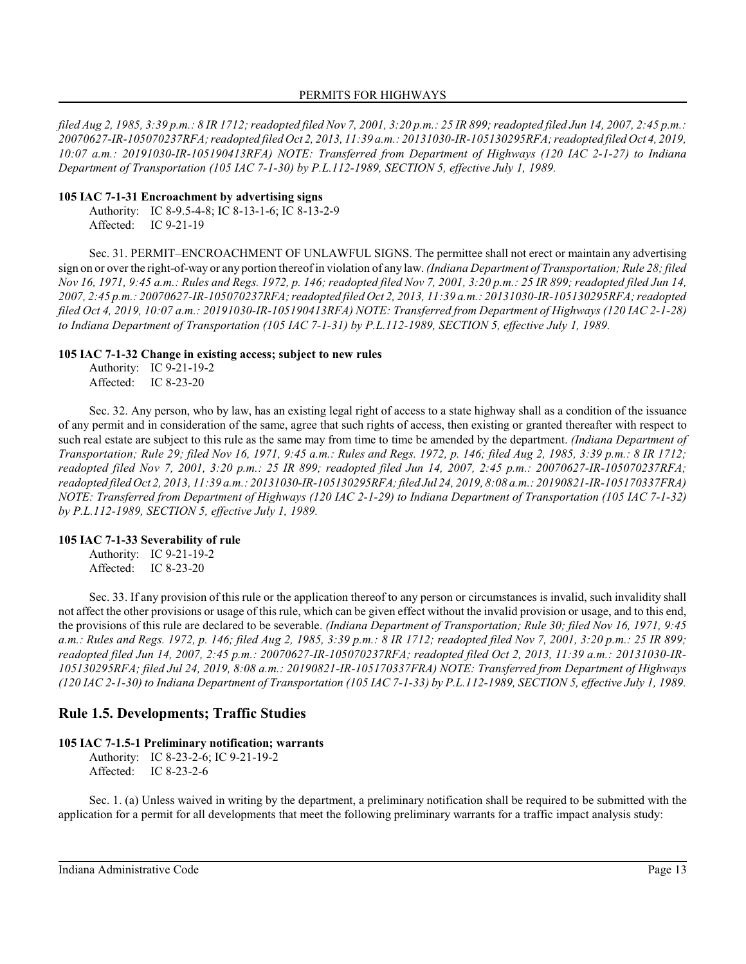*filed Aug 2, 1985, 3:39 p.m.: 8 IR 1712; readopted filed Nov 7, 2001, 3:20 p.m.: 25 IR 899;readopted filed Jun 14, 2007, 2:45 p.m.: 20070627-IR-105070237RFA; readopted filed Oct 2, 2013, 11:39 a.m.: 20131030-IR-105130295RFA; readopted filed Oct 4, 2019, 10:07 a.m.: 20191030-IR-105190413RFA) NOTE: Transferred from Department of Highways (120 IAC 2-1-27) to Indiana Department of Transportation (105 IAC 7-1-30) by P.L.112-1989, SECTION 5, effective July 1, 1989.*

#### **105 IAC 7-1-31 Encroachment by advertising signs**

Authority: IC 8-9.5-4-8; IC 8-13-1-6; IC 8-13-2-9 Affected: IC 9-21-19

Sec. 31. PERMIT–ENCROACHMENT OF UNLAWFUL SIGNS. The permittee shall not erect or maintain any advertising sign on or over the right-of-way or any portion thereof in violation of any law. *(Indiana Department of Transportation; Rule 28; filed Nov 16, 1971, 9:45 a.m.: Rules and Regs. 1972, p. 146; readopted filed Nov 7, 2001, 3:20 p.m.: 25 IR 899; readopted filed Jun 14, 2007, 2:45 p.m.: 20070627-IR-105070237RFA; readopted filed Oct 2, 2013, 11:39 a.m.: 20131030-IR-105130295RFA; readopted filed Oct 4, 2019, 10:07 a.m.: 20191030-IR-105190413RFA) NOTE: Transferred from Department of Highways (120 IAC 2-1-28) to Indiana Department of Transportation (105 IAC 7-1-31) by P.L.112-1989, SECTION 5, effective July 1, 1989.*

#### **105 IAC 7-1-32 Change in existing access; subject to new rules**

Authority: IC 9-21-19-2 Affected: IC 8-23-20

Sec. 32. Any person, who by law, has an existing legal right of access to a state highway shall as a condition of the issuance of any permit and in consideration of the same, agree that such rights of access, then existing or granted thereafter with respect to such real estate are subject to this rule as the same may from time to time be amended by the department. *(Indiana Department of Transportation; Rule 29; filed Nov 16, 1971, 9:45 a.m.: Rules and Regs. 1972, p. 146; filed Aug 2, 1985, 3:39 p.m.: 8 IR 1712; readopted filed Nov 7, 2001, 3:20 p.m.: 25 IR 899; readopted filed Jun 14, 2007, 2:45 p.m.: 20070627-IR-105070237RFA; readopted filed Oct 2, 2013, 11:39 a.m.: 20131030-IR-105130295RFA; filed Jul 24, 2019, 8:08 a.m.: 20190821-IR-105170337FRA) NOTE: Transferred from Department of Highways (120 IAC 2-1-29) to Indiana Department of Transportation (105 IAC 7-1-32) by P.L.112-1989, SECTION 5, effective July 1, 1989.*

#### **105 IAC 7-1-33 Severability of rule**

Authority: IC 9-21-19-2 Affected: IC 8-23-20

Sec. 33. If any provision of this rule or the application thereof to any person or circumstances is invalid, such invalidity shall not affect the other provisions or usage of thisrule, which can be given effect without the invalid provision or usage, and to this end, the provisions of this rule are declared to be severable. *(Indiana Department of Transportation; Rule 30; filed Nov 16, 1971, 9:45 a.m.: Rules and Regs. 1972, p. 146; filed Aug 2, 1985, 3:39 p.m.: 8 IR 1712; readopted filed Nov 7, 2001, 3:20 p.m.: 25 IR 899; readopted filed Jun 14, 2007, 2:45 p.m.: 20070627-IR-105070237RFA; readopted filed Oct 2, 2013, 11:39 a.m.: 20131030-IR-105130295RFA; filed Jul 24, 2019, 8:08 a.m.: 20190821-IR-105170337FRA) NOTE: Transferred from Department of Highways (120 IAC 2-1-30) to Indiana Department of Transportation (105 IAC 7-1-33) by P.L.112-1989, SECTION 5, effective July 1, 1989.*

# **Rule 1.5. Developments; Traffic Studies**

# **105 IAC 7-1.5-1 Preliminary notification; warrants**

Authority: IC 8-23-2-6; IC 9-21-19-2 Affected: IC 8-23-2-6

Sec. 1. (a) Unless waived in writing by the department, a preliminary notification shall be required to be submitted with the application for a permit for all developments that meet the following preliminary warrants for a traffic impact analysis study: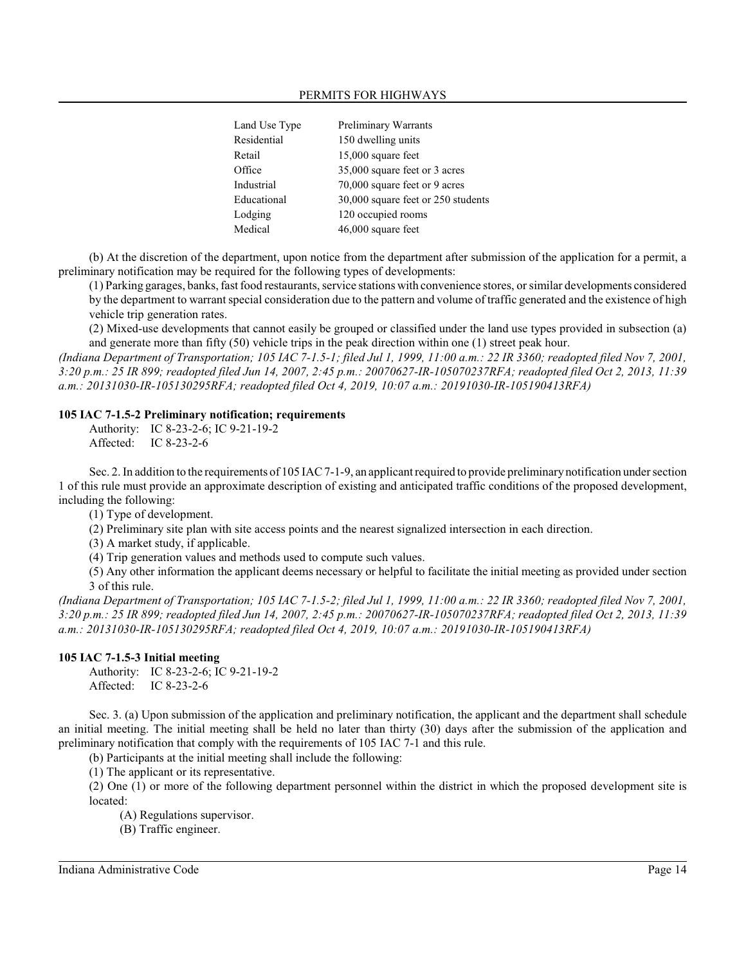| Land Use Type | <b>Preliminary Warrants</b>        |
|---------------|------------------------------------|
| Residential   | 150 dwelling units                 |
| Retail        | 15,000 square feet                 |
| Office        | 35,000 square feet or 3 acres      |
| Industrial    | 70,000 square feet or 9 acres      |
| Educational   | 30,000 square feet or 250 students |
| Lodging       | 120 occupied rooms                 |
| Medical       | 46,000 square feet                 |

(b) At the discretion of the department, upon notice from the department after submission of the application for a permit, a preliminary notification may be required for the following types of developments:

(1) Parking garages, banks, fastfood restaurants, service stations with convenience stores, orsimilar developments considered by the department to warrant special consideration due to the pattern and volume of traffic generated and the existence of high vehicle trip generation rates.

(2) Mixed-use developments that cannot easily be grouped or classified under the land use types provided in subsection (a) and generate more than fifty (50) vehicle trips in the peak direction within one (1) street peak hour.

*(Indiana Department of Transportation; 105 IAC 7-1.5-1; filed Jul 1, 1999, 11:00 a.m.: 22 IR 3360; readopted filed Nov 7, 2001, 3:20 p.m.: 25 IR 899; readopted filed Jun 14, 2007, 2:45 p.m.: 20070627-IR-105070237RFA; readopted filed Oct 2, 2013, 11:39 a.m.: 20131030-IR-105130295RFA; readopted filed Oct 4, 2019, 10:07 a.m.: 20191030-IR-105190413RFA)*

#### **105 IAC 7-1.5-2 Preliminary notification; requirements**

Authority: IC 8-23-2-6; IC 9-21-19-2 Affected: IC 8-23-2-6

Sec. 2. In addition to the requirements of 105 IAC 7-1-9, an applicant required to provide preliminary notification under section 1 of this rule must provide an approximate description of existing and anticipated traffic conditions of the proposed development, including the following:

(1) Type of development.

(2) Preliminary site plan with site access points and the nearest signalized intersection in each direction.

(3) A market study, if applicable.

(4) Trip generation values and methods used to compute such values.

(5) Any other information the applicant deems necessary or helpful to facilitate the initial meeting as provided under section 3 of this rule.

*(Indiana Department of Transportation; 105 IAC 7-1.5-2; filed Jul 1, 1999, 11:00 a.m.: 22 IR 3360; readopted filed Nov 7, 2001, 3:20 p.m.: 25 IR 899; readopted filed Jun 14, 2007, 2:45 p.m.: 20070627-IR-105070237RFA; readopted filed Oct 2, 2013, 11:39 a.m.: 20131030-IR-105130295RFA; readopted filed Oct 4, 2019, 10:07 a.m.: 20191030-IR-105190413RFA)*

#### **105 IAC 7-1.5-3 Initial meeting**

Authority: IC 8-23-2-6; IC 9-21-19-2 Affected: IC 8-23-2-6

Sec. 3. (a) Upon submission of the application and preliminary notification, the applicant and the department shall schedule an initial meeting. The initial meeting shall be held no later than thirty (30) days after the submission of the application and preliminary notification that comply with the requirements of 105 IAC 7-1 and this rule.

(b) Participants at the initial meeting shall include the following:

(1) The applicant or its representative.

(2) One (1) or more of the following department personnel within the district in which the proposed development site is located:

(A) Regulations supervisor.

(B) Traffic engineer.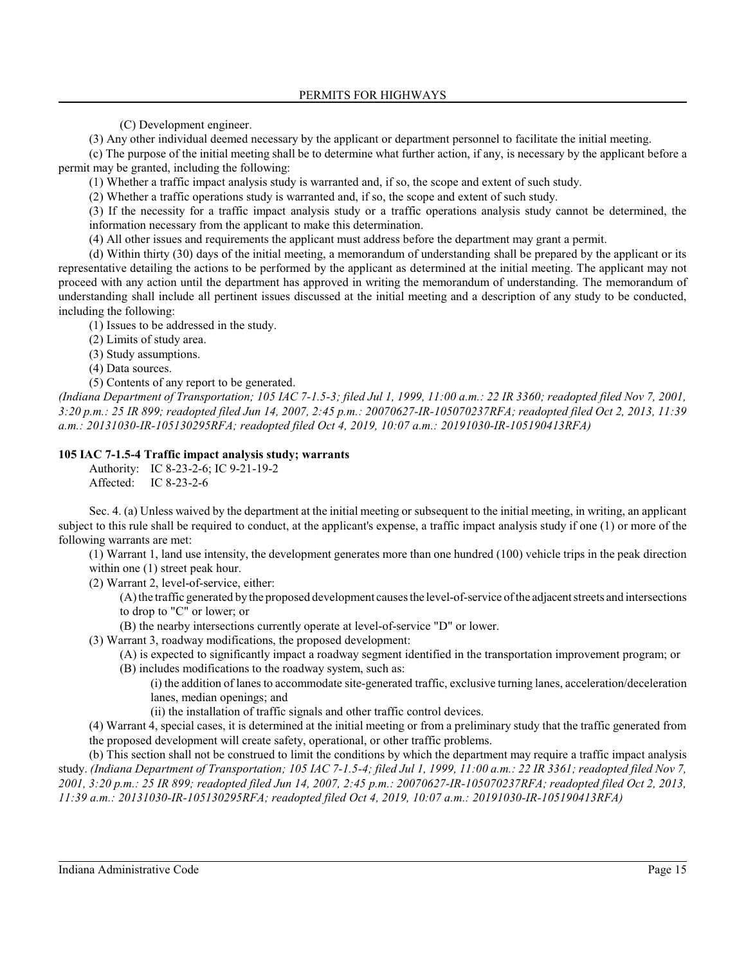(C) Development engineer.

(3) Any other individual deemed necessary by the applicant or department personnel to facilitate the initial meeting.

(c) The purpose of the initial meeting shall be to determine what further action, if any, is necessary by the applicant before a permit may be granted, including the following:

(1) Whether a traffic impact analysis study is warranted and, if so, the scope and extent of such study.

(2) Whether a traffic operations study is warranted and, if so, the scope and extent of such study.

(3) If the necessity for a traffic impact analysis study or a traffic operations analysis study cannot be determined, the information necessary from the applicant to make this determination.

(4) All other issues and requirements the applicant must address before the department may grant a permit.

(d) Within thirty (30) days of the initial meeting, a memorandum of understanding shall be prepared by the applicant or its representative detailing the actions to be performed by the applicant as determined at the initial meeting. The applicant may not proceed with any action until the department has approved in writing the memorandum of understanding. The memorandum of understanding shall include all pertinent issues discussed at the initial meeting and a description of any study to be conducted, including the following:

(1) Issues to be addressed in the study.

(2) Limits of study area.

(3) Study assumptions.

(4) Data sources.

(5) Contents of any report to be generated.

*(Indiana Department of Transportation; 105 IAC 7-1.5-3; filed Jul 1, 1999, 11:00 a.m.: 22 IR 3360; readopted filed Nov 7, 2001, 3:20 p.m.: 25 IR 899; readopted filed Jun 14, 2007, 2:45 p.m.: 20070627-IR-105070237RFA; readopted filed Oct 2, 2013, 11:39 a.m.: 20131030-IR-105130295RFA; readopted filed Oct 4, 2019, 10:07 a.m.: 20191030-IR-105190413RFA)*

#### **105 IAC 7-1.5-4 Traffic impact analysis study; warrants**

Authority: IC 8-23-2-6; IC 9-21-19-2 Affected: IC 8-23-2-6

Sec. 4. (a) Unless waived by the department at the initial meeting or subsequent to the initial meeting, in writing, an applicant subject to this rule shall be required to conduct, at the applicant's expense, a traffic impact analysis study if one (1) or more of the following warrants are met:

(1) Warrant 1, land use intensity, the development generates more than one hundred (100) vehicle trips in the peak direction within one (1) street peak hour.

(2) Warrant 2, level-of-service, either:

(A) the traffic generated by the proposed development causes the level-of-service of the adjacent streets and intersections to drop to "C" or lower; or

(B) the nearby intersections currently operate at level-of-service "D" or lower.

- (3) Warrant 3, roadway modifications, the proposed development:
	- (A) is expected to significantly impact a roadway segment identified in the transportation improvement program; or
	- (B) includes modifications to the roadway system, such as:

(i) the addition of lanes to accommodate site-generated traffic, exclusive turning lanes, acceleration/deceleration lanes, median openings; and

(ii) the installation of traffic signals and other traffic control devices.

(4) Warrant 4, special cases, it is determined at the initial meeting or from a preliminary study that the traffic generated from the proposed development will create safety, operational, or other traffic problems.

(b) This section shall not be construed to limit the conditions by which the department may require a traffic impact analysis study. *(Indiana Department of Transportation; 105 IAC 7-1.5-4; filed Jul 1, 1999, 11:00 a.m.: 22 IR 3361; readopted filed Nov 7, 2001, 3:20 p.m.: 25 IR 899; readopted filed Jun 14, 2007, 2:45 p.m.: 20070627-IR-105070237RFA; readopted filed Oct 2, 2013, 11:39 a.m.: 20131030-IR-105130295RFA; readopted filed Oct 4, 2019, 10:07 a.m.: 20191030-IR-105190413RFA)*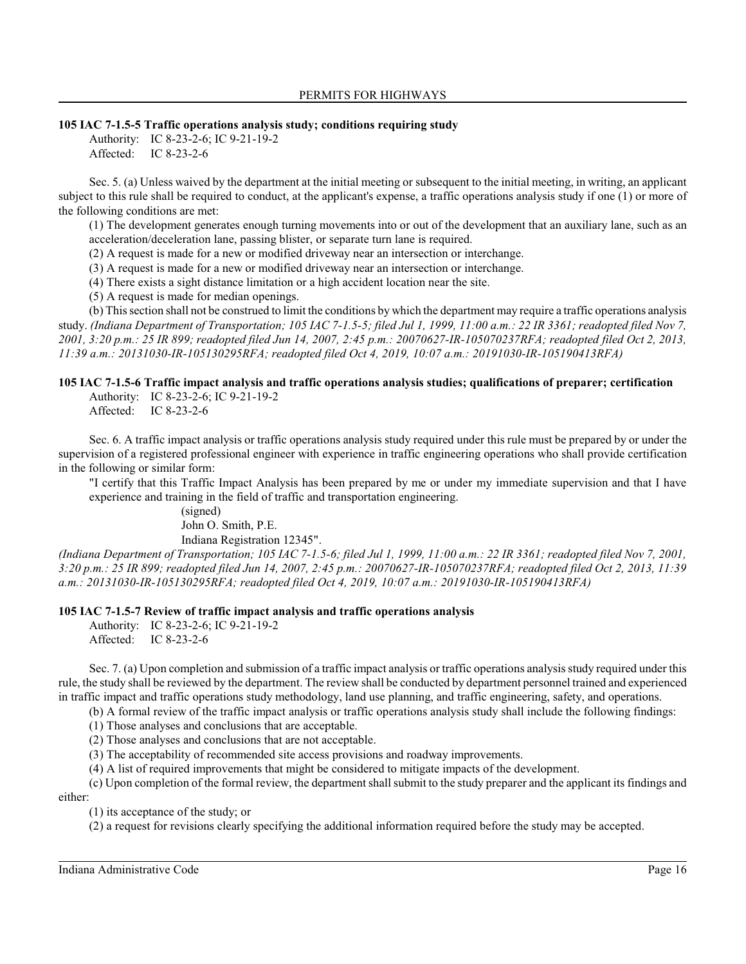#### **105 IAC 7-1.5-5 Traffic operations analysis study; conditions requiring study**

Authority: IC 8-23-2-6; IC 9-21-19-2 Affected: IC 8-23-2-6

Sec. 5. (a) Unless waived by the department at the initial meeting or subsequent to the initial meeting, in writing, an applicant subject to this rule shall be required to conduct, at the applicant's expense, a traffic operations analysis study if one (1) or more of the following conditions are met:

(1) The development generates enough turning movements into or out of the development that an auxiliary lane, such as an acceleration/deceleration lane, passing blister, or separate turn lane is required.

(2) A request is made for a new or modified driveway near an intersection or interchange.

(3) A request is made for a new or modified driveway near an intersection or interchange.

(4) There exists a sight distance limitation or a high accident location near the site.

(5) A request is made for median openings.

(b) Thissection shall not be construed to limit the conditions by which the department may require a traffic operations analysis study. *(Indiana Department of Transportation; 105 IAC 7-1.5-5; filed Jul 1, 1999, 11:00 a.m.: 22 IR 3361; readopted filed Nov 7, 2001, 3:20 p.m.: 25 IR 899; readopted filed Jun 14, 2007, 2:45 p.m.: 20070627-IR-105070237RFA; readopted filed Oct 2, 2013, 11:39 a.m.: 20131030-IR-105130295RFA; readopted filed Oct 4, 2019, 10:07 a.m.: 20191030-IR-105190413RFA)*

#### **105 IAC 7-1.5-6 Traffic impact analysis and traffic operations analysis studies; qualifications of preparer; certification** Authority: IC 8-23-2-6; IC 9-21-19-2

Affected: IC 8-23-2-6

Sec. 6. A traffic impact analysis or traffic operations analysis study required under this rule must be prepared by or under the supervision of a registered professional engineer with experience in traffic engineering operations who shall provide certification in the following or similar form:

"I certify that this Traffic Impact Analysis has been prepared by me or under my immediate supervision and that I have experience and training in the field of traffic and transportation engineering.

(signed)

John O. Smith, P.E.

Indiana Registration 12345".

*(Indiana Department of Transportation; 105 IAC 7-1.5-6; filed Jul 1, 1999, 11:00 a.m.: 22 IR 3361; readopted filed Nov 7, 2001, 3:20 p.m.: 25 IR 899; readopted filed Jun 14, 2007, 2:45 p.m.: 20070627-IR-105070237RFA; readopted filed Oct 2, 2013, 11:39 a.m.: 20131030-IR-105130295RFA; readopted filed Oct 4, 2019, 10:07 a.m.: 20191030-IR-105190413RFA)*

## **105 IAC 7-1.5-7 Review of traffic impact analysis and traffic operations analysis**

Authority: IC 8-23-2-6; IC 9-21-19-2 Affected: IC 8-23-2-6

Sec. 7. (a) Upon completion and submission of a traffic impact analysis or traffic operations analysis study required under this rule, the study shall be reviewed by the department. The review shall be conducted by department personnel trained and experienced in traffic impact and traffic operations study methodology, land use planning, and traffic engineering, safety, and operations.

(b) A formal review of the traffic impact analysis or traffic operations analysis study shall include the following findings:

(1) Those analyses and conclusions that are acceptable.

(2) Those analyses and conclusions that are not acceptable.

(3) The acceptability of recommended site access provisions and roadway improvements.

(4) A list of required improvements that might be considered to mitigate impacts of the development.

(c) Upon completion of the formal review, the department shall submit to the study preparer and the applicant its findings and either:

(1) its acceptance of the study; or

(2) a request for revisions clearly specifying the additional information required before the study may be accepted.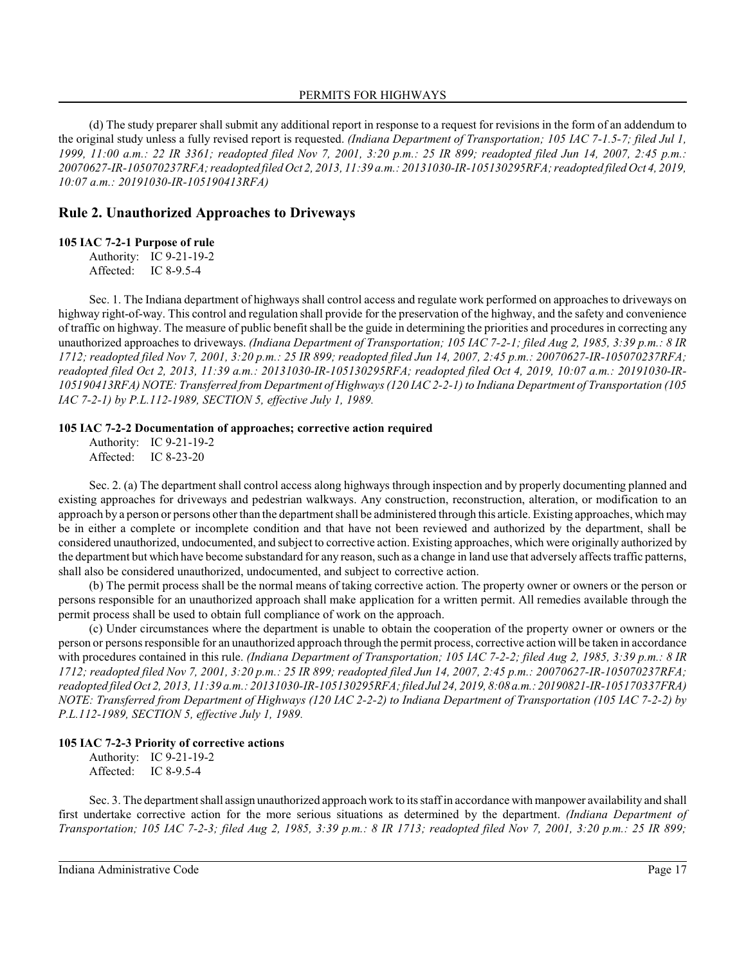(d) The study preparer shall submit any additional report in response to a request for revisions in the form of an addendum to the original study unless a fully revised report is requested. *(Indiana Department of Transportation; 105 IAC 7-1.5-7; filed Jul 1, 1999, 11:00 a.m.: 22 IR 3361; readopted filed Nov 7, 2001, 3:20 p.m.: 25 IR 899; readopted filed Jun 14, 2007, 2:45 p.m.: 20070627-IR-105070237RFA; readopted filed Oct 2, 2013, 11:39 a.m.: 20131030-IR-105130295RFA; readopted filed Oct 4, 2019, 10:07 a.m.: 20191030-IR-105190413RFA)*

# **Rule 2. Unauthorized Approaches to Driveways**

**105 IAC 7-2-1 Purpose of rule**

Authority: IC 9-21-19-2 Affected: IC 8-9.5-4

Sec. 1. The Indiana department of highways shall control access and regulate work performed on approaches to driveways on highway right-of-way. This control and regulation shall provide for the preservation of the highway, and the safety and convenience of traffic on highway. The measure of public benefit shall be the guide in determining the priorities and procedures in correcting any unauthorized approaches to driveways. *(Indiana Department of Transportation; 105 IAC 7-2-1; filed Aug 2, 1985, 3:39 p.m.: 8 IR 1712; readopted filed Nov 7, 2001, 3:20 p.m.: 25 IR 899; readopted filed Jun 14, 2007, 2:45 p.m.: 20070627-IR-105070237RFA; readopted filed Oct 2, 2013, 11:39 a.m.: 20131030-IR-105130295RFA; readopted filed Oct 4, 2019, 10:07 a.m.: 20191030-IR-105190413RFA) NOTE: Transferred from Department of Highways (120 IAC 2-2-1) to Indiana Department of Transportation (105 IAC 7-2-1) by P.L.112-1989, SECTION 5, effective July 1, 1989.*

# **105 IAC 7-2-2 Documentation of approaches; corrective action required**

Authority: IC 9-21-19-2 Affected: IC 8-23-20

Sec. 2. (a) The department shall control access along highways through inspection and by properly documenting planned and existing approaches for driveways and pedestrian walkways. Any construction, reconstruction, alteration, or modification to an approach by a person or persons other than the department shall be administered through this article. Existing approaches, which may be in either a complete or incomplete condition and that have not been reviewed and authorized by the department, shall be considered unauthorized, undocumented, and subject to corrective action. Existing approaches, which were originally authorized by the department but which have become substandard for any reason, such as a change in land use that adversely affects traffic patterns, shall also be considered unauthorized, undocumented, and subject to corrective action.

(b) The permit process shall be the normal means of taking corrective action. The property owner or owners or the person or persons responsible for an unauthorized approach shall make application for a written permit. All remedies available through the permit process shall be used to obtain full compliance of work on the approach.

(c) Under circumstances where the department is unable to obtain the cooperation of the property owner or owners or the person or persons responsible for an unauthorized approach through the permit process, corrective action will be taken in accordance with procedures contained in this rule. *(Indiana Department of Transportation; 105 IAC 7-2-2; filed Aug 2, 1985, 3:39 p.m.: 8 IR 1712; readopted filed Nov 7, 2001, 3:20 p.m.: 25 IR 899; readopted filed Jun 14, 2007, 2:45 p.m.: 20070627-IR-105070237RFA; readopted filed Oct 2, 2013, 11:39 a.m.: 20131030-IR-105130295RFA; filed Jul 24, 2019, 8:08 a.m.: 20190821-IR-105170337FRA) NOTE: Transferred from Department of Highways (120 IAC 2-2-2) to Indiana Department of Transportation (105 IAC 7-2-2) by P.L.112-1989, SECTION 5, effective July 1, 1989.*

## **105 IAC 7-2-3 Priority of corrective actions**

Authority: IC 9-21-19-2 Affected: IC 8-9.5-4

Sec. 3. The department shall assign unauthorized approach work to its staff in accordance with manpower availability and shall first undertake corrective action for the more serious situations as determined by the department. *(Indiana Department of Transportation; 105 IAC 7-2-3; filed Aug 2, 1985, 3:39 p.m.: 8 IR 1713; readopted filed Nov 7, 2001, 3:20 p.m.: 25 IR 899;*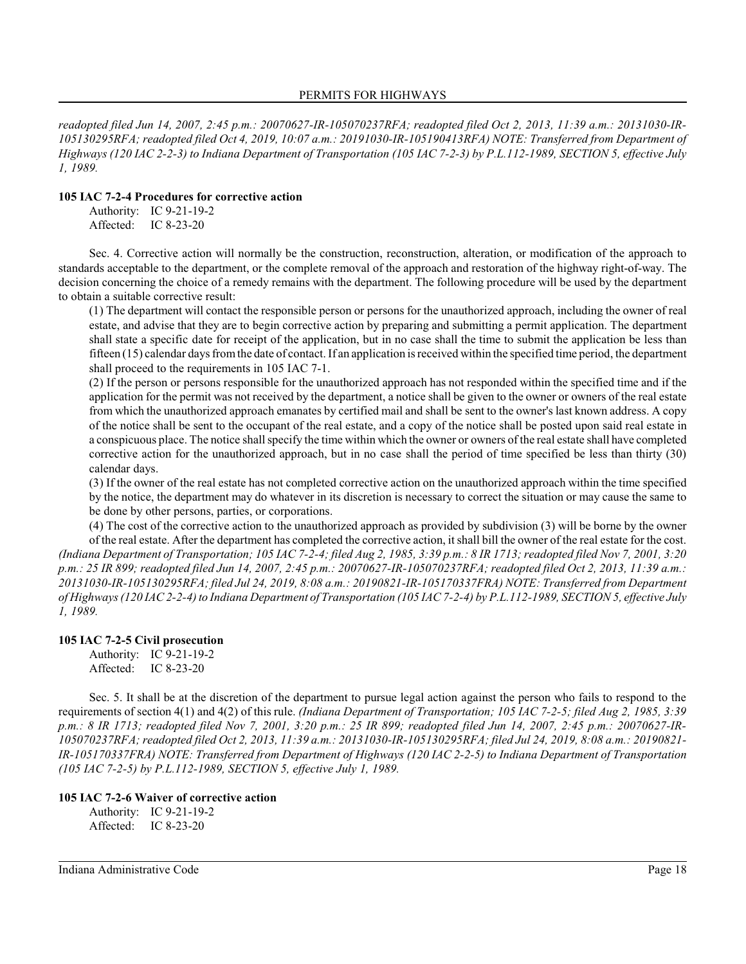*readopted filed Jun 14, 2007, 2:45 p.m.: 20070627-IR-105070237RFA; readopted filed Oct 2, 2013, 11:39 a.m.: 20131030-IR-105130295RFA; readopted filed Oct 4, 2019, 10:07 a.m.: 20191030-IR-105190413RFA) NOTE: Transferred from Department of Highways (120 IAC 2-2-3) to Indiana Department of Transportation (105 IAC 7-2-3) by P.L.112-1989, SECTION 5, effective July 1, 1989.*

#### **105 IAC 7-2-4 Procedures for corrective action**

Authority: IC 9-21-19-2 Affected: IC 8-23-20

Sec. 4. Corrective action will normally be the construction, reconstruction, alteration, or modification of the approach to standards acceptable to the department, or the complete removal of the approach and restoration of the highway right-of-way. The decision concerning the choice of a remedy remains with the department. The following procedure will be used by the department to obtain a suitable corrective result:

(1) The department will contact the responsible person or persons for the unauthorized approach, including the owner of real estate, and advise that they are to begin corrective action by preparing and submitting a permit application. The department shall state a specific date for receipt of the application, but in no case shall the time to submit the application be less than fifteen (15) calendar days fromthe date of contact. If an application is received within the specified time period, the department shall proceed to the requirements in 105 IAC 7-1.

(2) If the person or persons responsible for the unauthorized approach has not responded within the specified time and if the application for the permit was not received by the department, a notice shall be given to the owner or owners of the real estate from which the unauthorized approach emanates by certified mail and shall be sent to the owner's last known address. A copy of the notice shall be sent to the occupant of the real estate, and a copy of the notice shall be posted upon said real estate in a conspicuous place. The notice shall specify the time within which the owner or owners of the real estate shall have completed corrective action for the unauthorized approach, but in no case shall the period of time specified be less than thirty (30) calendar days.

(3) If the owner of the real estate has not completed corrective action on the unauthorized approach within the time specified by the notice, the department may do whatever in its discretion is necessary to correct the situation or may cause the same to be done by other persons, parties, or corporations.

(4) The cost of the corrective action to the unauthorized approach as provided by subdivision (3) will be borne by the owner of the real estate. After the department has completed the corrective action, it shall bill the owner of the real estate for the cost. *(Indiana Department of Transportation; 105 IAC 7-2-4; filed Aug 2, 1985, 3:39 p.m.: 8 IR 1713; readopted filed Nov 7, 2001, 3:20 p.m.: 25 IR 899; readopted filed Jun 14, 2007, 2:45 p.m.: 20070627-IR-105070237RFA; readopted filed Oct 2, 2013, 11:39 a.m.: 20131030-IR-105130295RFA; filed Jul 24, 2019, 8:08 a.m.: 20190821-IR-105170337FRA) NOTE: Transferred from Department of Highways (120 IAC 2-2-4) to Indiana Department of Transportation (105 IAC 7-2-4) by P.L.112-1989, SECTION 5, effective July 1, 1989.*

## **105 IAC 7-2-5 Civil prosecution**

Authority: IC 9-21-19-2 Affected: IC 8-23-20

Sec. 5. It shall be at the discretion of the department to pursue legal action against the person who fails to respond to the requirements of section 4(1) and 4(2) of this rule. *(Indiana Department of Transportation; 105 IAC 7-2-5; filed Aug 2, 1985, 3:39 p.m.: 8 IR 1713; readopted filed Nov 7, 2001, 3:20 p.m.: 25 IR 899; readopted filed Jun 14, 2007, 2:45 p.m.: 20070627-IR-105070237RFA; readopted filed Oct 2, 2013, 11:39 a.m.: 20131030-IR-105130295RFA; filed Jul 24, 2019, 8:08 a.m.: 20190821- IR-105170337FRA) NOTE: Transferred from Department of Highways (120 IAC 2-2-5) to Indiana Department of Transportation (105 IAC 7-2-5) by P.L.112-1989, SECTION 5, effective July 1, 1989.*

#### **105 IAC 7-2-6 Waiver of corrective action**

Authority: IC 9-21-19-2 Affected: IC 8-23-20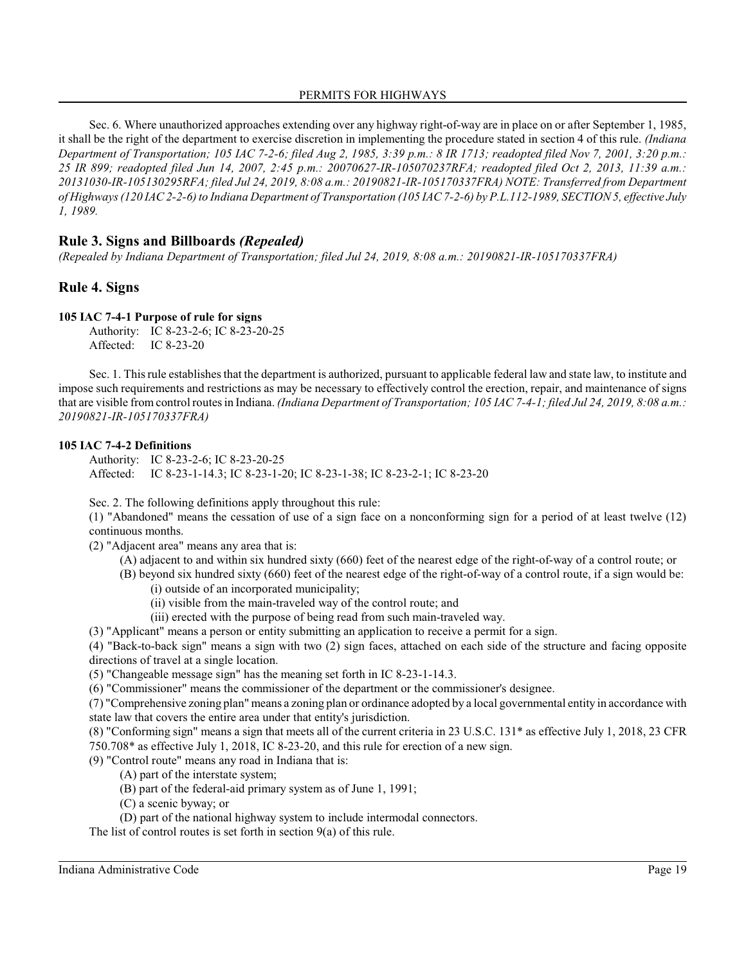Sec. 6. Where unauthorized approaches extending over any highway right-of-way are in place on or after September 1, 1985, it shall be the right of the department to exercise discretion in implementing the procedure stated in section 4 of this rule. *(Indiana Department of Transportation; 105 IAC 7-2-6; filed Aug 2, 1985, 3:39 p.m.: 8 IR 1713; readopted filed Nov 7, 2001, 3:20 p.m.: 25 IR 899; readopted filed Jun 14, 2007, 2:45 p.m.: 20070627-IR-105070237RFA; readopted filed Oct 2, 2013, 11:39 a.m.: 20131030-IR-105130295RFA; filed Jul 24, 2019, 8:08 a.m.: 20190821-IR-105170337FRA) NOTE: Transferred from Department of Highways (120 IAC 2-2-6) to Indiana Department of Transportation (105 IAC 7-2-6) by P.L.112-1989, SECTION 5, effective July 1, 1989.*

# **Rule 3. Signs and Billboards** *(Repealed)*

*(Repealed by Indiana Department of Transportation; filed Jul 24, 2019, 8:08 a.m.: 20190821-IR-105170337FRA)*

# **Rule 4. Signs**

# **105 IAC 7-4-1 Purpose of rule for signs**

Authority: IC 8-23-2-6; IC 8-23-20-25 Affected: IC 8-23-20

Sec. 1. Thisrule establishes that the department is authorized, pursuant to applicable federal law and state law, to institute and impose such requirements and restrictions as may be necessary to effectively control the erection, repair, and maintenance of signs that are visible from control routes in Indiana. *(Indiana Department of Transportation; 105 IAC 7-4-1; filed Jul 24, 2019, 8:08 a.m.: 20190821-IR-105170337FRA)*

## **105 IAC 7-4-2 Definitions**

Authority: IC 8-23-2-6; IC 8-23-20-25 Affected: IC 8-23-1-14.3; IC 8-23-1-20; IC 8-23-1-38; IC 8-23-2-1; IC 8-23-20

Sec. 2. The following definitions apply throughout this rule:

(1) "Abandoned" means the cessation of use of a sign face on a nonconforming sign for a period of at least twelve (12) continuous months.

(2) "Adjacent area" means any area that is:

- (A) adjacent to and within six hundred sixty (660) feet of the nearest edge of the right-of-way of a control route; or
- (B) beyond six hundred sixty (660) feet of the nearest edge of the right-of-way of a control route, if a sign would be: (i) outside of an incorporated municipality;
	- (ii) visible from the main-traveled way of the control route; and
	- (iii) erected with the purpose of being read from such main-traveled way.

(3) "Applicant" means a person or entity submitting an application to receive a permit for a sign.

(4) "Back-to-back sign" means a sign with two (2) sign faces, attached on each side of the structure and facing opposite directions of travel at a single location.

(5) "Changeable message sign" has the meaning set forth in IC 8-23-1-14.3.

(6) "Commissioner" means the commissioner of the department or the commissioner's designee.

(7) "Comprehensive zoning plan" means a zoning plan or ordinance adopted by a local governmental entity in accordance with state law that covers the entire area under that entity's jurisdiction.

(8) "Conforming sign" means a sign that meets all of the current criteria in 23 U.S.C. 131\* as effective July 1, 2018, 23 CFR 750.708\* as effective July 1, 2018, IC 8-23-20, and this rule for erection of a new sign.

(9) "Control route" means any road in Indiana that is:

(A) part of the interstate system;

(B) part of the federal-aid primary system as of June 1, 1991;

(C) a scenic byway; or

(D) part of the national highway system to include intermodal connectors.

The list of control routes is set forth in section 9(a) of this rule.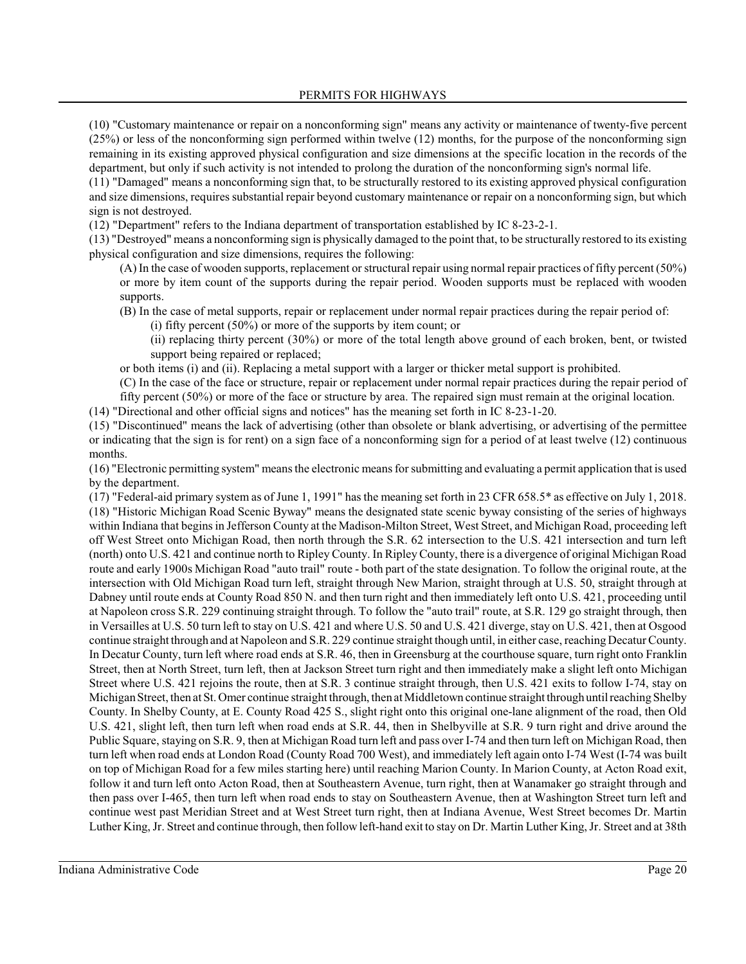(10) "Customary maintenance or repair on a nonconforming sign" means any activity or maintenance of twenty-five percent (25%) or less of the nonconforming sign performed within twelve (12) months, for the purpose of the nonconforming sign remaining in its existing approved physical configuration and size dimensions at the specific location in the records of the department, but only if such activity is not intended to prolong the duration of the nonconforming sign's normal life.

(11) "Damaged" means a nonconforming sign that, to be structurally restored to its existing approved physical configuration and size dimensions, requires substantial repair beyond customary maintenance or repair on a nonconforming sign, but which sign is not destroyed.

(12) "Department" refers to the Indiana department of transportation established by IC 8-23-2-1.

(13) "Destroyed" means a nonconforming sign is physically damaged to the point that, to be structurally restored to its existing physical configuration and size dimensions, requires the following:

(A) In the case of wooden supports, replacement orstructural repair using normal repair practices of fifty percent (50%) or more by item count of the supports during the repair period. Wooden supports must be replaced with wooden supports.

(B) In the case of metal supports, repair or replacement under normal repair practices during the repair period of:

(i) fifty percent (50%) or more of the supports by item count; or

(ii) replacing thirty percent (30%) or more of the total length above ground of each broken, bent, or twisted support being repaired or replaced;

or both items (i) and (ii). Replacing a metal support with a larger or thicker metal support is prohibited.

(C) In the case of the face or structure, repair or replacement under normal repair practices during the repair period of fifty percent (50%) or more of the face or structure by area. The repaired sign must remain at the original location.

(14) "Directional and other official signs and notices" has the meaning set forth in IC 8-23-1-20.

(15) "Discontinued" means the lack of advertising (other than obsolete or blank advertising, or advertising of the permittee or indicating that the sign is for rent) on a sign face of a nonconforming sign for a period of at least twelve (12) continuous months.

(16) "Electronic permitting system" means the electronic means for submitting and evaluating a permit application that is used by the department.

(17) "Federal-aid primary system as of June 1, 1991" has the meaning set forth in 23 CFR 658.5\* as effective on July 1, 2018. (18) "Historic Michigan Road Scenic Byway" means the designated state scenic byway consisting of the series of highways within Indiana that begins in Jefferson County at the Madison-Milton Street, West Street, and Michigan Road, proceeding left off West Street onto Michigan Road, then north through the S.R. 62 intersection to the U.S. 421 intersection and turn left (north) onto U.S. 421 and continue north to Ripley County. In Ripley County, there is a divergence of original Michigan Road route and early 1900s Michigan Road "auto trail" route - both part of the state designation. To follow the original route, at the intersection with Old Michigan Road turn left, straight through New Marion, straight through at U.S. 50, straight through at Dabney until route ends at County Road 850 N. and then turn right and then immediately left onto U.S. 421, proceeding until at Napoleon cross S.R. 229 continuing straight through. To follow the "auto trail" route, at S.R. 129 go straight through, then in Versailles at U.S. 50 turn left to stay on U.S. 421 and where U.S. 50 and U.S. 421 diverge, stay on U.S. 421, then at Osgood continue straight through and at Napoleon and S.R. 229 continue straight though until, in either case, reaching Decatur County. In Decatur County, turn left where road ends at S.R. 46, then in Greensburg at the courthouse square, turn right onto Franklin Street, then at North Street, turn left, then at Jackson Street turn right and then immediately make a slight left onto Michigan Street where U.S. 421 rejoins the route, then at S.R. 3 continue straight through, then U.S. 421 exits to follow I-74, stay on MichiganStreet, then at St. Omer continue straight through, then at Middletown continue straight throughuntil reaching Shelby County. In Shelby County, at E. County Road 425 S., slight right onto this original one-lane alignment of the road, then Old U.S. 421, slight left, then turn left when road ends at S.R. 44, then in Shelbyville at S.R. 9 turn right and drive around the Public Square, staying on S.R. 9, then at Michigan Road turn left and pass over I-74 and then turn left on Michigan Road, then turn left when road ends at London Road (County Road 700 West), and immediately left again onto I-74 West (I-74 was built on top of Michigan Road for a few miles starting here) until reaching Marion County. In Marion County, at Acton Road exit, follow it and turn left onto Acton Road, then at Southeastern Avenue, turn right, then at Wanamaker go straight through and then pass over I-465, then turn left when road ends to stay on Southeastern Avenue, then at Washington Street turn left and continue west past Meridian Street and at West Street turn right, then at Indiana Avenue, West Street becomes Dr. Martin Luther King, Jr. Street and continue through, then follow left-hand exit to stay on Dr. Martin Luther King, Jr. Street and at 38th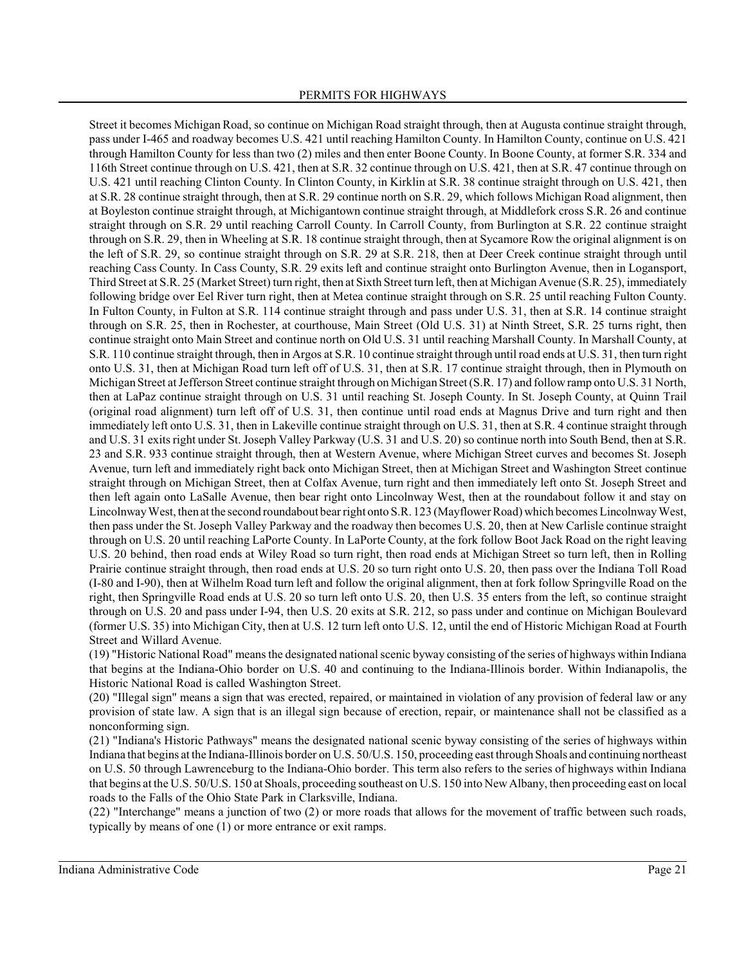Street it becomes Michigan Road, so continue on Michigan Road straight through, then at Augusta continue straight through, pass under I-465 and roadway becomes U.S. 421 until reaching Hamilton County. In Hamilton County, continue on U.S. 421 through Hamilton County for less than two (2) miles and then enter Boone County. In Boone County, at former S.R. 334 and 116th Street continue through on U.S. 421, then at S.R. 32 continue through on U.S. 421, then at S.R. 47 continue through on U.S. 421 until reaching Clinton County. In Clinton County, in Kirklin at S.R. 38 continue straight through on U.S. 421, then at S.R. 28 continue straight through, then at S.R. 29 continue north on S.R. 29, which follows Michigan Road alignment, then at Boyleston continue straight through, at Michigantown continue straight through, at Middlefork cross S.R. 26 and continue straight through on S.R. 29 until reaching Carroll County. In Carroll County, from Burlington at S.R. 22 continue straight through on S.R. 29, then in Wheeling at S.R. 18 continue straight through, then at Sycamore Row the original alignment is on the left of S.R. 29, so continue straight through on S.R. 29 at S.R. 218, then at Deer Creek continue straight through until reaching Cass County. In Cass County, S.R. 29 exits left and continue straight onto Burlington Avenue, then in Logansport, Third Street at S.R. 25 (Market Street) turn right, then at Sixth Street turn left, then at Michigan Avenue (S.R. 25), immediately following bridge over Eel River turn right, then at Metea continue straight through on S.R. 25 until reaching Fulton County. In Fulton County, in Fulton at S.R. 114 continue straight through and pass under U.S. 31, then at S.R. 14 continue straight through on S.R. 25, then in Rochester, at courthouse, Main Street (Old U.S. 31) at Ninth Street, S.R. 25 turns right, then continue straight onto Main Street and continue north on Old U.S. 31 until reaching Marshall County. In Marshall County, at S.R. 110 continue straight through, then in Argos at S.R. 10 continue straight through until road ends at U.S. 31, then turn right onto U.S. 31, then at Michigan Road turn left off of U.S. 31, then at S.R. 17 continue straight through, then in Plymouth on Michigan Street at Jefferson Street continue straight through on Michigan Street (S.R. 17) and followramp onto U.S. 31 North, then at LaPaz continue straight through on U.S. 31 until reaching St. Joseph County. In St. Joseph County, at Quinn Trail (original road alignment) turn left off of U.S. 31, then continue until road ends at Magnus Drive and turn right and then immediately left onto U.S. 31, then in Lakeville continue straight through on U.S. 31, then at S.R. 4 continue straight through and U.S. 31 exits right under St. Joseph Valley Parkway (U.S. 31 and U.S. 20) so continue north into South Bend, then at S.R. 23 and S.R. 933 continue straight through, then at Western Avenue, where Michigan Street curves and becomes St. Joseph Avenue, turn left and immediately right back onto Michigan Street, then at Michigan Street and Washington Street continue straight through on Michigan Street, then at Colfax Avenue, turn right and then immediately left onto St. Joseph Street and then left again onto LaSalle Avenue, then bear right onto Lincolnway West, then at the roundabout follow it and stay on LincolnwayWest, then at the second roundabout bearright onto S.R. 123 (Mayflower Road) which becomes LincolnwayWest, then pass under the St. Joseph Valley Parkway and the roadway then becomes U.S. 20, then at New Carlisle continue straight through on U.S. 20 until reaching LaPorte County. In LaPorte County, at the fork follow Boot Jack Road on the right leaving U.S. 20 behind, then road ends at Wiley Road so turn right, then road ends at Michigan Street so turn left, then in Rolling Prairie continue straight through, then road ends at U.S. 20 so turn right onto U.S. 20, then pass over the Indiana Toll Road (I-80 and I-90), then at Wilhelm Road turn left and follow the original alignment, then at fork follow Springville Road on the right, then Springville Road ends at U.S. 20 so turn left onto U.S. 20, then U.S. 35 enters from the left, so continue straight through on U.S. 20 and pass under I-94, then U.S. 20 exits at S.R. 212, so pass under and continue on Michigan Boulevard (former U.S. 35) into Michigan City, then at U.S. 12 turn left onto U.S. 12, until the end of Historic Michigan Road at Fourth Street and Willard Avenue.

(19) "Historic National Road" means the designated national scenic byway consisting of the series of highways within Indiana that begins at the Indiana-Ohio border on U.S. 40 and continuing to the Indiana-Illinois border. Within Indianapolis, the Historic National Road is called Washington Street.

(20) "Illegal sign" means a sign that was erected, repaired, or maintained in violation of any provision of federal law or any provision of state law. A sign that is an illegal sign because of erection, repair, or maintenance shall not be classified as a nonconforming sign.

(21) "Indiana's Historic Pathways" means the designated national scenic byway consisting of the series of highways within Indiana that begins at the Indiana-Illinois border on U.S. 50/U.S. 150, proceeding east through Shoals and continuing northeast on U.S. 50 through Lawrenceburg to the Indiana-Ohio border. This term also refers to the series of highways within Indiana that begins at the U.S. 50/U.S. 150 at Shoals, proceeding southeast on U.S. 150 into NewAlbany, then proceeding east on local roads to the Falls of the Ohio State Park in Clarksville, Indiana.

(22) "Interchange" means a junction of two (2) or more roads that allows for the movement of traffic between such roads, typically by means of one (1) or more entrance or exit ramps.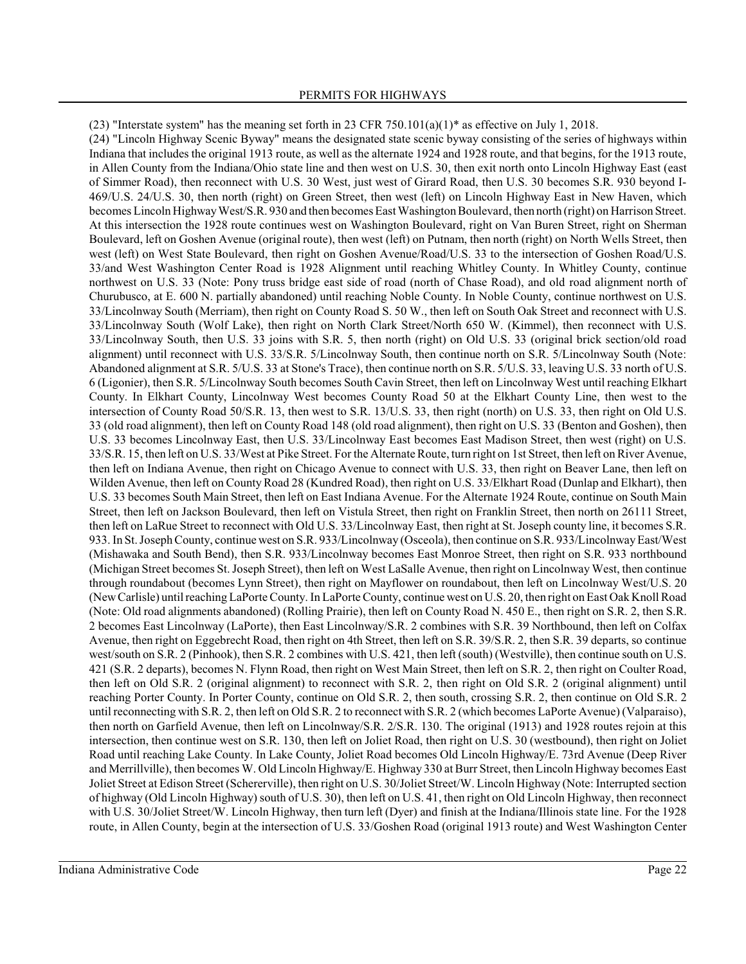(23) "Interstate system" has the meaning set forth in 23 CFR 750.101(a)(1)\* as effective on July 1, 2018.

(24) "Lincoln Highway Scenic Byway" means the designated state scenic byway consisting of the series of highways within Indiana that includes the original 1913 route, as well as the alternate 1924 and 1928 route, and that begins, for the 1913 route, in Allen County from the Indiana/Ohio state line and then west on U.S. 30, then exit north onto Lincoln Highway East (east of Simmer Road), then reconnect with U.S. 30 West, just west of Girard Road, then U.S. 30 becomes S.R. 930 beyond I-469/U.S. 24/U.S. 30, then north (right) on Green Street, then west (left) on Lincoln Highway East in New Haven, which becomes Lincoln HighwayWest/S.R. 930 and then becomes East Washington Boulevard, then north (right) on Harrison Street. At this intersection the 1928 route continues west on Washington Boulevard, right on Van Buren Street, right on Sherman Boulevard, left on Goshen Avenue (original route), then west (left) on Putnam, then north (right) on North Wells Street, then west (left) on West State Boulevard, then right on Goshen Avenue/Road/U.S. 33 to the intersection of Goshen Road/U.S. 33/and West Washington Center Road is 1928 Alignment until reaching Whitley County. In Whitley County, continue northwest on U.S. 33 (Note: Pony truss bridge east side of road (north of Chase Road), and old road alignment north of Churubusco, at E. 600 N. partially abandoned) until reaching Noble County. In Noble County, continue northwest on U.S. 33/Lincolnway South (Merriam), then right on County Road S. 50 W., then left on South Oak Street and reconnect with U.S. 33/Lincolnway South (Wolf Lake), then right on North Clark Street/North 650 W. (Kimmel), then reconnect with U.S. 33/Lincolnway South, then U.S. 33 joins with S.R. 5, then north (right) on Old U.S. 33 (original brick section/old road alignment) until reconnect with U.S. 33/S.R. 5/Lincolnway South, then continue north on S.R. 5/Lincolnway South (Note: Abandoned alignment at S.R. 5/U.S. 33 at Stone's Trace), then continue north on S.R. 5/U.S. 33, leaving U.S. 33 north of U.S. 6 (Ligonier), then S.R. 5/Lincolnway South becomes South Cavin Street, then left on Lincolnway West until reaching Elkhart County. In Elkhart County, Lincolnway West becomes County Road 50 at the Elkhart County Line, then west to the intersection of County Road 50/S.R. 13, then west to S.R. 13/U.S. 33, then right (north) on U.S. 33, then right on Old U.S. 33 (old road alignment), then left on County Road 148 (old road alignment), then right on U.S. 33 (Benton and Goshen), then U.S. 33 becomes Lincolnway East, then U.S. 33/Lincolnway East becomes East Madison Street, then west (right) on U.S. 33/S.R. 15, then left on U.S. 33/West at Pike Street. For the Alternate Route, turn right on 1st Street, then left on River Avenue, then left on Indiana Avenue, then right on Chicago Avenue to connect with U.S. 33, then right on Beaver Lane, then left on Wilden Avenue, then left on County Road 28 (Kundred Road), then right on U.S. 33/Elkhart Road (Dunlap and Elkhart), then U.S. 33 becomes South Main Street, then left on East Indiana Avenue. For the Alternate 1924 Route, continue on South Main Street, then left on Jackson Boulevard, then left on Vistula Street, then right on Franklin Street, then north on 26111 Street, then left on LaRue Street to reconnect with Old U.S. 33/Lincolnway East, then right at St. Joseph county line, it becomes S.R. 933. In St. Joseph County, continue west on S.R. 933/Lincolnway (Osceola), then continue on S.R. 933/Lincolnway East/West (Mishawaka and South Bend), then S.R. 933/Lincolnway becomes East Monroe Street, then right on S.R. 933 northbound (Michigan Street becomes St. Joseph Street), then left on West LaSalle Avenue, then right on Lincolnway West, then continue through roundabout (becomes Lynn Street), then right on Mayflower on roundabout, then left on Lincolnway West/U.S. 20 (NewCarlisle) until reaching LaPorte County. In LaPorte County, continue west on U.S. 20, then right on East Oak Knoll Road (Note: Old road alignments abandoned) (Rolling Prairie), then left on County Road N. 450 E., then right on S.R. 2, then S.R. 2 becomes East Lincolnway (LaPorte), then East Lincolnway/S.R. 2 combines with S.R. 39 Northbound, then left on Colfax Avenue, then right on Eggebrecht Road, then right on 4th Street, then left on S.R. 39/S.R. 2, then S.R. 39 departs, so continue west/south on S.R. 2 (Pinhook), then S.R. 2 combines with U.S. 421, then left (south) (Westville), then continue south on U.S. 421 (S.R. 2 departs), becomes N. Flynn Road, then right on West Main Street, then left on S.R. 2, then right on Coulter Road, then left on Old S.R. 2 (original alignment) to reconnect with S.R. 2, then right on Old S.R. 2 (original alignment) until reaching Porter County. In Porter County, continue on Old S.R. 2, then south, crossing S.R. 2, then continue on Old S.R. 2 until reconnecting with S.R. 2, then left on Old S.R. 2 to reconnect with S.R. 2 (which becomes LaPorte Avenue) (Valparaiso), then north on Garfield Avenue, then left on Lincolnway/S.R. 2/S.R. 130. The original (1913) and 1928 routes rejoin at this intersection, then continue west on S.R. 130, then left on Joliet Road, then right on U.S. 30 (westbound), then right on Joliet Road until reaching Lake County. In Lake County, Joliet Road becomes Old Lincoln Highway/E. 73rd Avenue (Deep River and Merrillville), then becomes W. Old Lincoln Highway/E. Highway 330 at Burr Street, thenLincoln Highway becomes East Joliet Street at Edison Street (Schererville), then right on U.S. 30/Joliet Street/W. Lincoln Highway (Note: Interrupted section of highway (Old Lincoln Highway) south of U.S. 30), then left on U.S. 41, then right on Old Lincoln Highway, then reconnect with U.S. 30/Joliet Street/W. Lincoln Highway, then turn left (Dyer) and finish at the Indiana/Illinois state line. For the 1928 route, in Allen County, begin at the intersection of U.S. 33/Goshen Road (original 1913 route) and West Washington Center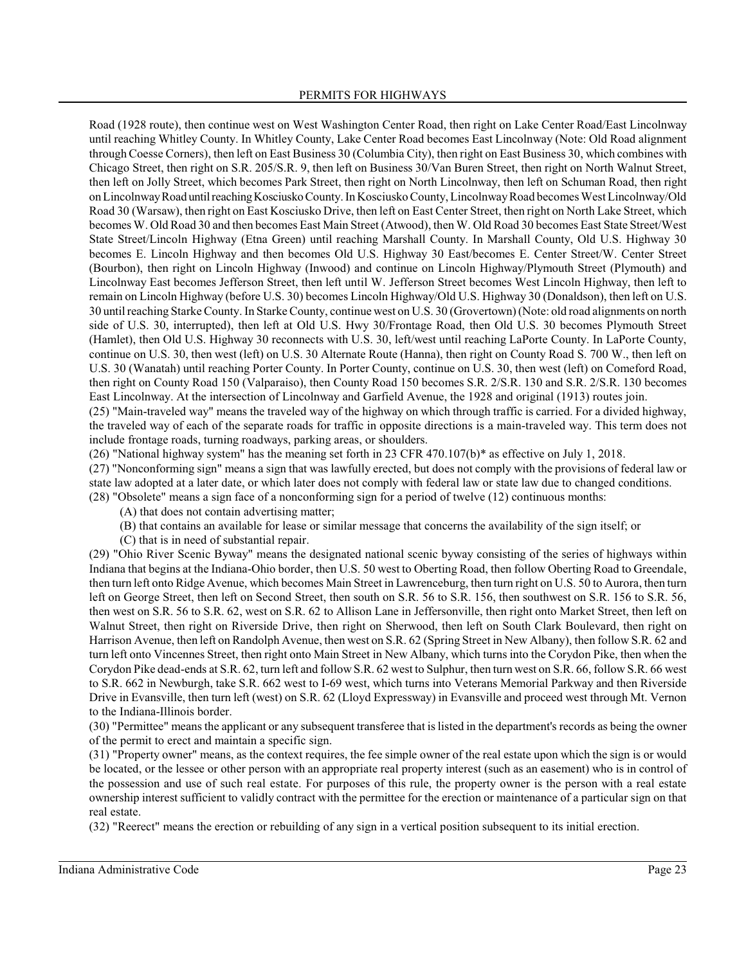Road (1928 route), then continue west on West Washington Center Road, then right on Lake Center Road/East Lincolnway until reaching Whitley County. In Whitley County, Lake Center Road becomes East Lincolnway (Note: Old Road alignment through Coesse Corners), then left on East Business 30 (Columbia City), then right on East Business 30, which combines with Chicago Street, then right on S.R. 205/S.R. 9, then left on Business 30/Van Buren Street, then right on North Walnut Street, then left on Jolly Street, which becomes Park Street, then right on North Lincolnway, then left on Schuman Road, then right on LincolnwayRoad untilreachingKosciusko County. In Kosciusko County, LincolnwayRoad becomes West Lincolnway/Old Road 30 (Warsaw), then right on East Kosciusko Drive, then left on East Center Street, then right on North Lake Street, which becomes W. Old Road 30 and then becomes East Main Street (Atwood), then W. Old Road 30 becomes East State Street/West State Street/Lincoln Highway (Etna Green) until reaching Marshall County. In Marshall County, Old U.S. Highway 30 becomes E. Lincoln Highway and then becomes Old U.S. Highway 30 East/becomes E. Center Street/W. Center Street (Bourbon), then right on Lincoln Highway (Inwood) and continue on Lincoln Highway/Plymouth Street (Plymouth) and Lincolnway East becomes Jefferson Street, then left until W. Jefferson Street becomes West Lincoln Highway, then left to remain on Lincoln Highway (before U.S. 30) becomes Lincoln Highway/Old U.S. Highway 30 (Donaldson), then left on U.S. 30 until reaching Starke County. In Starke County, continue west on U.S. 30 (Grovertown) (Note: old road alignments on north side of U.S. 30, interrupted), then left at Old U.S. Hwy 30/Frontage Road, then Old U.S. 30 becomes Plymouth Street (Hamlet), then Old U.S. Highway 30 reconnects with U.S. 30, left/west until reaching LaPorte County. In LaPorte County, continue on U.S. 30, then west (left) on U.S. 30 Alternate Route (Hanna), then right on County Road S. 700 W., then left on U.S. 30 (Wanatah) until reaching Porter County. In Porter County, continue on U.S. 30, then west (left) on Comeford Road, then right on County Road 150 (Valparaiso), then County Road 150 becomes S.R. 2/S.R. 130 and S.R. 2/S.R. 130 becomes East Lincolnway. At the intersection of Lincolnway and Garfield Avenue, the 1928 and original (1913) routes join.

(25) "Main-traveled way" means the traveled way of the highway on which through traffic is carried. For a divided highway, the traveled way of each of the separate roads for traffic in opposite directions is a main-traveled way. This term does not include frontage roads, turning roadways, parking areas, or shoulders.

(26) "National highway system" has the meaning set forth in 23 CFR 470.107(b)\* as effective on July 1, 2018.

(27) "Nonconforming sign" means a sign that was lawfully erected, but does not comply with the provisions of federal law or state law adopted at a later date, or which later does not comply with federal law or state law due to changed conditions. (28) "Obsolete" means a sign face of a nonconforming sign for a period of twelve (12) continuous months:

- (A) that does not contain advertising matter;
- (B) that contains an available for lease or similar message that concerns the availability of the sign itself; or
- (C) that is in need of substantial repair.

(29) "Ohio River Scenic Byway" means the designated national scenic byway consisting of the series of highways within Indiana that begins at the Indiana-Ohio border, then U.S. 50 west to Oberting Road, then follow Oberting Road to Greendale, then turn left onto Ridge Avenue, which becomes Main Street in Lawrenceburg, then turn right on U.S. 50 to Aurora, then turn left on George Street, then left on Second Street, then south on S.R. 56 to S.R. 156, then southwest on S.R. 156 to S.R. 56, then west on S.R. 56 to S.R. 62, west on S.R. 62 to Allison Lane in Jeffersonville, then right onto Market Street, then left on Walnut Street, then right on Riverside Drive, then right on Sherwood, then left on South Clark Boulevard, then right on Harrison Avenue, then left on Randolph Avenue, then west on S.R. 62 (Spring Street in New Albany), then follow S.R. 62 and turn left onto Vincennes Street, then right onto Main Street in New Albany, which turns into the Corydon Pike, then when the Corydon Pike dead-ends at S.R. 62, turn left and followS.R. 62 west to Sulphur, then turn west on S.R. 66, follow S.R. 66 west to S.R. 662 in Newburgh, take S.R. 662 west to I-69 west, which turns into Veterans Memorial Parkway and then Riverside Drive in Evansville, then turn left (west) on S.R. 62 (Lloyd Expressway) in Evansville and proceed west through Mt. Vernon to the Indiana-Illinois border.

(30) "Permittee" means the applicant or any subsequent transferee that is listed in the department's records as being the owner of the permit to erect and maintain a specific sign.

(31) "Property owner" means, as the context requires, the fee simple owner of the real estate upon which the sign is or would be located, or the lessee or other person with an appropriate real property interest (such as an easement) who is in control of the possession and use of such real estate. For purposes of this rule, the property owner is the person with a real estate ownership interest sufficient to validly contract with the permittee for the erection or maintenance of a particular sign on that real estate.

(32) "Reerect" means the erection or rebuilding of any sign in a vertical position subsequent to its initial erection.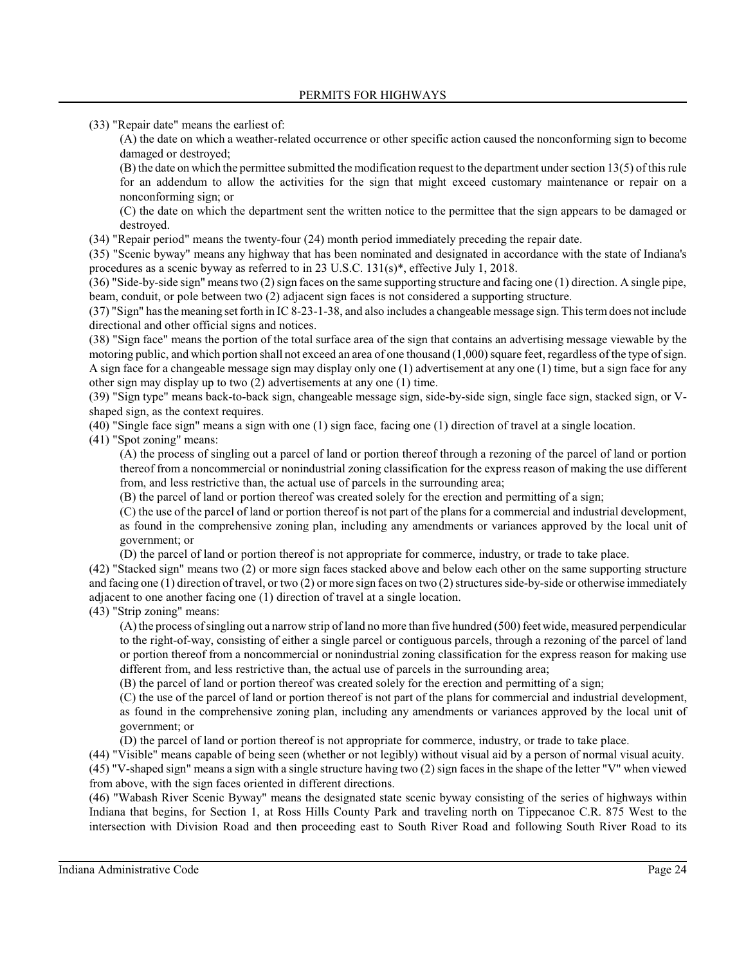(33) "Repair date" means the earliest of:

(A) the date on which a weather-related occurrence or other specific action caused the nonconforming sign to become damaged or destroyed;

(B) the date on which the permittee submitted the modification request to the department undersection 13(5) of thisrule for an addendum to allow the activities for the sign that might exceed customary maintenance or repair on a nonconforming sign; or

(C) the date on which the department sent the written notice to the permittee that the sign appears to be damaged or destroyed.

(34) "Repair period" means the twenty-four (24) month period immediately preceding the repair date.

(35) "Scenic byway" means any highway that has been nominated and designated in accordance with the state of Indiana's procedures as a scenic byway as referred to in 23 U.S.C. 131(s)\*, effective July 1, 2018.

(36) "Side-by-side sign" means two (2) sign faces on the same supporting structure and facing one (1) direction. A single pipe, beam, conduit, or pole between two (2) adjacent sign faces is not considered a supporting structure.

(37) "Sign" has the meaning set forth in IC 8-23-1-38, and also includes a changeable message sign. Thistermdoes not include directional and other official signs and notices.

(38) "Sign face" means the portion of the total surface area of the sign that contains an advertising message viewable by the motoring public, and which portion shall not exceed an area of one thousand  $(1,000)$  square feet, regardless of the type of sign. A sign face for a changeable message sign may display only one (1) advertisement at any one (1) time, but a sign face for any other sign may display up to two (2) advertisements at any one (1) time.

(39) "Sign type" means back-to-back sign, changeable message sign, side-by-side sign, single face sign, stacked sign, or Vshaped sign, as the context requires.

(40) "Single face sign" means a sign with one (1) sign face, facing one (1) direction of travel at a single location.

(41) "Spot zoning" means:

(A) the process of singling out a parcel of land or portion thereof through a rezoning of the parcel of land or portion thereof from a noncommercial or nonindustrial zoning classification for the express reason of making the use different from, and less restrictive than, the actual use of parcels in the surrounding area;

(B) the parcel of land or portion thereof was created solely for the erection and permitting of a sign;

(C) the use of the parcel of land or portion thereof is not part of the plans for a commercial and industrial development, as found in the comprehensive zoning plan, including any amendments or variances approved by the local unit of government; or

(D) the parcel of land or portion thereof is not appropriate for commerce, industry, or trade to take place.

(42) "Stacked sign" means two (2) or more sign faces stacked above and below each other on the same supporting structure and facing one (1) direction of travel, or two (2) or more sign faces on two (2) structures side-by-side or otherwise immediately adjacent to one another facing one (1) direction of travel at a single location.

(43) "Strip zoning" means:

(A) the process of singling out a narrow strip of land no more than five hundred (500) feet wide, measured perpendicular to the right-of-way, consisting of either a single parcel or contiguous parcels, through a rezoning of the parcel of land or portion thereof from a noncommercial or nonindustrial zoning classification for the express reason for making use different from, and less restrictive than, the actual use of parcels in the surrounding area;

(B) the parcel of land or portion thereof was created solely for the erection and permitting of a sign;

(C) the use of the parcel of land or portion thereof is not part of the plans for commercial and industrial development, as found in the comprehensive zoning plan, including any amendments or variances approved by the local unit of government; or

(D) the parcel of land or portion thereof is not appropriate for commerce, industry, or trade to take place.

(44) "Visible" means capable of being seen (whether or not legibly) without visual aid by a person of normal visual acuity. (45) "V-shaped sign" means a sign with a single structure having two (2) sign faces in the shape of the letter "V" when viewed from above, with the sign faces oriented in different directions.

(46) "Wabash River Scenic Byway" means the designated state scenic byway consisting of the series of highways within Indiana that begins, for Section 1, at Ross Hills County Park and traveling north on Tippecanoe C.R. 875 West to the intersection with Division Road and then proceeding east to South River Road and following South River Road to its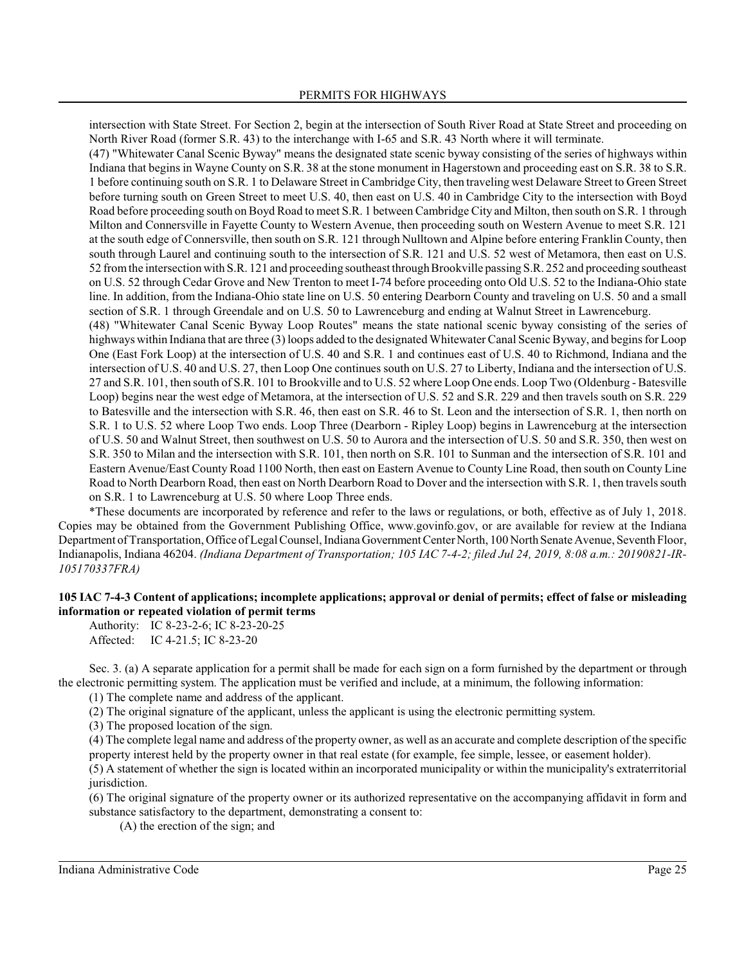intersection with State Street. For Section 2, begin at the intersection of South River Road at State Street and proceeding on North River Road (former S.R. 43) to the interchange with I-65 and S.R. 43 North where it will terminate.

(47) "Whitewater Canal Scenic Byway" means the designated state scenic byway consisting of the series of highways within Indiana that begins in Wayne County on S.R. 38 at the stone monument in Hagerstown and proceeding east on S.R. 38 to S.R. 1 before continuing south on S.R. 1 to Delaware Street in Cambridge City, then traveling west Delaware Street to Green Street before turning south on Green Street to meet U.S. 40, then east on U.S. 40 in Cambridge City to the intersection with Boyd Road before proceeding south on Boyd Road to meet S.R. 1 between Cambridge City and Milton, then south on S.R. 1 through Milton and Connersville in Fayette County to Western Avenue, then proceeding south on Western Avenue to meet S.R. 121 at the south edge of Connersville, then south on S.R. 121 through Nulltown and Alpine before entering Franklin County, then south through Laurel and continuing south to the intersection of S.R. 121 and U.S. 52 west of Metamora, then east on U.S. 52 from the intersection with S.R. 121 and proceeding southeast through Brookville passing S.R. 252 and proceeding southeast on U.S. 52 through Cedar Grove and New Trenton to meet I-74 before proceeding onto Old U.S. 52 to the Indiana-Ohio state line. In addition, from the Indiana-Ohio state line on U.S. 50 entering Dearborn County and traveling on U.S. 50 and a small section of S.R. 1 through Greendale and on U.S. 50 to Lawrenceburg and ending at Walnut Street in Lawrenceburg.

(48) "Whitewater Canal Scenic Byway Loop Routes" means the state national scenic byway consisting of the series of highways within Indiana that are three (3) loops added to the designated Whitewater Canal Scenic Byway, and begins for Loop One (East Fork Loop) at the intersection of U.S. 40 and S.R. 1 and continues east of U.S. 40 to Richmond, Indiana and the intersection of U.S. 40 and U.S. 27, then Loop One continues south on U.S. 27 to Liberty, Indiana and the intersection of U.S. 27 and S.R. 101, then south of S.R. 101 to Brookville and to U.S. 52 where Loop One ends. Loop Two (Oldenburg - Batesville Loop) begins near the west edge of Metamora, at the intersection of U.S. 52 and S.R. 229 and then travels south on S.R. 229 to Batesville and the intersection with S.R. 46, then east on S.R. 46 to St. Leon and the intersection of S.R. 1, then north on S.R. 1 to U.S. 52 where Loop Two ends. Loop Three (Dearborn - Ripley Loop) begins in Lawrenceburg at the intersection of U.S. 50 and Walnut Street, then southwest on U.S. 50 to Aurora and the intersection of U.S. 50 and S.R. 350, then west on S.R. 350 to Milan and the intersection with S.R. 101, then north on S.R. 101 to Sunman and the intersection of S.R. 101 and Eastern Avenue/East County Road 1100 North, then east on Eastern Avenue to County Line Road, then south on County Line Road to North Dearborn Road, then east on North Dearborn Road to Dover and the intersection with S.R. 1, then travels south on S.R. 1 to Lawrenceburg at U.S. 50 where Loop Three ends.

\*These documents are incorporated by reference and refer to the laws or regulations, or both, effective as of July 1, 2018. Copies may be obtained from the Government Publishing Office, www.govinfo.gov, or are available for review at the Indiana Department of Transportation, Office of Legal Counsel, IndianaGovernment Center North, 100 North Senate Avenue, Seventh Floor, Indianapolis, Indiana 46204. *(Indiana Department of Transportation; 105 IAC 7-4-2; filed Jul 24, 2019, 8:08 a.m.: 20190821-IR-105170337FRA)*

#### **105 IAC 7-4-3 Content of applications; incomplete applications; approval or denial of permits; effect of false or misleading information or repeated violation of permit terms**

Authority: IC 8-23-2-6; IC 8-23-20-25 Affected: IC 4-21.5; IC 8-23-20

Sec. 3. (a) A separate application for a permit shall be made for each sign on a form furnished by the department or through the electronic permitting system. The application must be verified and include, at a minimum, the following information:

(1) The complete name and address of the applicant.

(2) The original signature of the applicant, unless the applicant is using the electronic permitting system.

(3) The proposed location of the sign.

(4) The complete legal name and address of the property owner, as well as an accurate and complete description of the specific property interest held by the property owner in that real estate (for example, fee simple, lessee, or easement holder).

(5) A statement of whether the sign is located within an incorporated municipality or within the municipality's extraterritorial jurisdiction.

(6) The original signature of the property owner or its authorized representative on the accompanying affidavit in form and substance satisfactory to the department, demonstrating a consent to:

(A) the erection of the sign; and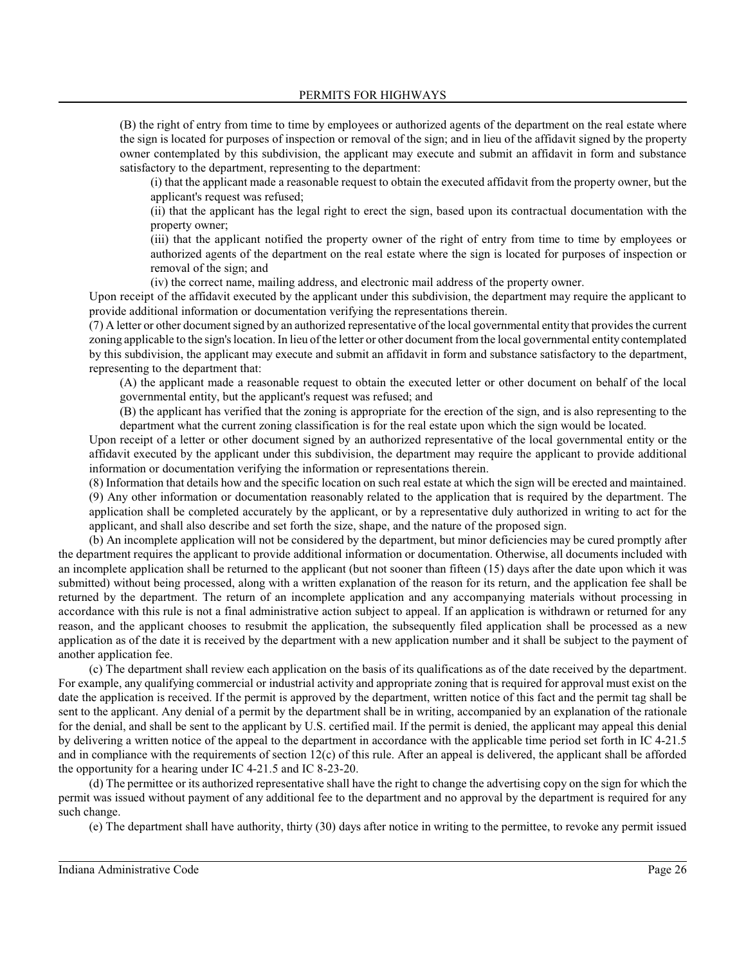(B) the right of entry from time to time by employees or authorized agents of the department on the real estate where the sign is located for purposes of inspection or removal of the sign; and in lieu of the affidavit signed by the property owner contemplated by this subdivision, the applicant may execute and submit an affidavit in form and substance satisfactory to the department, representing to the department:

(i) that the applicant made a reasonable request to obtain the executed affidavit from the property owner, but the applicant's request was refused;

(ii) that the applicant has the legal right to erect the sign, based upon its contractual documentation with the property owner;

(iii) that the applicant notified the property owner of the right of entry from time to time by employees or authorized agents of the department on the real estate where the sign is located for purposes of inspection or removal of the sign; and

(iv) the correct name, mailing address, and electronic mail address of the property owner.

Upon receipt of the affidavit executed by the applicant under this subdivision, the department may require the applicant to provide additional information or documentation verifying the representations therein.

(7) A letter or other document signed by an authorized representative of the local governmental entity that provides the current zoning applicable to the sign's location. In lieu of the letter or other document from the local governmental entity contemplated by this subdivision, the applicant may execute and submit an affidavit in form and substance satisfactory to the department, representing to the department that:

(A) the applicant made a reasonable request to obtain the executed letter or other document on behalf of the local governmental entity, but the applicant's request was refused; and

(B) the applicant has verified that the zoning is appropriate for the erection of the sign, and is also representing to the department what the current zoning classification is for the real estate upon which the sign would be located.

Upon receipt of a letter or other document signed by an authorized representative of the local governmental entity or the affidavit executed by the applicant under this subdivision, the department may require the applicant to provide additional information or documentation verifying the information or representations therein.

(8) Information that details how and the specific location on such real estate at which the sign will be erected and maintained. (9) Any other information or documentation reasonably related to the application that is required by the department. The application shall be completed accurately by the applicant, or by a representative duly authorized in writing to act for the applicant, and shall also describe and set forth the size, shape, and the nature of the proposed sign.

(b) An incomplete application will not be considered by the department, but minor deficiencies may be cured promptly after the department requires the applicant to provide additional information or documentation. Otherwise, all documents included with an incomplete application shall be returned to the applicant (but not sooner than fifteen (15) days after the date upon which it was submitted) without being processed, along with a written explanation of the reason for its return, and the application fee shall be returned by the department. The return of an incomplete application and any accompanying materials without processing in accordance with this rule is not a final administrative action subject to appeal. If an application is withdrawn or returned for any reason, and the applicant chooses to resubmit the application, the subsequently filed application shall be processed as a new application as of the date it is received by the department with a new application number and it shall be subject to the payment of another application fee.

(c) The department shall review each application on the basis of its qualifications as of the date received by the department. For example, any qualifying commercial or industrial activity and appropriate zoning that is required for approval must exist on the date the application is received. If the permit is approved by the department, written notice of this fact and the permit tag shall be sent to the applicant. Any denial of a permit by the department shall be in writing, accompanied by an explanation of the rationale for the denial, and shall be sent to the applicant by U.S. certified mail. If the permit is denied, the applicant may appeal this denial by delivering a written notice of the appeal to the department in accordance with the applicable time period set forth in IC 4-21.5 and in compliance with the requirements of section 12(c) of this rule. After an appeal is delivered, the applicant shall be afforded the opportunity for a hearing under IC 4-21.5 and IC 8-23-20.

(d) The permittee or its authorized representative shall have the right to change the advertising copy on the sign for which the permit was issued without payment of any additional fee to the department and no approval by the department is required for any such change.

(e) The department shall have authority, thirty (30) days after notice in writing to the permittee, to revoke any permit issued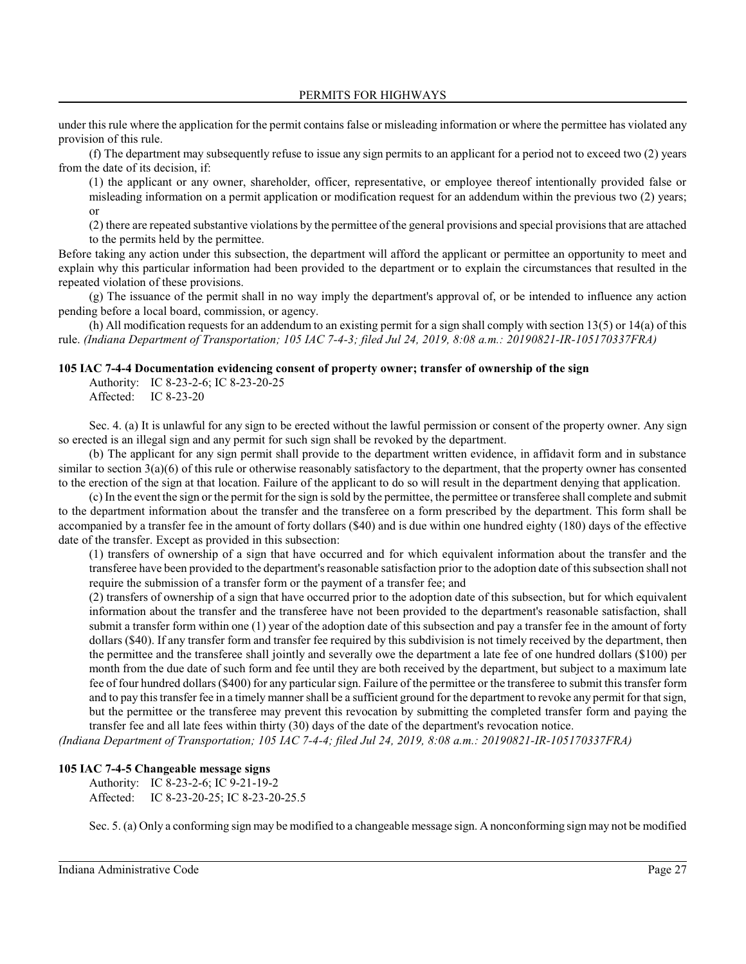under this rule where the application for the permit contains false or misleading information or where the permittee has violated any provision of this rule.

(f) The department may subsequently refuse to issue any sign permits to an applicant for a period not to exceed two (2) years from the date of its decision, if:

(1) the applicant or any owner, shareholder, officer, representative, or employee thereof intentionally provided false or misleading information on a permit application or modification request for an addendum within the previous two (2) years; or

(2) there are repeated substantive violations by the permittee of the general provisions and special provisions that are attached to the permits held by the permittee.

Before taking any action under this subsection, the department will afford the applicant or permittee an opportunity to meet and explain why this particular information had been provided to the department or to explain the circumstances that resulted in the repeated violation of these provisions.

(g) The issuance of the permit shall in no way imply the department's approval of, or be intended to influence any action pending before a local board, commission, or agency.

(h) All modification requests for an addendum to an existing permit for a sign shall comply with section  $13(5)$  or  $14(a)$  of this rule. *(Indiana Department of Transportation; 105 IAC 7-4-3; filed Jul 24, 2019, 8:08 a.m.: 20190821-IR-105170337FRA)*

#### **105 IAC 7-4-4 Documentation evidencing consent of property owner; transfer of ownership of the sign**

Authority: IC 8-23-2-6; IC 8-23-20-25 Affected: IC 8-23-20

Sec. 4. (a) It is unlawful for any sign to be erected without the lawful permission or consent of the property owner. Any sign so erected is an illegal sign and any permit for such sign shall be revoked by the department.

(b) The applicant for any sign permit shall provide to the department written evidence, in affidavit form and in substance similar to section  $3(a)(6)$  of this rule or otherwise reasonably satisfactory to the department, that the property owner has consented to the erection of the sign at that location. Failure of the applicant to do so will result in the department denying that application.

(c) In the event the sign or the permit for the sign is sold by the permittee, the permittee or transferee shall complete and submit to the department information about the transfer and the transferee on a form prescribed by the department. This form shall be accompanied by a transfer fee in the amount of forty dollars (\$40) and is due within one hundred eighty (180) days of the effective date of the transfer. Except as provided in this subsection:

(1) transfers of ownership of a sign that have occurred and for which equivalent information about the transfer and the transferee have been provided to the department's reasonable satisfaction prior to the adoption date of thissubsection shall not require the submission of a transfer form or the payment of a transfer fee; and

(2) transfers of ownership of a sign that have occurred prior to the adoption date of this subsection, but for which equivalent information about the transfer and the transferee have not been provided to the department's reasonable satisfaction, shall submit a transfer form within one (1) year of the adoption date of this subsection and pay a transfer fee in the amount of forty dollars (\$40). If any transfer form and transfer fee required by this subdivision is not timely received by the department, then the permittee and the transferee shall jointly and severally owe the department a late fee of one hundred dollars (\$100) per month from the due date of such form and fee until they are both received by the department, but subject to a maximum late fee of four hundred dollars (\$400) for any particular sign. Failure of the permittee or the transferee to submit thistransfer form and to pay thistransfer fee in a timely manner shall be a sufficient ground for the department to revoke any permit for that sign, but the permittee or the transferee may prevent this revocation by submitting the completed transfer form and paying the transfer fee and all late fees within thirty (30) days of the date of the department's revocation notice.

*(Indiana Department of Transportation; 105 IAC 7-4-4; filed Jul 24, 2019, 8:08 a.m.: 20190821-IR-105170337FRA)*

#### **105 IAC 7-4-5 Changeable message signs**

Authority: IC 8-23-2-6; IC 9-21-19-2 Affected: IC 8-23-20-25; IC 8-23-20-25.5

Sec. 5. (a) Only a conforming sign may be modified to a changeable message sign. A nonconforming sign may not be modified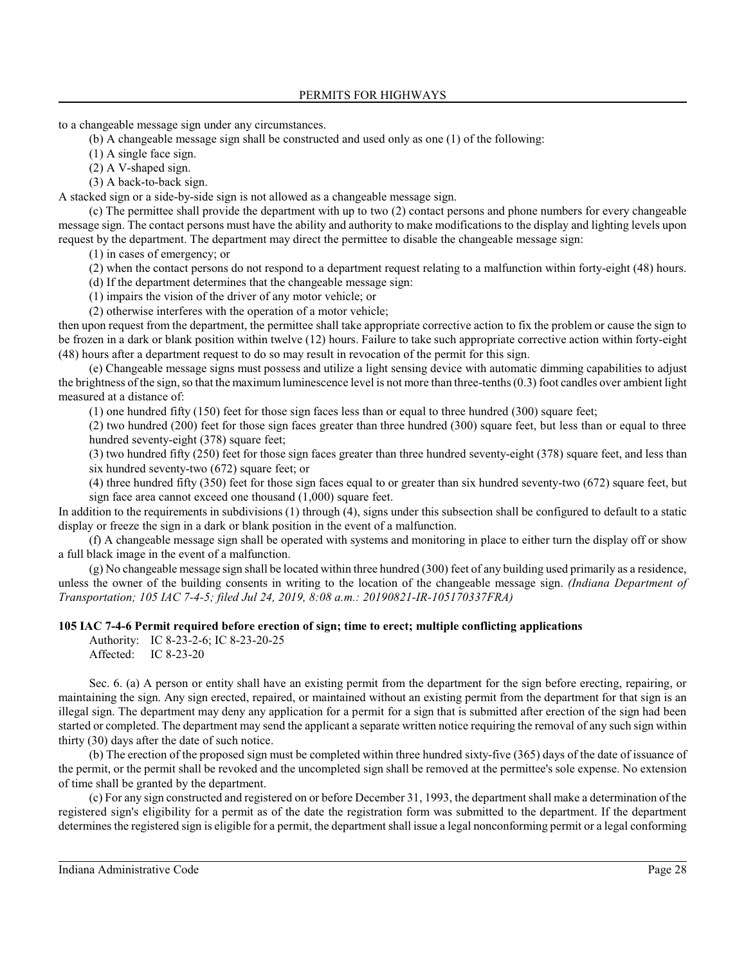to a changeable message sign under any circumstances.

(b) A changeable message sign shall be constructed and used only as one (1) of the following:

(1) A single face sign.

(2) A V-shaped sign.

(3) A back-to-back sign.

A stacked sign or a side-by-side sign is not allowed as a changeable message sign.

(c) The permittee shall provide the department with up to two (2) contact persons and phone numbers for every changeable message sign. The contact persons must have the ability and authority to make modifications to the display and lighting levels upon request by the department. The department may direct the permittee to disable the changeable message sign:

(1) in cases of emergency; or

(2) when the contact persons do not respond to a department request relating to a malfunction within forty-eight (48) hours.

(d) If the department determines that the changeable message sign:

(1) impairs the vision of the driver of any motor vehicle; or

(2) otherwise interferes with the operation of a motor vehicle;

then upon request from the department, the permittee shall take appropriate corrective action to fix the problem or cause the sign to be frozen in a dark or blank position within twelve (12) hours. Failure to take such appropriate corrective action within forty-eight (48) hours after a department request to do so may result in revocation of the permit for this sign.

(e) Changeable message signs must possess and utilize a light sensing device with automatic dimming capabilities to adjust the brightness of the sign, so that the maximum luminescence level is not more than three-tenths(0.3) foot candles over ambient light measured at a distance of:

(1) one hundred fifty (150) feet for those sign faces less than or equal to three hundred (300) square feet;

(2) two hundred (200) feet for those sign faces greater than three hundred (300) square feet, but less than or equal to three hundred seventy-eight (378) square feet;

(3) two hundred fifty (250) feet for those sign faces greater than three hundred seventy-eight (378) square feet, and less than six hundred seventy-two (672) square feet; or

(4) three hundred fifty (350) feet for those sign faces equal to or greater than six hundred seventy-two (672) square feet, but sign face area cannot exceed one thousand (1,000) square feet.

In addition to the requirements in subdivisions (1) through (4), signs under this subsection shall be configured to default to a static display or freeze the sign in a dark or blank position in the event of a malfunction.

(f) A changeable message sign shall be operated with systems and monitoring in place to either turn the display off or show a full black image in the event of a malfunction.

(g) No changeable message sign shall be located within three hundred (300) feet of any building used primarily as a residence, unless the owner of the building consents in writing to the location of the changeable message sign. *(Indiana Department of Transportation; 105 IAC 7-4-5; filed Jul 24, 2019, 8:08 a.m.: 20190821-IR-105170337FRA)*

## **105 IAC 7-4-6 Permit required before erection of sign; time to erect; multiple conflicting applications**

Authority: IC 8-23-2-6; IC 8-23-20-25 Affected: IC 8-23-20

Sec. 6. (a) A person or entity shall have an existing permit from the department for the sign before erecting, repairing, or maintaining the sign. Any sign erected, repaired, or maintained without an existing permit from the department for that sign is an illegal sign. The department may deny any application for a permit for a sign that is submitted after erection of the sign had been started or completed. The department may send the applicant a separate written notice requiring the removal of any such sign within thirty (30) days after the date of such notice.

(b) The erection of the proposed sign must be completed within three hundred sixty-five (365) days of the date of issuance of the permit, or the permit shall be revoked and the uncompleted sign shall be removed at the permittee's sole expense. No extension of time shall be granted by the department.

(c) For any sign constructed and registered on or before December 31, 1993, the department shall make a determination of the registered sign's eligibility for a permit as of the date the registration form was submitted to the department. If the department determines the registered sign is eligible for a permit, the department shall issue a legal nonconforming permit or a legal conforming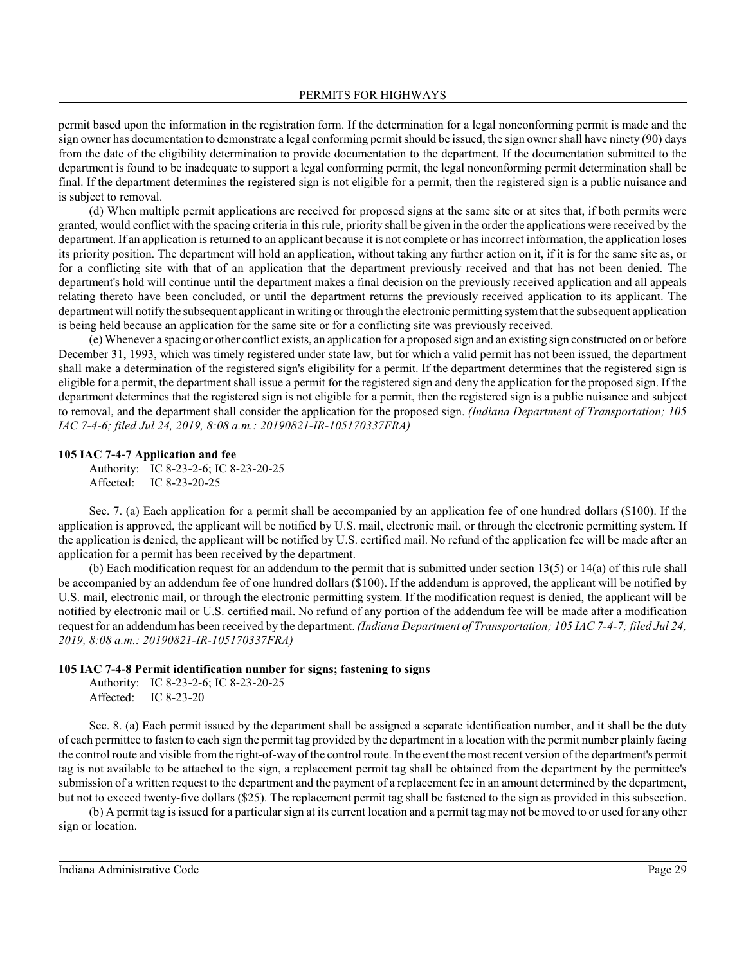permit based upon the information in the registration form. If the determination for a legal nonconforming permit is made and the sign owner has documentation to demonstrate a legal conforming permit should be issued, the sign owner shall have ninety (90) days from the date of the eligibility determination to provide documentation to the department. If the documentation submitted to the department is found to be inadequate to support a legal conforming permit, the legal nonconforming permit determination shall be final. If the department determines the registered sign is not eligible for a permit, then the registered sign is a public nuisance and is subject to removal.

(d) When multiple permit applications are received for proposed signs at the same site or at sites that, if both permits were granted, would conflict with the spacing criteria in thisrule, priority shall be given in the order the applications were received by the department. If an application is returned to an applicant because it is not complete or has incorrect information, the application loses its priority position. The department will hold an application, without taking any further action on it, if it is for the same site as, or for a conflicting site with that of an application that the department previously received and that has not been denied. The department's hold will continue until the department makes a final decision on the previously received application and all appeals relating thereto have been concluded, or until the department returns the previously received application to its applicant. The department will notify the subsequent applicant in writing or through the electronic permitting systemthat the subsequent application is being held because an application for the same site or for a conflicting site was previously received.

(e) Whenever a spacing or other conflict exists, an application for a proposed sign and an existing sign constructed on or before December 31, 1993, which was timely registered under state law, but for which a valid permit has not been issued, the department shall make a determination of the registered sign's eligibility for a permit. If the department determines that the registered sign is eligible for a permit, the department shall issue a permit for the registered sign and deny the application for the proposed sign. If the department determines that the registered sign is not eligible for a permit, then the registered sign is a public nuisance and subject to removal, and the department shall consider the application for the proposed sign. *(Indiana Department of Transportation; 105 IAC 7-4-6; filed Jul 24, 2019, 8:08 a.m.: 20190821-IR-105170337FRA)*

#### **105 IAC 7-4-7 Application and fee**

Authority: IC 8-23-2-6; IC 8-23-20-25 Affected: IC 8-23-20-25

Sec. 7. (a) Each application for a permit shall be accompanied by an application fee of one hundred dollars (\$100). If the application is approved, the applicant will be notified by U.S. mail, electronic mail, or through the electronic permitting system. If the application is denied, the applicant will be notified by U.S. certified mail. No refund of the application fee will be made after an application for a permit has been received by the department.

(b) Each modification request for an addendum to the permit that is submitted under section 13(5) or 14(a) of this rule shall be accompanied by an addendum fee of one hundred dollars (\$100). If the addendum is approved, the applicant will be notified by U.S. mail, electronic mail, or through the electronic permitting system. If the modification request is denied, the applicant will be notified by electronic mail or U.S. certified mail. No refund of any portion of the addendum fee will be made after a modification request for an addendum has been received by the department. *(Indiana Department of Transportation; 105 IAC 7-4-7; filed Jul 24, 2019, 8:08 a.m.: 20190821-IR-105170337FRA)*

#### **105 IAC 7-4-8 Permit identification number for signs; fastening to signs**

Authority: IC 8-23-2-6; IC 8-23-20-25 Affected: IC 8-23-20

Sec. 8. (a) Each permit issued by the department shall be assigned a separate identification number, and it shall be the duty of each permittee to fasten to each sign the permit tag provided by the department in a location with the permit number plainly facing the control route and visible fromthe right-of-way of the control route. In the event the most recent version of the department's permit tag is not available to be attached to the sign, a replacement permit tag shall be obtained from the department by the permittee's submission of a written request to the department and the payment of a replacement fee in an amount determined by the department, but not to exceed twenty-five dollars (\$25). The replacement permit tag shall be fastened to the sign as provided in this subsection.

(b) A permit tag is issued for a particular sign at its current location and a permit tag may not be moved to or used for any other sign or location.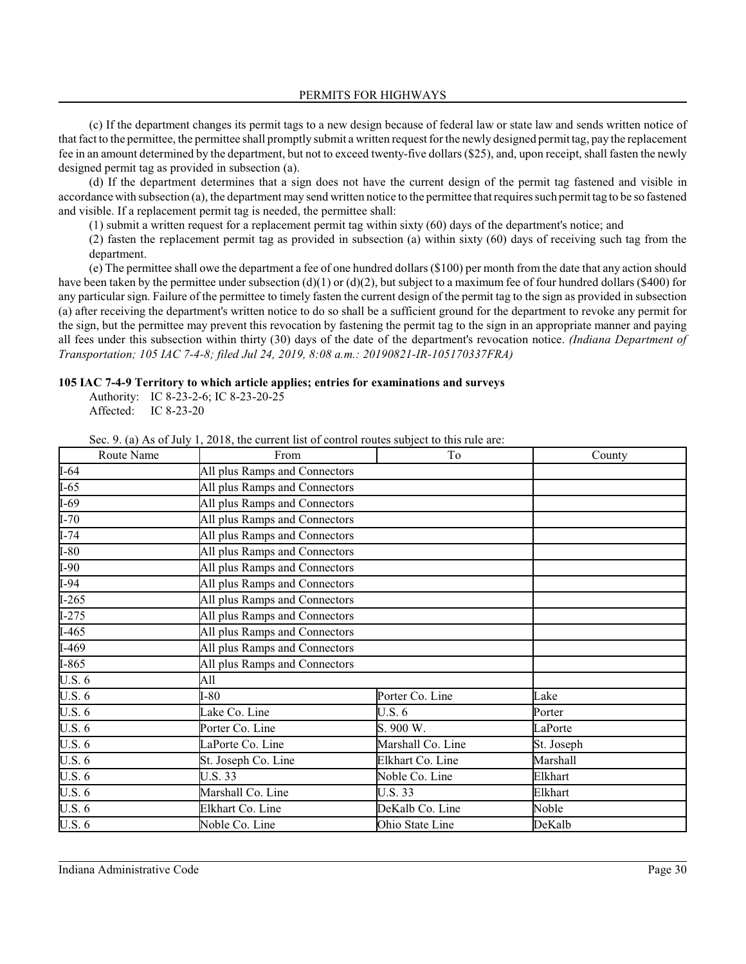(c) If the department changes its permit tags to a new design because of federal law or state law and sends written notice of that fact to the permittee, the permittee shall promptly submit a written request for the newly designed permit tag, pay the replacement fee in an amount determined by the department, but not to exceed twenty-five dollars (\$25), and, upon receipt, shall fasten the newly designed permit tag as provided in subsection (a).

(d) If the department determines that a sign does not have the current design of the permit tag fastened and visible in accordance with subsection (a), the department may send written notice to the permittee that requires such permit tag to be so fastened and visible. If a replacement permit tag is needed, the permittee shall:

(1) submit a written request for a replacement permit tag within sixty (60) days of the department's notice; and

(2) fasten the replacement permit tag as provided in subsection (a) within sixty (60) days of receiving such tag from the department.

(e) The permittee shall owe the department a fee of one hundred dollars (\$100) per month from the date that any action should have been taken by the permittee under subsection  $(d)(1)$  or  $(d)(2)$ , but subject to a maximum fee of four hundred dollars (\$400) for any particular sign. Failure of the permittee to timely fasten the current design of the permit tag to the sign as provided in subsection (a) after receiving the department's written notice to do so shall be a sufficient ground for the department to revoke any permit for the sign, but the permittee may prevent this revocation by fastening the permit tag to the sign in an appropriate manner and paying all fees under this subsection within thirty (30) days of the date of the department's revocation notice. *(Indiana Department of Transportation; 105 IAC 7-4-8; filed Jul 24, 2019, 8:08 a.m.: 20190821-IR-105170337FRA)*

## **105 IAC 7-4-9 Territory to which article applies; entries for examinations and surveys**

Authority: IC 8-23-2-6; IC 8-23-20-25 Affected: IC 8-23-20

| Route Name         | From                          | To                | County     |
|--------------------|-------------------------------|-------------------|------------|
| $I-64$             | All plus Ramps and Connectors |                   |            |
| $I-65$             | All plus Ramps and Connectors |                   |            |
| $I-69$             | All plus Ramps and Connectors |                   |            |
| $I-70$             | All plus Ramps and Connectors |                   |            |
| $I-74$             | All plus Ramps and Connectors |                   |            |
| $I-80$             | All plus Ramps and Connectors |                   |            |
| $I-90$             | All plus Ramps and Connectors |                   |            |
| $I-94$             | All plus Ramps and Connectors |                   |            |
| $I-265$            | All plus Ramps and Connectors |                   |            |
| $I-275$            | All plus Ramps and Connectors |                   |            |
| $I-465$            | All plus Ramps and Connectors |                   |            |
| $I-469$            | All plus Ramps and Connectors |                   |            |
| $I-86\overline{5}$ | All plus Ramps and Connectors |                   |            |
| U.S. 6             | A11                           |                   |            |
| U.S. 6             | I-80                          | Porter Co. Line   | Lake       |
| U.S. 6             | Lake Co. Line                 | U.S. 6            | Porter     |
| U.S. 6             | Porter Co. Line               | S. 900 W.         | LaPorte    |
| U.S. 6             | LaPorte Co. Line              | Marshall Co. Line | St. Joseph |
| U.S. 6             | St. Joseph Co. Line           | Elkhart Co. Line  | Marshall   |
| $U.S.\overline{6}$ | <b>U.S. 33</b>                | Noble Co. Line    | Elkhart    |
| U.S. 6             | Marshall Co. Line             | U.S. 33           | Elkhart    |
| U.S. 6             | Elkhart Co. Line              | DeKalb Co. Line   | Noble      |
| U.S. 6             | Noble Co. Line                | Ohio State Line   | DeKalb     |

Sec. 9. (a) As of July 1, 2018, the current list of control routes subject to this rule are: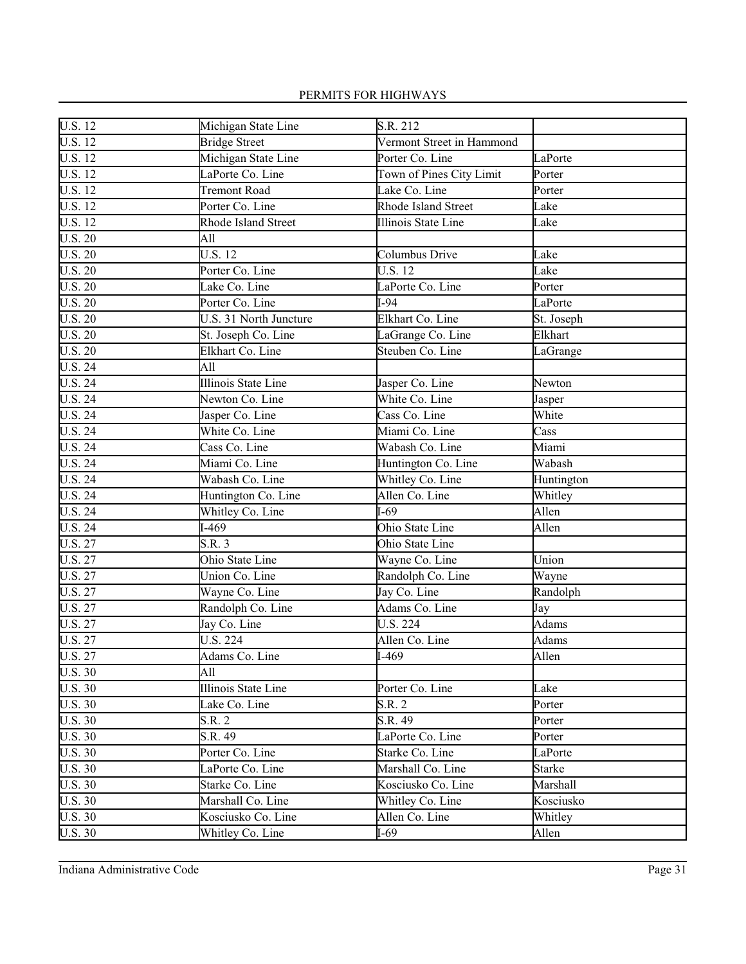| <b>U.S. 12</b>       | Michigan State Line    | S.R. 212                  |            |
|----------------------|------------------------|---------------------------|------------|
| U.S. 12              | <b>Bridge Street</b>   | Vermont Street in Hammond |            |
| U.S. 12              | Michigan State Line    | Porter Co. Line           | LaPorte    |
| $\overline{U.S. 12}$ | LaPorte Co. Line       | Town of Pines City Limit  | Porter     |
| U.S. 12              | <b>Tremont Road</b>    | Lake $Co$ . Line          | Porter     |
| U.S. 12              | Porter Co. Line        | Rhode Island Street       | Lake       |
| U.S. 12              | Rhode Island Street    | Illinois State Line       | Lake       |
| U.S. 20              | A11                    |                           |            |
| U.S. 20              | U.S. 12                | Columbus Drive            | Lake       |
| <b>U.S. 20</b>       | Porter Co. Line        | <b>U.S. 12</b>            | Lake       |
| U.S. 20              | Lake Co. Line          | LaPorte Co. Line          | Porter     |
| U.S. 20              | Porter Co. Line        | $I-94$                    | LaPorte    |
| U.S. 20              | U.S. 31 North Juncture | Elkhart Co. Line          | St. Joseph |
| <b>U.S. 20</b>       | St. Joseph Co. Line    | LaGrange Co. Line         | Elkhart    |
| <b>U.S. 20</b>       | Elkhart Co. Line       | Steuben Co. Line          | LaGrange   |
| <b>U.S. 24</b>       | A11                    |                           |            |
| U.S. 24              | Illinois State Line    | Jasper Co. Line           | Newton     |
| U.S. 24              | Newton Co. Line        | White Co. Line            | Jasper     |
| <b>U.S. 24</b>       | Jasper Co. Line        | Cass Co. Line             | White      |
| U.S. 24              | White Co. Line         | Miami Co. Line            | Cass       |
| U.S. 24              | Cass Co. Line          | Wabash Co. Line           | Miami      |
| <b>U.S. 24</b>       | Miami Co. Line         | Huntington Co. Line       | Wabash     |
| U.S. 24              | Wabash Co. Line        | Whitley Co. Line          | Huntington |
| U.S. 24              | Huntington Co. Line    | Allen Co. Line            | Whitley    |
| U.S. 24              | Whitley Co. Line       | $I-69$                    | Allen      |
| U.S. 24              | $I-469$                | Ohio State Line           | Allen      |
| U.S. 27              | S.R.3                  | Ohio State Line           |            |
| U.S. 27              | Ohio State Line        | Wayne Co. Line            | Union      |
| U.S. 27              | Union Co. Line         | Randolph Co. Line         | Wayne      |
| U.S. 27              | Wayne Co. Line         | Jay Co. Line              | Randolph   |
| U.S. 27              | Randolph Co. Line      | Adams Co. Line            | Jay        |
| U.S. 27              | Jay Co. Line           | <b>U.S. 224</b>           | Adams      |
| U.S. 27              | <b>U.S. 224</b>        | Allen Co. Line            | Adams      |
| U.S. 27              | Adams Co. Line         | $I-469$                   | Allen      |
| U.S. 30              | All                    |                           |            |
| U.S. 30              | Illinois State Line    | Porter Co. Line           | Lake       |
| U.S. 30              | Lake Co. Line          | S.R. 2                    | Porter     |
| <b>U.S. 30</b>       | S.R. 2                 | S.R. 49                   | Porter     |
| U.S. 30              | S.R. 49                | LaPorte Co. Line          | Porter     |
| U.S. 30              | Porter Co. Line        | Starke Co. Line           | LaPorte    |
| U.S. 30              | LaPorte Co. Line       | Marshall Co. Line         | Starke     |
| U.S. 30              | Starke Co. Line        | Kosciusko Co. Line        | Marshall   |
| U.S. 30              | Marshall Co. Line      | Whitley Co. Line          | Kosciusko  |
| U.S. 30              | Kosciusko Co. Line     | Allen Co. Line            | Whitley    |
| U.S. 30              | Whitley Co. Line       | $I-69$                    | Allen      |
|                      |                        |                           |            |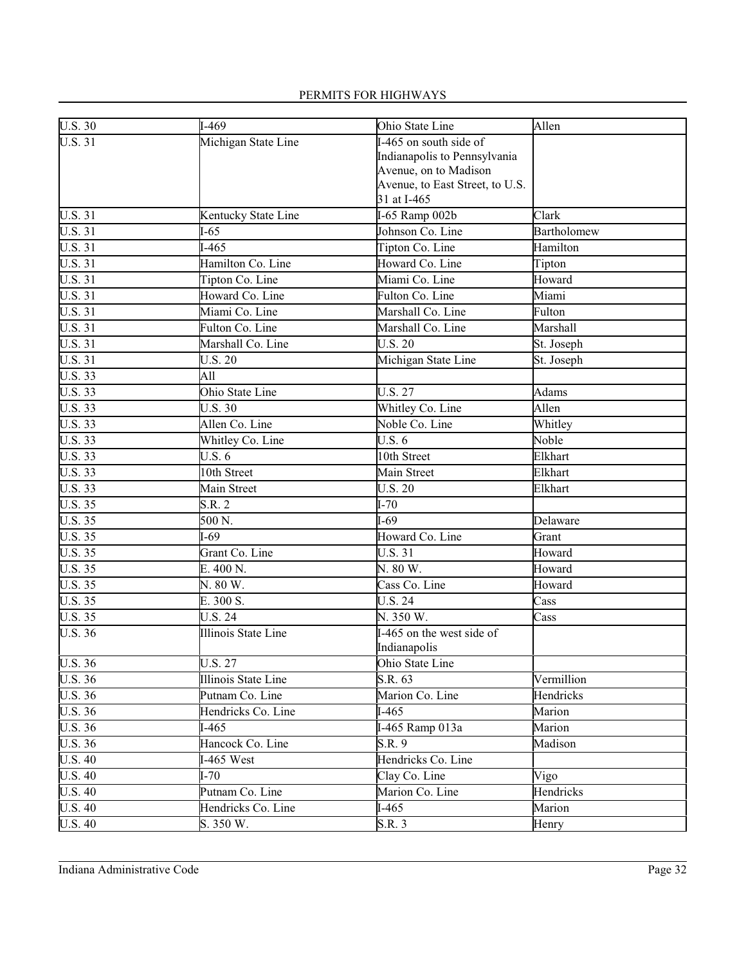| U.S.30               | $I-469$                   | Ohio State Line                        | Allen              |
|----------------------|---------------------------|----------------------------------------|--------------------|
| $\overline{U.S. 31}$ | Michigan State Line       | I-465 on south side of                 |                    |
|                      |                           | Indianapolis to Pennsylvania           |                    |
|                      |                           | Avenue, on to Madison                  |                    |
|                      |                           | Avenue, to East Street, to U.S.        |                    |
|                      |                           | 31 at I-465                            |                    |
| <b>U.S. 31</b>       | Kentucky State Line       | I-65 Ramp 002b                         | Clark              |
| <b>U.S. 31</b>       | $I-65$                    | Johnson Co. Line                       | <b>Bartholomew</b> |
| <b>U.S. 31</b>       | $I-465$                   | Tipton Co. Line                        | Hamilton           |
| U.S. 31              | Hamilton Co. Line         | Howard Co. Line                        | Tipton             |
| U.S. 31              | Tipton Co. Line           | Miami Co. Line                         | Howard             |
| U.S. 31              | Howard Co. Line           | Fulton Co. Line                        | Miami              |
| U.S. 31              | Miami Co. Line            | Marshall Co. Line                      | Fulton             |
| U.S. 31              | Fulton Co. Line           | Marshall Co. Line                      | Marshall           |
| U.S. 31              | Marshall Co. Line         | U.S. 20                                | St. Joseph         |
| U.S. 31              | U.S. 20                   | Michigan State Line                    | St. Joseph         |
| U.S. 33              | All                       |                                        |                    |
| U.S. 33              | Ohio State Line           | U.S. 27                                | Adams              |
| <b>U.S. 33</b>       | U.S.30                    | Whitley Co. Line                       | Allen              |
| U.S. 33              | Allen Co. Line            | Noble Co. Line                         | Whitley            |
| U.S. 33              | Whitley Co. Line          | U.S. 6                                 | Noble              |
| U.S. 33              | U.S. 6                    | 10th Street                            | Elkhart            |
| U.S. 33              | 10th Street               | Main Street                            | Elkhart            |
| U.S.33               | Main Street               | U.S. 20                                | Elkhart            |
| U.S. 35              | S.R. 2                    | $I-70$                                 |                    |
| U.S. 35              | 500 N.                    | $I-69$                                 | Delaware           |
| U.S. 35              | $I-69$                    | Howard Co. Line                        | Grant              |
| U.S. 35              | Grant Co. Line            | U.S. 31                                | Howard             |
| U.S.35               | E. 400 N.                 | N.80 W.                                | Howard             |
| U.S. 35              | N. 80 W.                  | Cass Co. Line                          | Howard             |
| U.S. 35              | $\overline{E}$ . 300 S.   | <b>U.S. 24</b>                         | Cass               |
| U.S. 35              | U.S. 24                   | N. 350 W.                              | Cass               |
| U.S. 36              | Illinois State Line       | $\overline{1-465}$ on the west side of |                    |
|                      |                           | Indianapolis                           |                    |
| U.S. 36              | U.S. 27                   | Ohio State Line                        |                    |
| U.S. 36              | Illinois State Line       | S.R. 63                                | Vermillion         |
| U.S.36               | Putnam Co. Line           | Marion Co. Line                        | <b>Hendricks</b>   |
| U.S. 36              | Hendricks Co. Line        | $I-465$                                | Marion             |
| U.S. 36              | $I-465$                   | I-465 Ramp 013a                        | Marion             |
| U.S. 36              | Hancock Co. Line          | S.R. 9                                 | Madison            |
| <b>U.S. 40</b>       | $I-465$ West              | Hendricks Co. Line                     |                    |
| <b>U.S. 40</b>       | $\overline{\text{I}}$ -70 | Clay Co. Line                          | Vigo               |
| U.S. 40              | Putnam Co. Line           | Marion Co. Line                        | Hendricks          |
| U.S. 40              | Hendricks Co. Line        | $I-465$                                | Marion             |
| U.S. 40              | S. 350 W.                 | S.R. 3                                 | Henry              |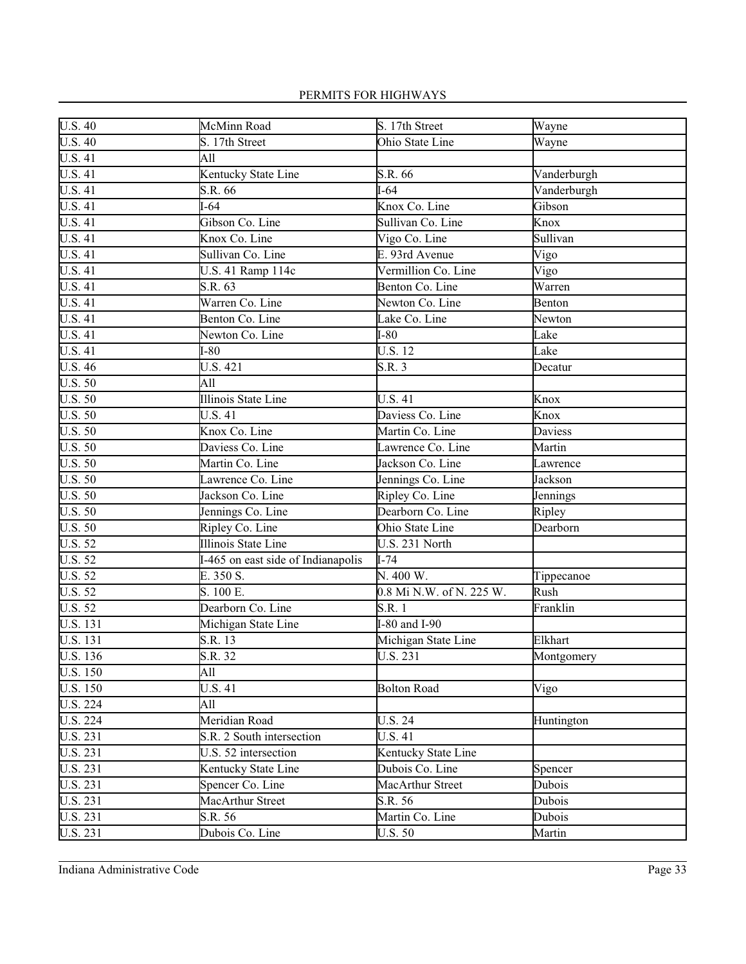| U.S.40          | McMinn Road                        | S. 17th Street           | Wayne       |
|-----------------|------------------------------------|--------------------------|-------------|
| U.S.40          | S. 17th Street                     | Ohio State Line          | Wayne       |
| U.S. 41         | A11                                |                          |             |
| U.S. 41         | Kentucky State Line                | S.R. 66                  | Vanderburgh |
| <b>U.S. 41</b>  | S.R. 66                            | $I-64$                   | Vanderburgh |
| U.S. 41         | $1-64$                             | Knox Co. Line            | Gibson      |
| U.S. 41         | Gibson Co. Line                    | Sullivan Co. Line        | Knox        |
| U.S. 41         | Knox Co. Line                      | Vigo Co. Line            | Sullivan    |
| <b>U.S. 41</b>  | Sullivan Co. Line                  | E. 93rd Avenue           | Vigo        |
| U.S. 41         | U.S. 41 Ramp 114c                  | Vermillion Co. Line      | Vigo        |
| U.S. 41         | S.R. 63                            | Benton Co. Line          | Warren      |
| U.S. 41         | Warren Co. Line                    | Newton Co. Line          | Benton      |
| U.S. 41         | Benton Co. Line                    | Lake Co. Line            | Newton      |
| U.S. 41         | Newton Co. Line                    | $I-80$                   | Lake        |
| U.S. 41         | $I-80$                             | U.S. 12                  | Lake        |
| U.S. 46         | U.S. 421                           | S.R.3                    | Decatur     |
| U.S. 50         | All                                |                          |             |
| U.S. 50         | Illinois State Line                | U.S. 41                  | Knox        |
| U.S. 50         | U.S. 41                            | Daviess Co. Line         | Knox        |
| U.S. 50         | Knox Co. Line                      | Martin Co. Line          | Daviess     |
| U.S. 50         | Daviess Co. Line                   | Lawrence Co. Line        | Martin      |
| U.S. 50         | Martin Co. Line                    | Jackson Co. Line         | Lawrence    |
| U.S. 50         | Lawrence Co. Line                  | Jennings Co. Line        | Jackson     |
| U.S. 50         | Jackson Co. Line                   | Ripley Co. Line          | Jennings    |
| U.S. 50         | Jennings Co. Line                  | Dearborn Co. Line        | Ripley      |
| U.S. 50         | Ripley Co. Line                    | Ohio State Line          | Dearborn    |
| U.S. 52         | Illinois State Line                | U.S. 231 North           |             |
| U.S. 52         | I-465 on east side of Indianapolis | $I-74$                   |             |
| U.S. 52         | E. 350 S.                          | N. 400 W.                | Tippecanoe  |
| U.S. 52         | S. 100 E.                          | 0.8 Mi N.W. of N. 225 W. | Rush        |
| U.S. 52         | Dearborn Co. Line                  | S.R.1                    | Franklin    |
| <b>U.S. 131</b> | Michigan State Line                | I-80 and I-90            |             |
| U.S. 131        | S.R. 13                            | Michigan State Line      | Elkhart     |
| U.S. 136        | S.R. 32                            | U.S. 231                 | Montgomery  |
| U.S. 150        | A11                                |                          |             |
| U.S. 150        | U.S. 41                            | <b>Bolton Road</b>       | Vigo        |
| U.S. 224        | All                                |                          |             |
| U.S. 224        | Meridian Road                      | U.S. 24                  | Huntington  |
| <b>U.S. 231</b> | S.R. 2 South intersection          | U.S. 41                  |             |
| U.S. 231        | U.S. 52 intersection               | Kentucky State Line      |             |
| U.S. 231        | Kentucky State Line                | Dubois Co. Line          | Spencer     |
| U.S. 231        | Spencer Co. Line                   | MacArthur Street         | Dubois      |
| U.S. 231        | MacArthur Street                   | S.R. 56                  | Dubois      |
| U.S. 231        | S.R. 56                            | Martin Co. Line          | Dubois      |
| U.S. 231        | Dubois Co. Line                    | U.S. 50                  | Martin      |
|                 |                                    |                          |             |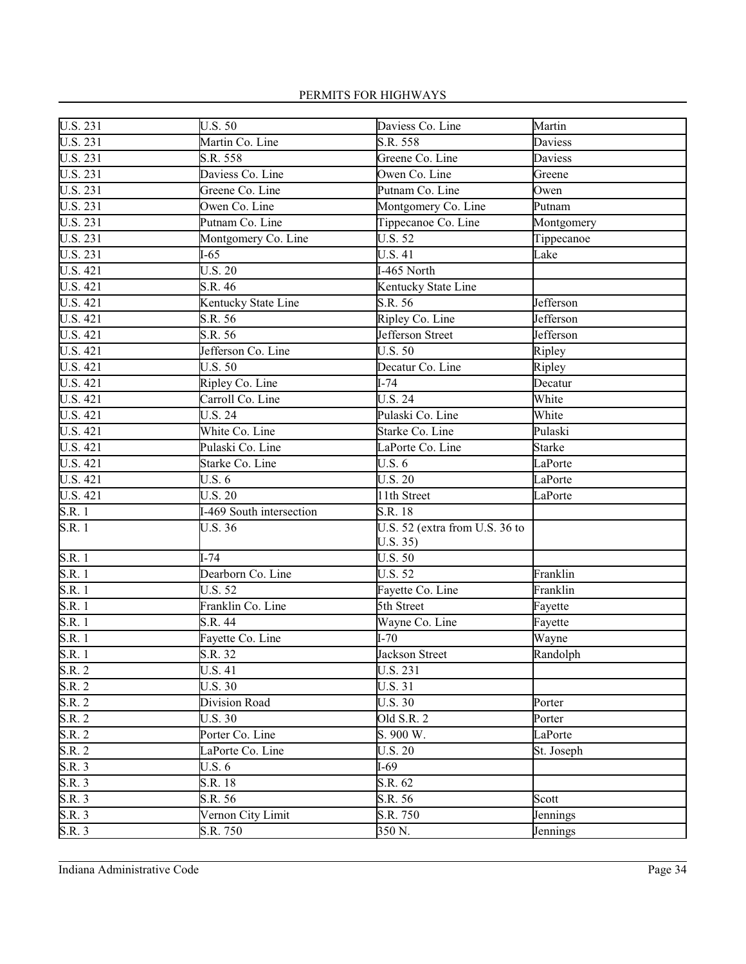| <b>U.S. 231</b> | U.S.50                   | Daviess Co. Line                           | Martin        |
|-----------------|--------------------------|--------------------------------------------|---------------|
| U.S. 231        | Martin Co. Line          | S.R. 558                                   | Daviess       |
| U.S. 231        | S.R. 558                 | Greene Co. Line                            | Daviess       |
| U.S. 231        | Daviess Co. Line         | Owen Co. Line                              | Greene        |
| U.S. 231        | Greene Co. Line          | Putnam Co. Line                            | Owen          |
| U.S. 231        | Owen Co. Line            | Montgomery Co. Line                        | Putnam        |
| U.S. 231        | Putnam Co. Line          | Tippecanoe Co. Line                        | Montgomery    |
| U.S. 231        | Montgomery Co. Line      | U.S. 52                                    | Tippecanoe    |
| U.S. 231        | $I-65$                   | U.S. 41                                    | Lake          |
| U.S. 421        | U.S. 20                  | I-465 North                                |               |
| U.S. 421        | S.R. 46                  | Kentucky State Line                        |               |
| U.S. 421        | Kentucky State Line      | S.R. 56                                    | Jefferson     |
| U.S. 421        | S.R. 56                  |                                            | Jefferson     |
| U.S. 421        | S.R. 56                  | Ripley Co. Line<br>Jefferson Street        | Jefferson     |
| U.S. 421        | Jefferson Co. Line       | U.S. 50                                    |               |
|                 |                          |                                            | Ripley        |
| U.S. 421        | U.S.50                   | Decatur Co. Line                           | Ripley        |
| U.S. 421        | Ripley Co. Line          | $I-74$                                     | Decatur       |
| U.S. 421        | Carroll Co. Line         | U.S. 24                                    | White         |
| U.S. 421        | U.S. 24                  | Pulaski Co. Line                           | White         |
| U.S. 421        | White Co. Line           | Starke Co. Line                            | Pulaski       |
| <b>U.S. 421</b> | Pulaski Co. Line         | LaPorte Co. Line                           | <b>Starke</b> |
| U.S. 421        | Starke Co. Line          | U.S. 6                                     | LaPorte       |
| U.S. 421        | U.S. 6                   | U.S. 20                                    | LaPorte       |
| U.S. 421        | U.S. 20                  | 11th Street                                | LaPorte       |
| S.R.1           | I-469 South intersection | S.R. 18                                    |               |
| S.R.1           | U.S. 36                  | U.S. 52 (extra from U.S. 36 to<br>U.S. 35) |               |
| S.R. 1          | $I-74$                   | U.S. 50                                    |               |
| S.R.1           | Dearborn Co. Line        | U.S. 52                                    | Franklin      |
| S.R. 1          | U.S. 52                  | Fayette Co. Line                           | Franklin      |
| S.R.1           | Franklin Co. Line        | 5th Street                                 | Fayette       |
| S.R. 1          | S.R. 44                  | Wayne Co. Line                             | Fayette       |
| S.R. 1          | Fayette Co. Line         | $I-70$                                     | Wayne         |
| S.R.1           | S.R. 32                  | Jackson Street                             | Randolph      |
| S.R. 2          | U.S. 41                  | $\overline{U}$ .S. 231                     |               |
| S.R. 2          | U.S.30                   | U.S. 31                                    |               |
| S.R. 2          | Division Road            | <b>U.S. 30</b>                             | Porter        |
| S.R. 2          | <b>U.S. 30</b>           | Old S.R. 2                                 | Porter        |
| S.R. 2          | Porter Co. Line          | S. 900 W.                                  | LaPorte       |
| S.R. 2          | LaPorte Co. Line         | U.S. 20                                    | St. Joseph    |
| S.R.3           | U.S. 6                   | $I-69$                                     |               |
| S.R.3           | S.R. 18                  | S.R. 62                                    |               |
| S.R. 3          | S.R. 56                  | S.R. 56                                    | Scott         |
| S.R.3           | Vernon City Limit        | S.R. 750                                   | Jennings      |
| S.R. 3          | S.R. 750                 | 350 N.                                     | Jennings      |
|                 |                          |                                            |               |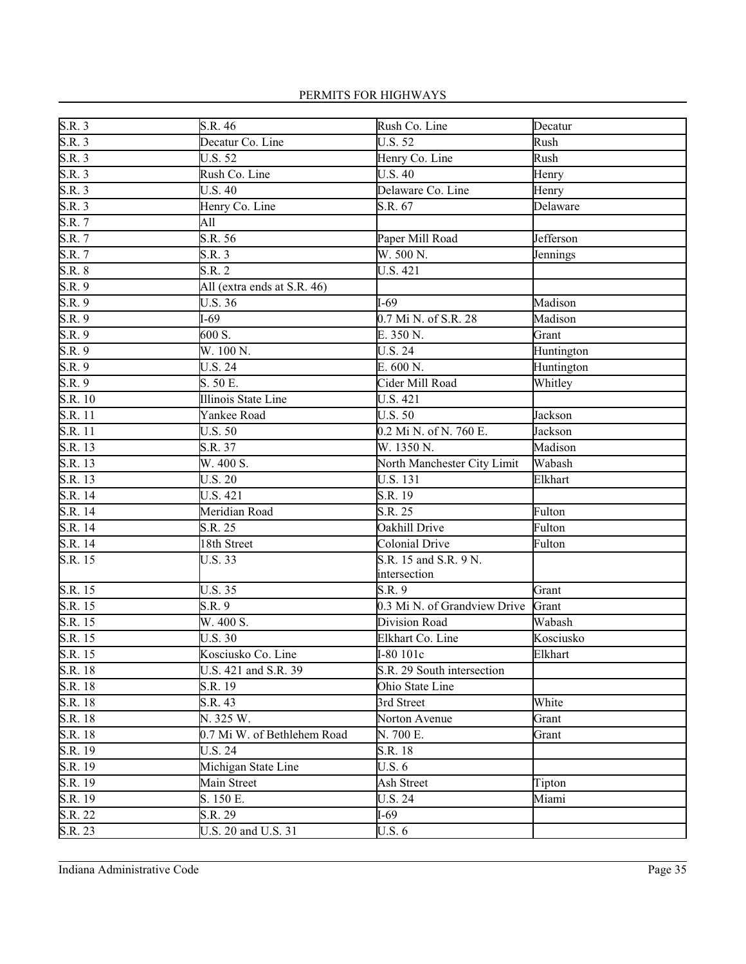| S.R.3                       | S.R. 46                     | Rush Co. Line                         | Decatur    |
|-----------------------------|-----------------------------|---------------------------------------|------------|
| S.R.3                       | Decatur Co. Line            | <b>U.S. 52</b>                        | Rush       |
| S.R. 3                      | U.S. 52                     | Henry Co. Line                        | Rush       |
| S.R.3                       | Rush Co. Line               | U.S.40                                | Henry      |
| S.R.3                       | U.S.40                      | Delaware Co. Line                     | Henry      |
| S.R.3                       | Henry Co. Line              | S.R. 67                               | Delaware   |
| S.R. 7                      | All                         |                                       |            |
| S.R. 7                      | S.R. 56                     | Paper Mill Road                       | Jefferson  |
| S.R. 7                      | S.R. 3                      | W.500 N.                              | Jennings   |
| S.R. 8                      | S.R. 2                      | <b>U.S. 421</b>                       |            |
| S.R.9                       | All (extra ends at S.R. 46) |                                       |            |
| S.R.9                       | U.S. 36                     | $I-69$                                | Madison    |
| S.R.9                       | $I-69$                      | 0.7 Mi N. of S.R. 28                  | Madison    |
| S.R.9                       | 600 S.                      | E. 350 N.                             | Grant      |
| S.R.9                       | W. 100 N.                   | <b>U.S. 24</b>                        | Huntington |
| S.R.9                       | U.S. 24                     | E. 600 N.                             | Huntington |
| S.R.9                       | $\overline{\rm S}$ . 50 E.  | Cider Mill Road                       | Whitley    |
| S.R. 10                     | Illinois State Line         | <b>U.S. 421</b>                       |            |
| S.R. 11                     | Yankee Road                 | U.S. 50                               | Jackson    |
| S.R. 11                     | U.S.50                      | $0.2$ Mi N. of N. 760 E.              | Jackson    |
| S.R. 13                     | S.R. 37                     | W. 1350 N.                            | Madison    |
| S.R. 13                     | W. 400 S.                   | North Manchester City Limit           | Wabash     |
| S.R. 13                     | U.S. 20                     | U.S. 131                              | Elkhart    |
| S.R. 14                     | U.S. 421                    | S.R. 19                               |            |
| S.R. 14                     | Meridian Road               | S.R. 25                               | Fulton     |
| S.R. 14                     | S.R. 25                     | Oakhill Drive                         | Fulton     |
| S.R. 14                     | $18th$ Street               | Colonial Drive                        | Fulton     |
| S.R. 15                     | U.S. 33                     | S.R. 15 and S.R. 9 N.<br>intersection |            |
| S.R. 15                     | <b>U.S. 35</b>              | S.R. 9                                | Grant      |
| $\overline{\text{S.R. }15}$ | $\overline{\text{S.R.}}$ 9  | 0.3 Mi N. of Grandview Drive Grant    |            |
| S.R. 15                     | W. 400 S.                   | <b>Division Road</b>                  | Wabash     |
| S.R. 15                     | U.S.30                      | Elkhart Co. Line                      | Kosciusko  |
| S.R. 15                     | Kosciusko Co. Line          | I-80 101c                             | Elkhart    |
| S.R. 18                     | U.S. 421 and S.R. 39        | S.R. 29 South intersection            |            |
| S.R. 18                     | S.R. 19                     | Ohio State Line                       |            |
| S.R. 18                     | S.R. 43                     | 3rd Street                            | White      |
| S.R. 18                     | N. 325 W.                   | Norton Avenue                         | Grant      |
| S.R. 18                     | 0.7 Mi W. of Bethlehem Road | N. 700 E.                             | Grant      |
| S.R. 19                     | U.S. 24                     | S.R. 18                               |            |
| S.R. 19                     | Michigan State Line         | U.S. 6                                |            |
| S.R. 19                     | Main Street                 | Ash Street                            | Tipton     |
| S.R. 19                     | S. 150 E.                   | U.S. 24                               | Miami      |
| S.R. 22                     | S.R. 29                     | I-69                                  |            |
| S.R. 23                     | U.S. 20 and U.S. 31         | U.S. 6                                |            |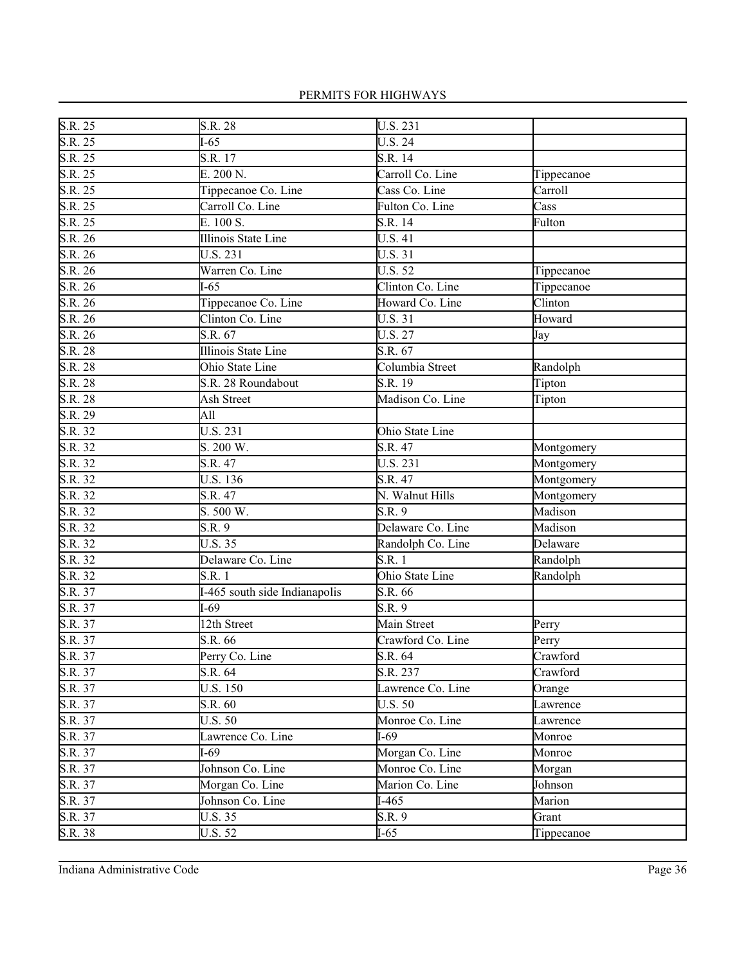| S.R. 28                       | U.S. 231           |            |
|-------------------------------|--------------------|------------|
| $I-65$                        | <b>U.S. 24</b>     |            |
| S.R. 17                       | S.R. 14            |            |
| $\overline{E}$ . 200 N.       | Carroll Co. Line   | Tippecanoe |
| Tippecanoe Co. Line           | Cass Co. Line      | Carroll    |
| Carroll Co. Line              | Fulton Co. Line    | Cass       |
| E. 100 S.                     | S.R. 14            | Fulton     |
| Illinois State Line           | <b>U.S. 41</b>     |            |
| U.S. 231                      | <b>U.S. 31</b>     |            |
| Warren Co. Line               | <b>U.S. 52</b>     | Tippecanoe |
| $I-65$                        | Clinton Co. Line   | Tippecanoe |
| Tippecanoe Co. Line           | Howard Co. Line    | Clinton    |
| Clinton Co. Line              | U.S. 31            | Howard     |
| S.R. 67                       | <b>U.S. 27</b>     | Jay        |
| Illinois State Line           | S.R. 67            |            |
| Ohio State Line               | Columbia Street    | Randolph   |
| S.R. 28 Roundabout            | S.R. 19            | Tipton     |
| Ash Street                    | Madison Co. Line   | Tipton     |
| A11                           |                    |            |
| <b>U.S. 231</b>               | Ohio State Line    |            |
| S. 200 W.                     | S.R. 47            | Montgomery |
| S.R. 47                       | U.S. 231           | Montgomery |
| U.S. 136                      | S.R. 47            | Montgomery |
| S.R. 47                       | N. Walnut Hills    | Montgomery |
| S. 500 W.                     | S.R.9              | Madison    |
| S.R.9                         | Delaware Co. Line  | Madison    |
| U.S.35                        | Randolph Co. Line  | Delaware   |
| Delaware Co. Line             | S.R. 1             | Randolph   |
| S.R. 1                        | Ohio State Line    | Randolph   |
| I-465 south side Indianapolis | S.R. 66            |            |
| $I-69$                        | S.R.9              |            |
| 12th Street                   | Main Street        | Perry      |
| S.R. 66                       | Crawford Co. Line  | Perry      |
|                               | S.R. 64            | Crawford   |
| S.R. 64                       | S.R. 237           | Crawford   |
| U.S. 150                      | Lawrence Co. Line  | Orange     |
| S.R. 60                       | U.S. 50            | Lawrence   |
| U.S.50                        | Monroe Co. Line    | Lawrence   |
| Lawrence Co. Line             | $I-69$             | Monroe     |
| $I-69$                        | Morgan Co. Line    | Monroe     |
| Johnson Co. Line              | Monroe Co. Line    | Morgan     |
| Morgan Co. Line               | Marion Co. Line    | Johnson    |
| Johnson Co. Line              | $I-465$            | Marion     |
| U.S.35                        | S.R. 9             | Grant      |
| U.S. 52                       | $\overline{I}$ -65 | Tippecanoe |
|                               | Perry Co. Line     |            |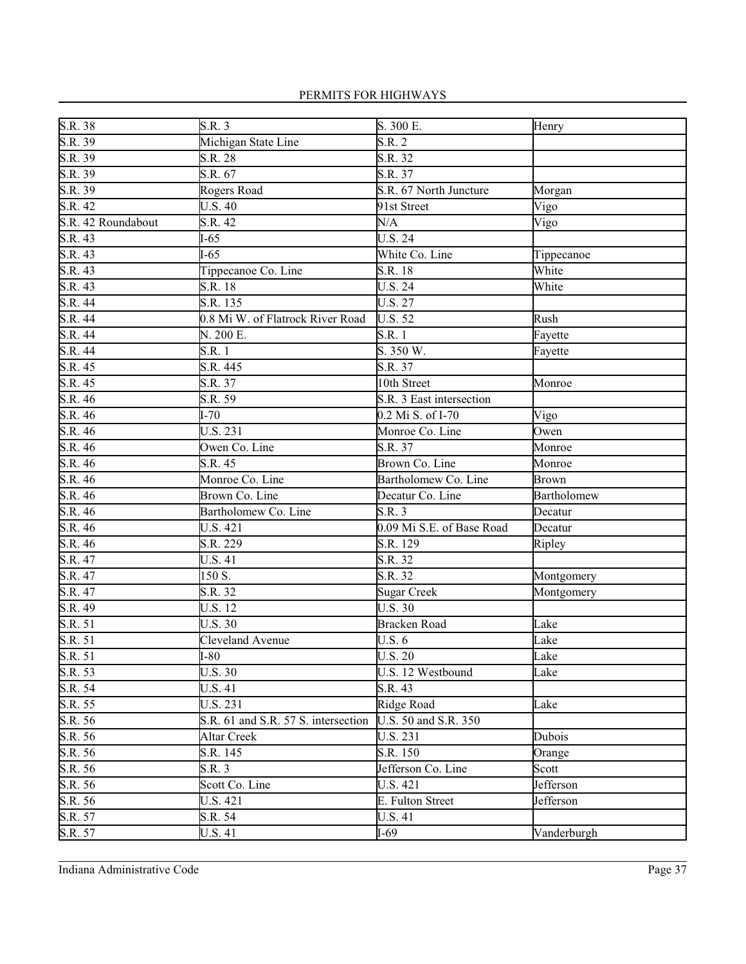| S.R. 38                      | S.R.3                               | S. 300 E.                  | Henry        |
|------------------------------|-------------------------------------|----------------------------|--------------|
| S.R. 39                      | Michigan State Line                 | $\overline{\text{S.R.}}$ 2 |              |
| S.R. 39                      | S.R. 28                             | S.R. 32                    |              |
| S.R. 39                      | S.R. 67                             | S.R. 37                    |              |
| S.R. 39                      | Rogers Road                         | S.R. 67 North Juncture     | Morgan       |
| S.R. 42                      | U.S.40                              | 91st Street                | Vigo         |
| S.R. 42 Roundabout           | S.R. 42                             | N/A                        | Vigo         |
| S.R. 43                      | $-65$                               | <b>U.S. 24</b>             |              |
| S.R. 43                      | $I-65$                              | White Co. Line             | Tippecanoe   |
| S.R. 43                      | Tippecanoe Co. Line                 | S.R. 18                    | White        |
| S.R. 43                      | S.R. 18                             | U.S. 24                    | White        |
| S.R.44                       | S.R. 135                            | <b>U.S. 27</b>             |              |
| S.R.44                       | 0.8 Mi W. of Flatrock River Road    | <b>U.S. 52</b>             | Rush         |
| $\overline{\text{S}}$ .R. 44 | N. 200 E.                           | S.R. 1                     | Fayette      |
| S.R. 44                      | S.R. 1                              | S. 350 W.                  | Fayette      |
| S.R.45                       | S.R. 445                            | S.R.37                     |              |
| S.R.45                       | S.R. 37                             | 10th Street                | Monroe       |
| S.R. 46                      | S.R. 59                             | S.R. 3 East intersection   |              |
| $\overline{\text{S}}$ .R. 46 | $I-70$                              | 0.2 Mi S. of I-70          | Vigo         |
| S.R. 46                      | U.S. 231                            | Monroe Co. Line            | Owen         |
| S.R. 46                      | Owen Co. Line                       | S.R.37                     | Monroe       |
| S.R. 46                      | S.R. 45                             | Brown Co. Line             | Monroe       |
| $\overline{\text{S}}$ .R. 46 | Monroe Co. Line                     | Bartholomew Co. Line       | <b>Brown</b> |
| S.R. 46                      | Brown Co. Line                      | Decatur Co. Line           | Bartholomew  |
| S.R. 46                      | Bartholomew Co. Line                | S.R. 3                     | Decatur      |
| S.R. 46                      | U.S. 421                            | 0.09 Mi S.E. of Base Road  | Decatur      |
| S.R. 46                      | S.R. 229                            | S.R. 129                   | Ripley       |
| S.R. 47                      | U.S. 41                             | S.R. 32                    |              |
| S.R. 47                      | $\overline{1}$ 50 S.                | S.R. 32                    | Montgomery   |
| S.R. 47                      | S.R. 32                             | <b>Sugar Creek</b>         | Montgomery   |
| S.R. 49                      | $\overline{U.S.}$ 12                | U.S.30                     |              |
| S.R. 51                      | U.S.30                              | <b>Bracken Road</b>        | Lake         |
| S.R. 51                      | Cleveland Avenue                    | U.S. 6                     | Lake         |
| S.R. 51                      | $I-80$                              | U.S. 20                    | Lake         |
| S.R. 53                      | U.S. 30                             | U.S. 12 Westbound          | Lake         |
| S.R. 54                      | U.S. 41                             | S.R.43                     |              |
| $\overline{\rm S.R.}$ 55     | U.S. 231                            | Ridge Road                 | Lake         |
| S.R. 56                      | S.R. 61 and S.R. 57 S. intersection | U.S. 50 and S.R. 350       |              |
| S.R. 56                      | <b>Altar Creek</b>                  | U.S. 231                   | Dubois       |
| S.R. 56                      | S.R. 145                            | S.R. 150                   | Orange       |
| $\overline{\text{S.R. 56}}$  | S.R. 3                              | Jefferson Co. Line         | Scott        |
| $\overline{\text{S.R.}}$ 56  | Scott $Co$ . Line                   | U.S. 421                   | Jefferson    |
| S.R. 56                      | U.S. 421                            | E. Fulton Street           | Jefferson    |
| S.R. 57                      | S.R. 54                             | $\overline{U}$ .S. 41      |              |
| S.R. 57                      | U.S. 41                             | I-69                       | Vanderburgh  |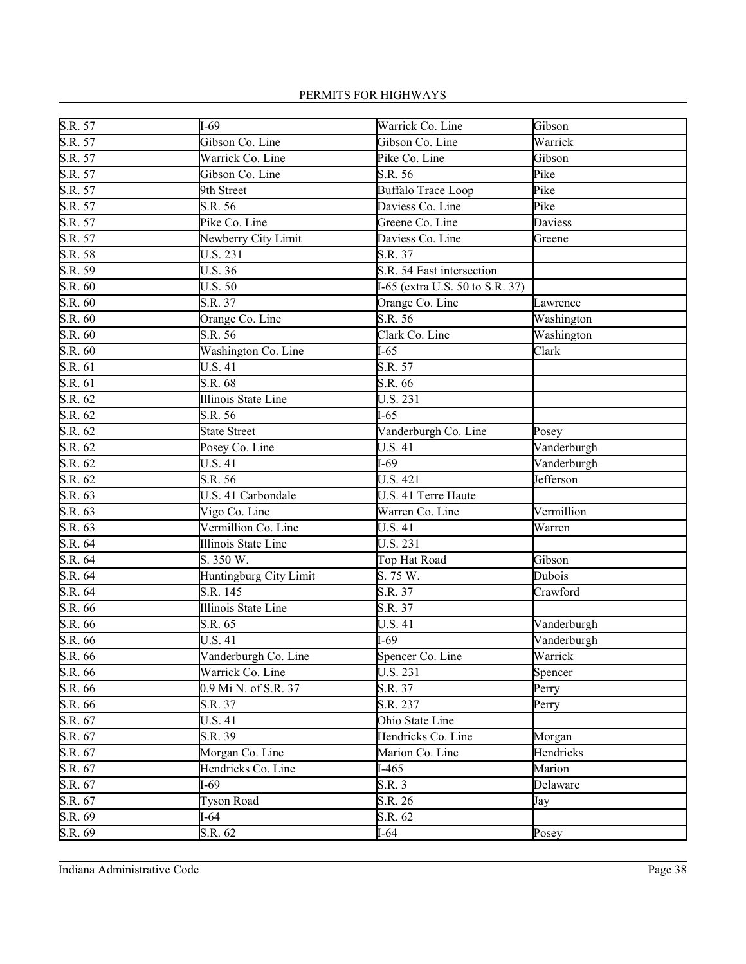| S.R. 57                                | $I-69$                      | Warrick Co. Line                      | Gibson              |
|----------------------------------------|-----------------------------|---------------------------------------|---------------------|
| S.R. 57                                | Gibson Co. Line             | Gibson Co. Line                       | Warrick             |
| S.R. 57                                | Warrick Co. Line            | Pike Co. Line                         | Gibson              |
| S.R. 57                                | Gibson Co. Line             | S.R. 56                               | Pike                |
| S.R. 57                                | 9th Street                  | <b>Buffalo Trace Loop</b>             | Pike                |
| S.R. 57                                | S.R. 56                     | Daviess Co. Line                      | Pike                |
| $\overline{\text{S.R.}}$ 57            | Pike Co. Line               | Greene Co. Line                       | Daviess             |
| S.R. 57                                | Newberry City Limit         | Daviess Co. Line                      | Greene              |
| $\overline{\text{S}}$ .R. 58           | U.S. 231                    | S.R. 37                               |                     |
| S.R. 59                                | U.S. 36                     | S.R. 54 East intersection             |                     |
| S.R. 60                                | U.S.50                      | I-65 (extra U.S. 50 to S.R. 37)       |                     |
| S.R.60                                 | $\overline{\text{S.R.}}$ 37 | Orange Co. Line                       | Lawrence            |
| S.R. 60                                | Orange Co. Line             | S.R. 56                               | Washington          |
| S.R. 60                                | S.R. 56                     | Clark Co. Line                        | Washington          |
| S.R. 60                                | Washington Co. Line         | $I-65$                                | Clark               |
| S.R. 61                                | U.S. 41                     | S.R. 57                               |                     |
| S.R. 61                                | S.R. 68                     | S.R. 66                               |                     |
| S.R. 62                                | Illinois State Line         | U.S. 231                              |                     |
| S.R. 62                                | S.R. 56                     | $I-65$                                |                     |
| S.R. 62                                | <b>State Street</b>         | Vanderburgh Co. Line                  | Posey               |
| S.R. 62                                | Posey Co. Line              | U.S. 41                               | Vanderburgh         |
| S.R. 62                                | U.S. 41                     | $1-69$                                | Vanderburgh         |
| S.R. 62                                | S.R. 56                     | <b>U.S. 421</b>                       | Jefferson           |
| S.R. 63                                | U.S. 41 Carbondale          | U.S. 41 Terre Haute                   |                     |
| S.R. 63                                | Vigo Co. Line               | Warren Co. Line                       | Vermillion          |
| S.R. 63                                | Vermillion Co. Line         | U.S. 41                               | Warren              |
| S.R. 64                                | <b>Illinois State Line</b>  | U.S. 231                              |                     |
| S.R. 64                                | S. 350 W.                   | Top Hat Road                          | Gibson              |
| $\overline{\text{S}}$ .R. 64           | Huntingburg City Limit      | S. 75 W.                              | Dubois              |
| S.R. 64                                | S.R. 145                    | S.R. 37                               | Crawford            |
| S.R.66                                 | Illinois State Line         | S.R. 37                               |                     |
| S.R. 66                                | S.R. 65                     | U.S. 41                               | Vanderburgh         |
| S.R. 66                                | U.S. 41                     | $I-69$                                | Vanderburgh         |
| S.R. 66                                | Vanderburgh Co. Line        | Spencer Co. Line                      | Warrick             |
| $\overline{S.R.66}$                    | Warrick Co. Line            | U.S. 231                              | Spencer             |
| $\overline{\text{S.R. 66}}$            | 0.9 Mi N. of S.R. 37        | S.R. 37                               | Perry               |
| $\overline{\text{S.R.}}$ 66            |                             |                                       |                     |
| S.R. 67                                | S.R. 37                     | S.R. 237                              |                     |
| S.R. 67                                |                             |                                       | Perry               |
| S.R. 67                                | U.S. 41<br>S.R. 39          | Ohio State Line<br>Hendricks Co. Line |                     |
|                                        | Morgan Co. Line             | Marion Co. Line                       | Morgan<br>Hendricks |
|                                        | Hendricks Co. Line          | $I-465$                               | Marion              |
| $\overline{\text{S.R. }67}$            | $I-69$                      | S.R.3                                 | Delaware            |
| $\overline{\text{S.R.}}$ 67<br>S.R. 67 | Tyson Road                  | S.R. 26                               |                     |
| S.R. 69                                | I-64                        | S.R. 62                               | Jay                 |
|                                        |                             |                                       |                     |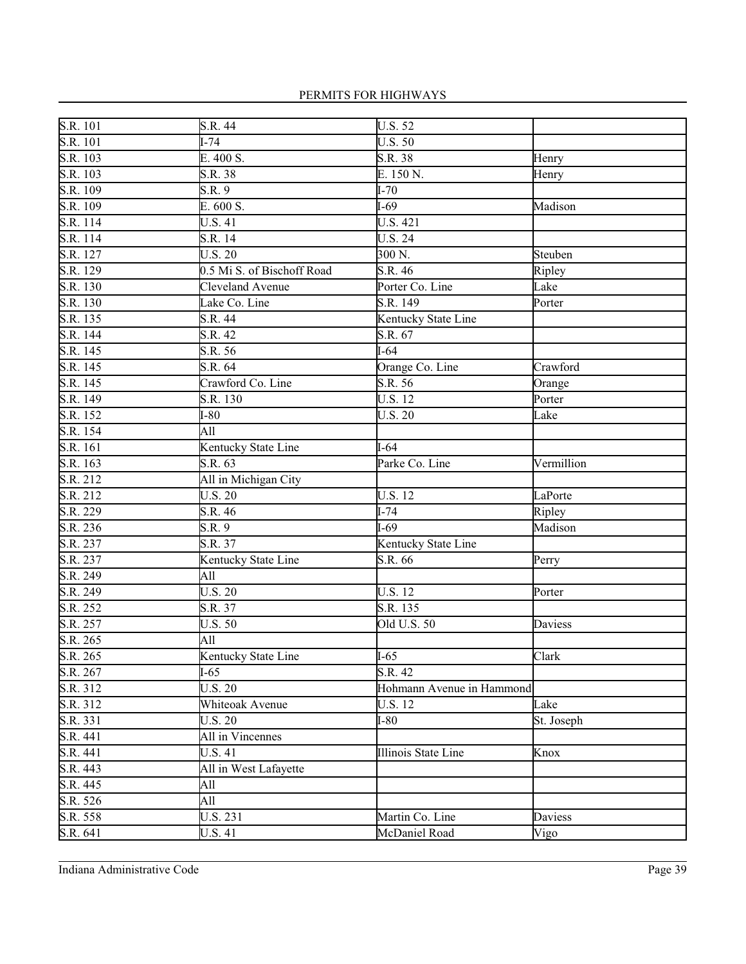| S.R. 101              | S.R. 44                    | U.S. 52                   |                |
|-----------------------|----------------------------|---------------------------|----------------|
| S.R. 101              | $I-74$                     | U.S. 50                   |                |
| S.R. 103              | E. 400 S.                  | S.R. 38                   | Henry          |
| S.R. 103              | S.R. 38                    | E. 150 N.                 | Henry          |
| S.R. 109              | $\overline{\text{S.R.}}9$  | $I-70$                    |                |
| S.R. 109              | E. 600 S.                  | $1-69$                    | Madison        |
| S.R. 114              | U.S. 41                    | U.S. 421                  |                |
| S.R. 114              | S.R. 14                    | <b>U.S. 24</b>            |                |
| S.R. 127              | U.S. 20                    | 300 N.                    | Steuben        |
| S.R. 129              | 0.5 Mi S. of Bischoff Road | S.R. 46                   | Ripley         |
| S.R. 130              | Cleveland Avenue           | Porter Co. Line           | Lake           |
| S.R. 130              | Lake Co. Line              | S.R. 149                  | Porter         |
| S.R. 135              | S.R. 44                    | Kentucky State Line       |                |
| S.R. 144              | S.R. 42                    | S.R. 67                   |                |
| S.R. 145              | S.R. 56                    | $I-64$                    |                |
| S.R. 145              | S.R. 64                    | Orange Co. Line           | Crawford       |
| S.R. 145              | Crawford Co. Line          | S.R. 56                   | Orange         |
| $\overline{S.R.}$ 149 | S.R. 130                   | U.S. 12                   | Porter         |
| S.R. 152              | $I-80$                     | U.S. 20                   | Lake           |
| S.R. 154              | All                        |                           |                |
| S.R. 161              | Kentucky State Line        | $I-64$                    |                |
| S.R. 163              | S.R. 63                    | Parke Co. Line            | Vermillion     |
| S.R. 212              | All in Michigan City       |                           |                |
| S.R. 212              | U.S. 20                    | <b>U.S. 12</b>            | LaPorte        |
| S.R. 229              | S.R. 46                    | $I-74$                    | Ripley         |
| S.R. 236              | S.R.9                      | $1-69$                    | Madison        |
| S.R. 237              | S.R. 37                    | Kentucky State Line       |                |
| S.R. 237              | Kentucky State Line        | S.R. 66                   | Perry          |
| S.R. 249              | A11                        |                           |                |
| S.R. 249              | U.S. 20                    | U.S. 12                   | Porter         |
| S.R. 252              | S.R. 37                    | S.R. 135                  |                |
| S.R. 257              | U.S.50                     | $\overline{Old U.S. 50}$  | <b>Daviess</b> |
| S.R. 265              | All                        |                           |                |
| S.R. 265              | Kentucky State Line        | $I-65$                    | Clark          |
| S.R. 267              | I-65                       | S.R. 42                   |                |
| S.R. 312              | U.S. 20                    | Hohmann Avenue in Hammond |                |
| S.R. 312              | Whiteoak Avenue            | U.S. 12                   | Lake           |
| S.R. 331              | U.S. 20                    | $I-80$                    | St. Joseph     |
| S.R. 441              | All in Vincennes           |                           |                |
| S.R. 441              | U.S. 41                    | Illinois State Line       | Knox           |
| S.R. 443              | All in West Lafayette      |                           |                |
| S.R. 445              | All                        |                           |                |
| S.R. 526              | All                        |                           |                |
| S.R. 558              | U.S. 231                   | Martin Co. Line           | Daviess        |
| S.R. 641              | U.S. 41                    | McDaniel Road             | Vigo           |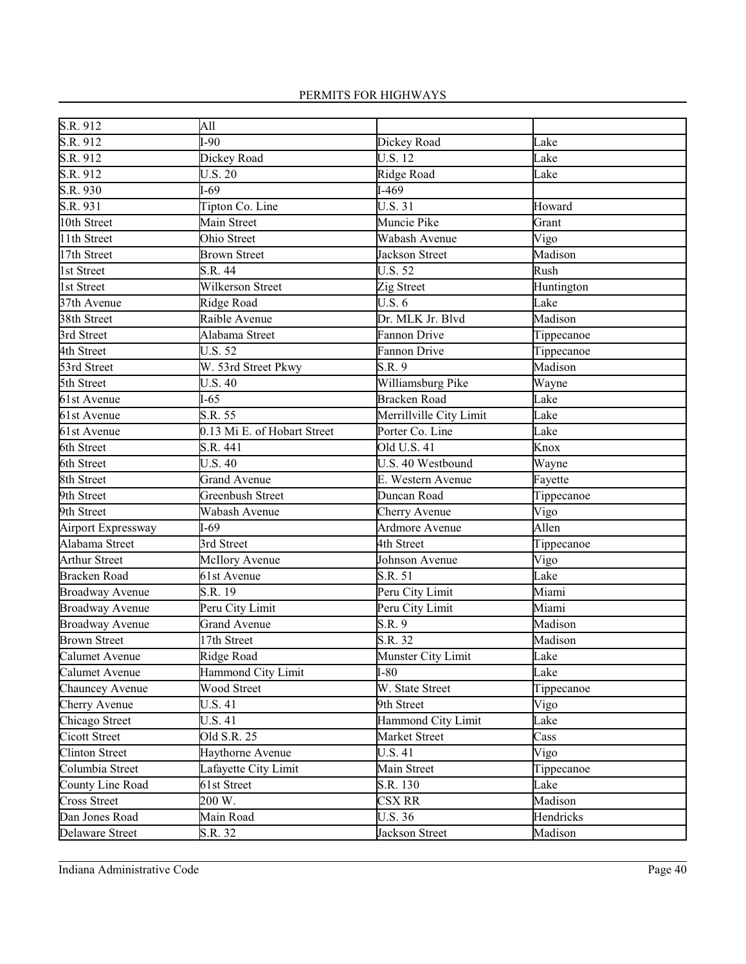| S.R. 912               | $\overline{All}$            |                         |            |
|------------------------|-----------------------------|-------------------------|------------|
| S.R. 912               | $I-90$                      | Dickey Road             | Lake       |
| S.R. 912               | Dickey Road                 | U.S. 12                 | Lake       |
| S.R. 912               | U.S. 20                     | Ridge Road              | Lake       |
| S.R. 930               | $I-69$                      | $I-469$                 |            |
| S.R. 931               | Tipton Co. Line             | U.S.31                  | Howard     |
| 10th Street            | Main Street                 | Muncie Pike             | Grant      |
| 11th Street            | Ohio Street                 | Wabash Avenue           | Vigo       |
| 17th Street            | <b>Brown Street</b>         | Jackson Street          | Madison    |
| 1st Street             | S.R. 44                     | U.S. 52                 | Rush       |
| 1st Street             | <b>Wilkerson Street</b>     | Zig Street              | Huntington |
| 37th Avenue            | Ridge Road                  | U.S. 6                  | Lake       |
| 38th Street            | Raible Avenue               | Dr. MLK Jr. Blvd        | Madison    |
| 3rd Street             | Alabama Street              | Fannon Drive            | Tippecanoe |
| 4th Street             | U.S. 52                     | <b>Fannon Drive</b>     | Tippecanoe |
| 53rd Street            | W. 53rd Street Pkwy         | S.R.9                   | Madison    |
| 5th Street             | U.S.40                      | Williamsburg Pike       | Wayne      |
| 61st Avenue            | $I-65$                      | <b>Bracken Road</b>     | Lake       |
| 61st Avenue            | S.R. 55                     | Merrillville City Limit | Lake       |
| 61st Avenue            | 0.13 Mi E. of Hobart Street | Porter Co. Line         | Lake       |
| 6th Street             | S.R. 441                    | Old U.S. 41             | Knox       |
| 6th Street             | U.S.40                      | U.S. 40 Westbound       | Wayne      |
| 8th Street             | Grand Avenue                | E. Western Avenue       | Fayette    |
| 9th Street             | Greenbush Street            | Duncan Road             | Tippecanoe |
| 9th Street             | Wabash Avenue               | Cherry Avenue           | Vigo       |
| Airport Expressway     | $I-69$                      | Ardmore Avenue          | Allen      |
| Alabama Street         | 3rd Street                  | 4th Street              | Tippecanoe |
| <b>Arthur Street</b>   | McIlory Avenue              | Johnson Avenue          | Vigo       |
| <b>Bracken Road</b>    | 61st Avenue                 | S.R. 51                 | Lake       |
| <b>Broadway Avenue</b> | S.R. 19                     | Peru City Limit         | Miami      |
| <b>Broadway Avenue</b> | Peru City Limit             | Peru City Limit         | Miami      |
| <b>Broadway Avenue</b> | <b>Grand Avenue</b>         | S.R.9                   | Madison    |
| <b>Brown Street</b>    | 17th Street                 | S.R. 32                 | Madison    |
| Calumet Avenue         | Ridge Road                  | Munster City Limit      | Lake       |
| Calumet Avenue         | Hammond City Limit          | I-80                    | Lake       |
| Chauncey Avenue        | Wood Street                 | W. State Street         | Tippecanoe |
| Cherry Avenue          | U.S. 41                     | 9th Street              | Vigo       |
| Chicago Street         | U.S. 41                     | Hammond City Limit      | Lake       |
| <b>Cicott Street</b>   | Old S.R. 25                 | Market Street           | Cass       |
| <b>Clinton Street</b>  | Haythorne Avenue            | U.S. 41                 | Vigo       |
| Columbia Street        | Lafayette City Limit        | Main Street             | Tippecanoe |
| County Line Road       | 61st Street                 | S.R. 130                | Lake       |
| Cross Street           | 200 W.                      | CSX RR                  | Madison    |
| Dan Jones Road         | Main Road                   | U.S. 36                 | Hendricks  |
| Delaware Street        | S.R. 32                     | Jackson Street          | Madison    |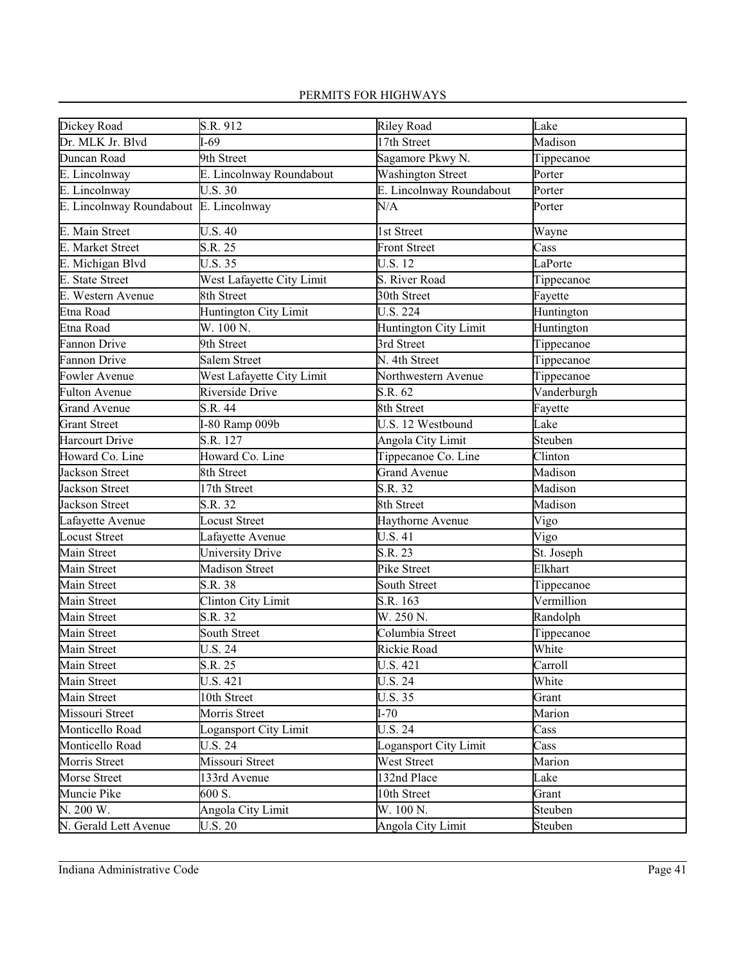| <b>Dickey Road</b>                     | S.R. 912                  | <b>Riley Road</b>        | Lake        |
|----------------------------------------|---------------------------|--------------------------|-------------|
| Dr. MLK Jr. Blvd                       | $I-69$                    | 17th Street              | Madison     |
| Duncan Road                            | 9th Street                | Sagamore Pkwy N.         | Tippecanoe  |
| E. Lincolnway                          | E. Lincolnway Roundabout  | <b>Washington Street</b> | Porter      |
| E. Lincolnway                          | U.S.30                    | E. Lincolnway Roundabout | Porter      |
| E. Lincolnway Roundabout E. Lincolnway |                           | N/A                      | Porter      |
| E. Main Street                         | U.S.40                    | 1st Street               | Wayne       |
| E. Market Street                       | S.R. 25                   | <b>Front Street</b>      | Cass        |
| E. Michigan Blvd                       | U.S. 35                   | <b>U.S. 12</b>           | LaPorte     |
| E. State Street                        | West Lafayette City Limit | S. River Road            | Tippecanoe  |
| E. Western Avenue                      | 8th Street                | 30th Street              | Fayette     |
| Etna Road                              | Huntington City Limit     | <b>U.S. 224</b>          | Huntington  |
| Etna Road                              | W. 100 N.                 | Huntington City Limit    | Huntington  |
| <b>Fannon Drive</b>                    | 9th Street                | 3rd Street               | Tippecanoe  |
| <b>Fannon Drive</b>                    | Salem Street              | N. 4th Street            | Tippecanoe  |
| <b>Fowler Avenue</b>                   | West Lafayette City Limit | Northwestern Avenue      | Tippecanoe  |
| <b>Fulton Avenue</b>                   | Riverside Drive           | S.R. 62                  | Vanderburgh |
| <b>Grand Avenue</b>                    | S.R. 44                   | 8th Street               | Fayette     |
| <b>Grant Street</b>                    | I-80 Ramp 009b            | U.S. 12 Westbound        | Lake        |
| <b>Harcourt Drive</b>                  | S.R. 127                  | Angola City Limit        | Steuben     |
| Howard Co. Line                        | Howard Co. Line           | Tippecanoe Co. Line      | Clinton     |
| <b>Jackson Street</b>                  | 8th Street                | <b>Grand Avenue</b>      | Madison     |
| Jackson Street                         | 17th Street               | S.R. 32                  | Madison     |
| <b>Jackson Street</b>                  | S.R. 32                   | 8th Street               | Madison     |
| Lafayette Avenue                       | <b>Locust Street</b>      | Haythorne Avenue         | Vigo        |
| <b>Locust Street</b>                   | Lafayette Avenue          | U.S. 41                  | Vigo        |
| Main Street                            | University Drive          | S.R. 23                  | St. Joseph  |
| Main Street                            | <b>Madison Street</b>     | Pike Street              | Elkhart     |
| Main Street                            | S.R. 38                   | South Street             | Tippecanoe  |
| Main Street                            | Clinton City Limit        | S.R. 163                 | Vermillion  |
| Main Street                            | S.R. 32                   | W. 250 N.                | Randolph    |
| Main Street                            | South Street              | Columbia Street          | Tippecanoe  |
| Main Street                            | U.S. 24                   | Rickie Road              | White       |
| Main Street                            | S.R. 25                   | U.S. 421                 | Carroll     |
| Main Street                            | <b>U.S. 421</b>           | U.S. 24                  | White       |
| Main Street                            | 10th Street               | U.S.35                   | Grant       |
| Missouri Street                        | Morris Street             | $I-70$                   | Marion      |
| Monticello Road                        | Logansport City Limit     | U.S. 24                  | Cass        |
| Monticello Road                        | U.S. 24                   | Logansport City Limit    | Cass        |
| Morris Street                          | Missouri Street           | West Street              | Marion      |
| Morse Street                           | 133rd Avenue              | 132nd Place              | Lake        |
| Muncie Pike                            | 600 S.                    | 10th Street              | Grant       |
| N. 200 W.                              | Angola City Limit         | W. 100 N.                | Steuben     |
| N. Gerald Lett Avenue                  | U.S. 20                   | Angola City Limit        | Steuben     |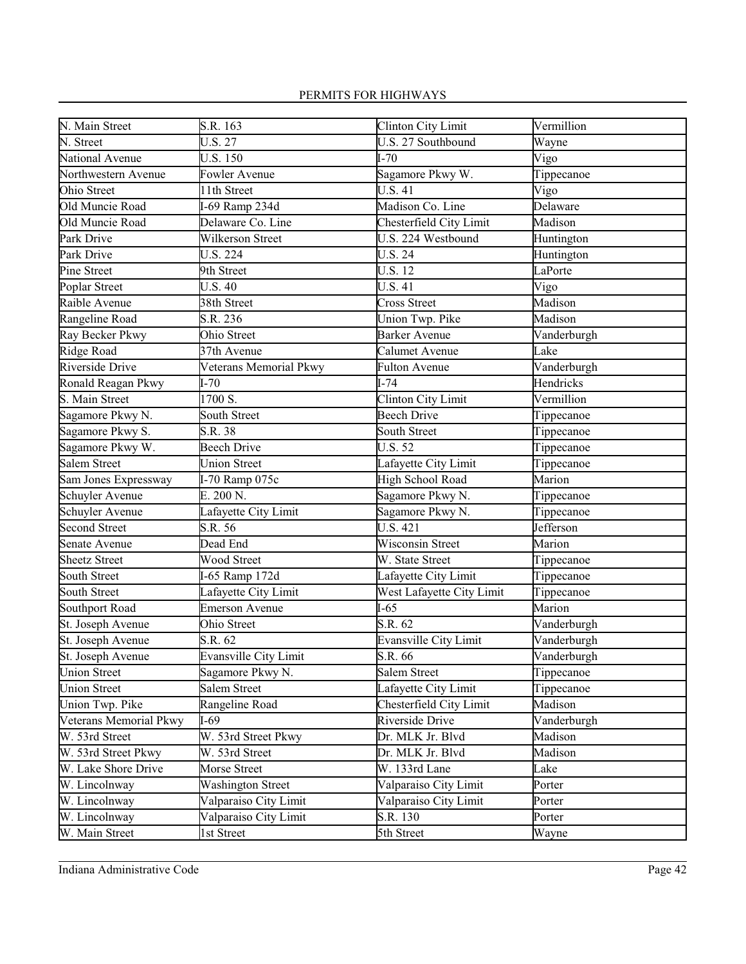| N. Main Street         | S.R. 163                     | <b>Clinton City Limit</b>    | Vermillion  |
|------------------------|------------------------------|------------------------------|-------------|
| N. Street              | U.S. 27                      | U.S. 27 Southbound           | Wayne       |
| National Avenue        | U.S. 150                     | $I-70$                       | Vigo        |
| Northwestern Avenue    | Fowler Avenue                | Sagamore Pkwy W.             | Tippecanoe  |
| Ohio Street            | 11th Street                  | U.S. 41                      | Vigo        |
| Old Muncie Road        | I-69 Ramp 234d               | Madison Co. Line             | Delaware    |
| Old Muncie Road        | Delaware Co. Line            | Chesterfield City Limit      | Madison     |
| Park Drive             | Wilkerson Street             | U.S. 224 Westbound           | Huntington  |
| Park Drive             | <b>U.S. 224</b>              | <b>U.S. 24</b>               | Huntington  |
| Pine Street            | 9th Street                   | U.S. 12                      | LaPorte     |
| Poplar Street          | U.S. 40                      | U.S. 41                      | Vigo        |
| Raible Avenue          | 38th Street                  | <b>Cross Street</b>          | Madison     |
| Rangeline Road         | S.R. 236                     | Union Twp. Pike              | Madison     |
| Ray Becker Pkwy        | Ohio Street                  | <b>Barker Avenue</b>         | Vanderburgh |
| Ridge Road             | 37th Avenue                  | Calumet Avenue               | Lake        |
| <b>Riverside Drive</b> | Veterans Memorial Pkwy       | Fulton Avenue                | Vanderburgh |
| Ronald Reagan Pkwy     | $I-70$                       | $I-74$                       | Hendricks   |
| S. Main Street         | 1700 S.                      | <b>Clinton City Limit</b>    | Vermillion  |
| Sagamore Pkwy N.       | South Street                 | <b>Beech Drive</b>           | Tippecanoe  |
| Sagamore Pkwy S.       | S.R. 38                      | South Street                 | Tippecanoe  |
| Sagamore Pkwy W.       | <b>Beech Drive</b>           | U.S. 52                      | Tippecanoe  |
| Salem Street           | <b>Union Street</b>          | Lafayette City Limit         | Tippecanoe  |
| Sam Jones Expressway   | I-70 Ramp 075c               | <b>High School Road</b>      | Marion      |
| Schuyler Avenue        | E. 200 N.                    | Sagamore Pkwy N.             | Tippecanoe  |
| Schuyler Avenue        | Lafayette City Limit         | Sagamore Pkwy N.             | Tippecanoe  |
| <b>Second Street</b>   | S.R. 56                      | <b>U.S. 421</b>              | Jefferson   |
| Senate Avenue          | Dead End                     | Wisconsin Street             | Marion      |
| <b>Sheetz Street</b>   | Wood Street                  | W. State Street              | Tippecanoe  |
| South Street           | I-65 Ramp 172d               | Lafayette City Limit         | Tippecanoe  |
| South Street           | Lafayette City Limit         | West Lafayette City Limit    | Tippecanoe  |
| Southport Road         | <b>Emerson Avenue</b>        | $I-65$                       | Marion      |
| St. Joseph Avenue      | Ohio Street                  | S.R. 62                      | Vanderburgh |
| St. Joseph Avenue      | S.R. 62                      | <b>Evansville City Limit</b> | Vanderburgh |
| St. Joseph Avenue      | <b>Evansville City Limit</b> | S.R. 66                      | Vanderburgh |
| <b>Union Street</b>    | Sagamore Pkwy N.             | Salem Street                 | Tippecanoe  |
| <b>Union Street</b>    | Salem Street                 | Lafayette City Limit         | Tippecanoe  |
| Union Twp. Pike        | Rangeline Road               | Chesterfield City Limit      | Madison     |
| Veterans Memorial Pkwy | $I-69$                       | Riverside Drive              | Vanderburgh |
| W. 53rd Street         | W. 53rd Street Pkwy          | Dr. MLK Jr. Blvd             | Madison     |
| W. 53rd Street Pkwy    | W. 53rd Street               | Dr. MLK Jr. Blvd             | Madison     |
| W. Lake Shore Drive    | Morse Street                 | W. 133rd Lane                | Lake        |
| W. Lincolnway          | <b>Washington Street</b>     | Valparaiso City Limit        | Porter      |
| W. Lincolnway          | Valparaiso City Limit        | Valparaiso City Limit        | Porter      |
| W. Lincolnway          | Valparaiso City Limit        | S.R. 130                     | Porter      |
| W. Main Street         | 1st Street                   | 5th Street                   | Wayne       |
|                        |                              |                              |             |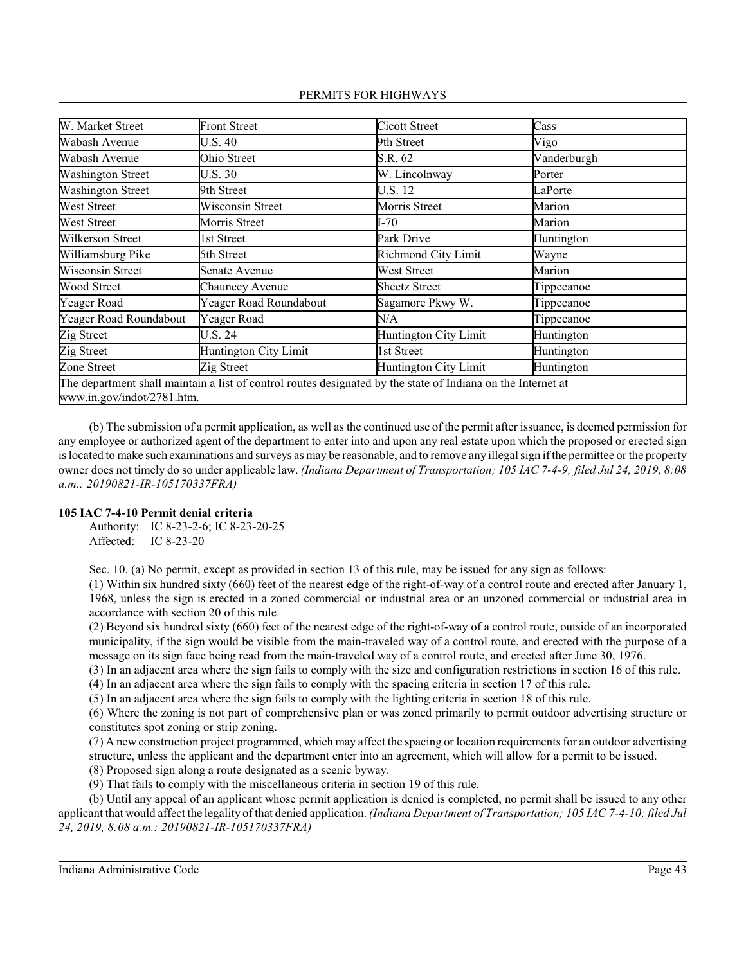| W. Market Street           | <b>Front Street</b>                                                                                          | <b>Cicott Street</b>  | Cass        |
|----------------------------|--------------------------------------------------------------------------------------------------------------|-----------------------|-------------|
| Wabash Avenue              | U.S. 40                                                                                                      | 9th Street            | Vigo        |
| Wabash Avenue              | Ohio Street                                                                                                  | S.R. 62               | Vanderburgh |
| <b>Washington Street</b>   | U.S. 30                                                                                                      | W. Lincolnway         | Porter      |
| <b>Washington Street</b>   | 9th Street                                                                                                   | U.S. 12               | LaPorte     |
| West Street                | <b>Wisconsin Street</b>                                                                                      | Morris Street         | Marion      |
| <b>West Street</b>         | Morris Street                                                                                                | I-70                  | Marion      |
| Wilkerson Street           | 1st Street                                                                                                   | Park Drive            | Huntington  |
| Williamsburg Pike          | 5th Street                                                                                                   | Richmond City Limit   | Wayne       |
| Wisconsin Street           | Senate Avenue                                                                                                | West Street           | Marion      |
| Wood Street                | Chauncey Avenue                                                                                              | <b>Sheetz Street</b>  | Tippecanoe  |
| Yeager Road                | Yeager Road Roundabout                                                                                       | Sagamore Pkwy W.      | Tippecanoe  |
| Yeager Road Roundabout     | Yeager Road                                                                                                  | N/A                   | Tippecanoe  |
| Zig Street                 | U.S. 24                                                                                                      | Huntington City Limit | Huntington  |
| Zig Street                 | Huntington City Limit                                                                                        | 1st Street            | Huntington  |
| Zone Street                | Zig Street                                                                                                   | Huntington City Limit | Huntington  |
| www.in.gov/indot/2781.htm. | The department shall maintain a list of control routes designated by the state of Indiana on the Internet at |                       |             |

(b) The submission of a permit application, as well as the continued use of the permit after issuance, is deemed permission for any employee or authorized agent of the department to enter into and upon any real estate upon which the proposed or erected sign is located to make such examinations and surveys as may be reasonable, and to remove any illegal sign if the permittee or the property owner does not timely do so under applicable law. *(Indiana Department of Transportation; 105 IAC 7-4-9; filed Jul 24, 2019, 8:08 a.m.: 20190821-IR-105170337FRA)*

## **105 IAC 7-4-10 Permit denial criteria**

Authority: IC 8-23-2-6; IC 8-23-20-25 Affected: IC 8-23-20

Sec. 10. (a) No permit, except as provided in section 13 of this rule, may be issued for any sign as follows:

(1) Within six hundred sixty (660) feet of the nearest edge of the right-of-way of a control route and erected after January 1, 1968, unless the sign is erected in a zoned commercial or industrial area or an unzoned commercial or industrial area in accordance with section 20 of this rule.

(2) Beyond six hundred sixty (660) feet of the nearest edge of the right-of-way of a control route, outside of an incorporated municipality, if the sign would be visible from the main-traveled way of a control route, and erected with the purpose of a message on its sign face being read from the main-traveled way of a control route, and erected after June 30, 1976.

(3) In an adjacent area where the sign fails to comply with the size and configuration restrictions in section 16 of this rule.

(4) In an adjacent area where the sign fails to comply with the spacing criteria in section 17 of this rule.

(5) In an adjacent area where the sign fails to comply with the lighting criteria in section 18 of this rule.

(6) Where the zoning is not part of comprehensive plan or was zoned primarily to permit outdoor advertising structure or constitutes spot zoning or strip zoning.

(7) A new construction project programmed, which may affect the spacing or location requirements for an outdoor advertising structure, unless the applicant and the department enter into an agreement, which will allow for a permit to be issued.

(8) Proposed sign along a route designated as a scenic byway.

(9) That fails to comply with the miscellaneous criteria in section 19 of this rule.

(b) Until any appeal of an applicant whose permit application is denied is completed, no permit shall be issued to any other applicant that would affect the legality of that denied application. *(Indiana Department of Transportation; 105 IAC 7-4-10; filed Jul 24, 2019, 8:08 a.m.: 20190821-IR-105170337FRA)*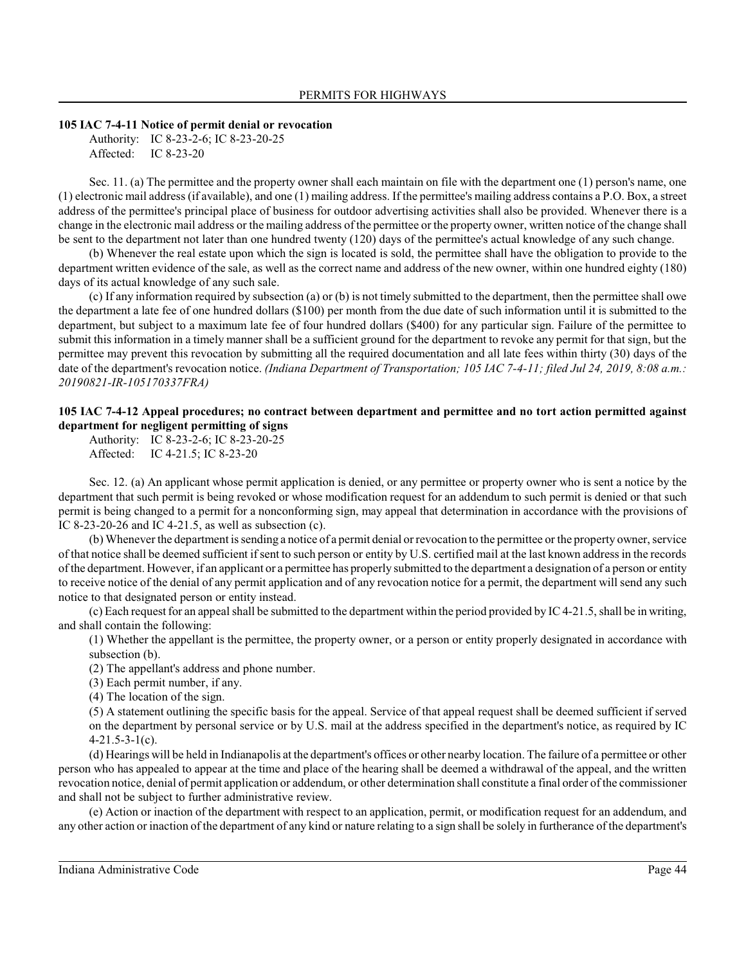#### **105 IAC 7-4-11 Notice of permit denial or revocation**

Authority: IC 8-23-2-6; IC 8-23-20-25 Affected: IC 8-23-20

Sec. 11. (a) The permittee and the property owner shall each maintain on file with the department one (1) person's name, one (1) electronic mail address (if available), and one (1) mailing address. If the permittee's mailing address contains a P.O. Box, a street address of the permittee's principal place of business for outdoor advertising activities shall also be provided. Whenever there is a change in the electronic mail address or the mailing address of the permittee or the property owner, written notice of the change shall be sent to the department not later than one hundred twenty (120) days of the permittee's actual knowledge of any such change.

(b) Whenever the real estate upon which the sign is located is sold, the permittee shall have the obligation to provide to the department written evidence of the sale, as well as the correct name and address of the new owner, within one hundred eighty (180) days of its actual knowledge of any such sale.

(c) If any information required by subsection (a) or (b) is not timely submitted to the department, then the permittee shall owe the department a late fee of one hundred dollars (\$100) per month from the due date of such information until it is submitted to the department, but subject to a maximum late fee of four hundred dollars (\$400) for any particular sign. Failure of the permittee to submit this information in a timely manner shall be a sufficient ground for the department to revoke any permit for that sign, but the permittee may prevent this revocation by submitting all the required documentation and all late fees within thirty (30) days of the date of the department's revocation notice. *(Indiana Department of Transportation; 105 IAC 7-4-11; filed Jul 24, 2019, 8:08 a.m.: 20190821-IR-105170337FRA)*

#### **105 IAC 7-4-12 Appeal procedures; no contract between department and permittee and no tort action permitted against department for negligent permitting of signs**

Authority: IC 8-23-2-6; IC 8-23-20-25 Affected: IC 4-21.5; IC 8-23-20

Sec. 12. (a) An applicant whose permit application is denied, or any permittee or property owner who is sent a notice by the department that such permit is being revoked or whose modification request for an addendum to such permit is denied or that such permit is being changed to a permit for a nonconforming sign, may appeal that determination in accordance with the provisions of IC 8-23-20-26 and IC 4-21.5, as well as subsection (c).

(b) Whenever the department is sending a notice of a permit denial or revocation to the permittee or the property owner, service of that notice shall be deemed sufficient if sent to such person or entity by U.S. certified mail at the last known address in the records of the department. However, if an applicant or a permittee has properly submitted to the department a designation of a person or entity to receive notice of the denial of any permit application and of any revocation notice for a permit, the department will send any such notice to that designated person or entity instead.

(c) Each request for an appeal shall be submitted to the department within the period provided by IC 4-21.5, shall be in writing, and shall contain the following:

(1) Whether the appellant is the permittee, the property owner, or a person or entity properly designated in accordance with subsection (b).

(2) The appellant's address and phone number.

(3) Each permit number, if any.

(4) The location of the sign.

(5) A statement outlining the specific basis for the appeal. Service of that appeal request shall be deemed sufficient if served on the department by personal service or by U.S. mail at the address specified in the department's notice, as required by IC 4-21.5-3-1(c).

(d) Hearings will be held in Indianapolis at the department's offices or other nearby location. The failure of a permittee or other person who has appealed to appear at the time and place of the hearing shall be deemed a withdrawal of the appeal, and the written revocation notice, denial of permit application or addendum, or other determination shall constitute a final order of the commissioner and shall not be subject to further administrative review.

(e) Action or inaction of the department with respect to an application, permit, or modification request for an addendum, and any other action or inaction of the department of any kind or nature relating to a sign shall be solely in furtherance of the department's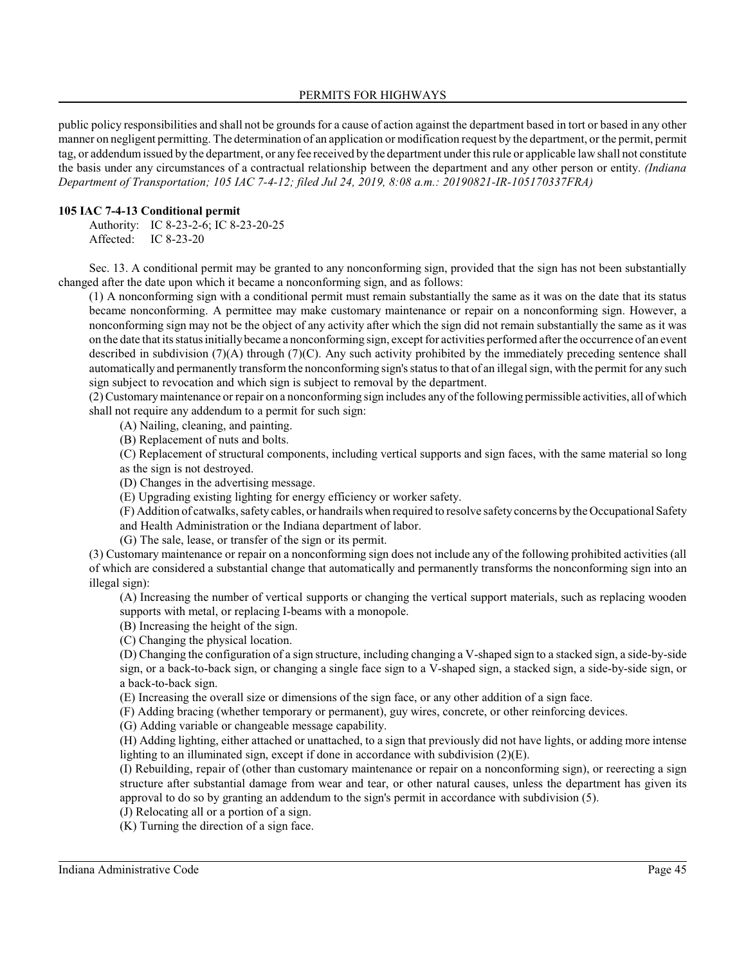public policy responsibilities and shall not be grounds for a cause of action against the department based in tort or based in any other manner on negligent permitting. The determination of an application or modification request by the department, or the permit, permit tag, or addendumissued by the department, or any fee received by the department under thisrule or applicable law shall not constitute the basis under any circumstances of a contractual relationship between the department and any other person or entity. *(Indiana Department of Transportation; 105 IAC 7-4-12; filed Jul 24, 2019, 8:08 a.m.: 20190821-IR-105170337FRA)*

#### **105 IAC 7-4-13 Conditional permit**

Authority: IC 8-23-2-6; IC 8-23-20-25 Affected: IC 8-23-20

Sec. 13. A conditional permit may be granted to any nonconforming sign, provided that the sign has not been substantially changed after the date upon which it became a nonconforming sign, and as follows:

(1) A nonconforming sign with a conditional permit must remain substantially the same as it was on the date that its status became nonconforming. A permittee may make customary maintenance or repair on a nonconforming sign. However, a nonconforming sign may not be the object of any activity after which the sign did not remain substantially the same as it was on the date that its statusinitiallybecame a nonconforming sign, except for activities performed after the occurrence of an event described in subdivision  $(7)(A)$  through  $(7)(C)$ . Any such activity prohibited by the immediately preceding sentence shall automatically and permanently transform the nonconforming sign's statusto that of an illegal sign, with the permit for any such sign subject to revocation and which sign is subject to removal by the department.

(2) Customary maintenance or repair on a nonconforming sign includes any of the following permissible activities, all of which shall not require any addendum to a permit for such sign:

(A) Nailing, cleaning, and painting.

(B) Replacement of nuts and bolts.

(C) Replacement of structural components, including vertical supports and sign faces, with the same material so long as the sign is not destroyed.

(D) Changes in the advertising message.

(E) Upgrading existing lighting for energy efficiency or worker safety.

(F) Addition of catwalks, safety cables, or handrails when required to resolve safety concerns by the Occupational Safety

and Health Administration or the Indiana department of labor.

(G) The sale, lease, or transfer of the sign or its permit.

(3) Customary maintenance or repair on a nonconforming sign does not include any of the following prohibited activities (all of which are considered a substantial change that automatically and permanently transforms the nonconforming sign into an illegal sign):

(A) Increasing the number of vertical supports or changing the vertical support materials, such as replacing wooden supports with metal, or replacing I-beams with a monopole.

(B) Increasing the height of the sign.

(C) Changing the physical location.

(D) Changing the configuration of a sign structure, including changing a V-shaped sign to a stacked sign, a side-by-side sign, or a back-to-back sign, or changing a single face sign to a V-shaped sign, a stacked sign, a side-by-side sign, or a back-to-back sign.

(E) Increasing the overall size or dimensions of the sign face, or any other addition of a sign face.

(F) Adding bracing (whether temporary or permanent), guy wires, concrete, or other reinforcing devices.

(G) Adding variable or changeable message capability.

(H) Adding lighting, either attached or unattached, to a sign that previously did not have lights, or adding more intense lighting to an illuminated sign, except if done in accordance with subdivision (2)(E).

(I) Rebuilding, repair of (other than customary maintenance or repair on a nonconforming sign), or reerecting a sign structure after substantial damage from wear and tear, or other natural causes, unless the department has given its approval to do so by granting an addendum to the sign's permit in accordance with subdivision (5).

(J) Relocating all or a portion of a sign.

(K) Turning the direction of a sign face.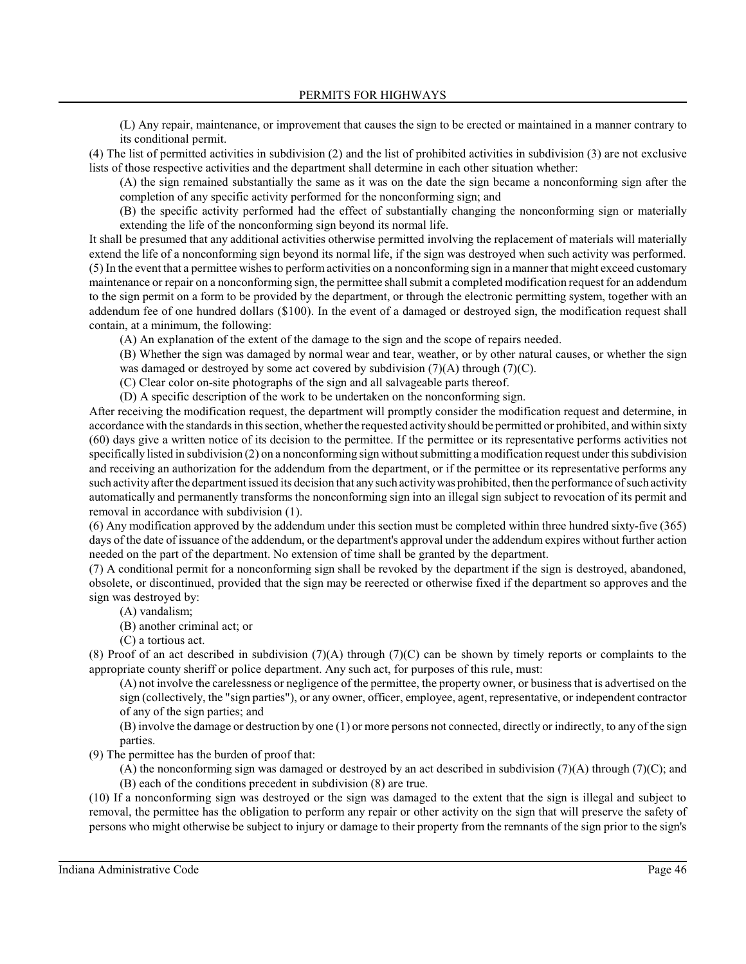(L) Any repair, maintenance, or improvement that causes the sign to be erected or maintained in a manner contrary to its conditional permit.

(4) The list of permitted activities in subdivision (2) and the list of prohibited activities in subdivision (3) are not exclusive lists of those respective activities and the department shall determine in each other situation whether:

(A) the sign remained substantially the same as it was on the date the sign became a nonconforming sign after the completion of any specific activity performed for the nonconforming sign; and

(B) the specific activity performed had the effect of substantially changing the nonconforming sign or materially extending the life of the nonconforming sign beyond its normal life.

It shall be presumed that any additional activities otherwise permitted involving the replacement of materials will materially extend the life of a nonconforming sign beyond its normal life, if the sign was destroyed when such activity was performed. (5) In the event that a permittee wishes to perform activities on a nonconforming sign in a manner that might exceed customary maintenance or repair on a nonconforming sign, the permittee shall submit a completed modification request for an addendum to the sign permit on a form to be provided by the department, or through the electronic permitting system, together with an addendum fee of one hundred dollars (\$100). In the event of a damaged or destroyed sign, the modification request shall contain, at a minimum, the following:

(A) An explanation of the extent of the damage to the sign and the scope of repairs needed.

(B) Whether the sign was damaged by normal wear and tear, weather, or by other natural causes, or whether the sign was damaged or destroyed by some act covered by subdivision (7)(A) through (7)(C).

(C) Clear color on-site photographs of the sign and all salvageable parts thereof.

(D) A specific description of the work to be undertaken on the nonconforming sign.

After receiving the modification request, the department will promptly consider the modification request and determine, in accordance with the standards in thissection, whether the requested activity should be permitted or prohibited, and within sixty (60) days give a written notice of its decision to the permittee. If the permittee or its representative performs activities not specifically listed in subdivision (2) on a nonconforming sign without submitting a modification request under this subdivision and receiving an authorization for the addendum from the department, or if the permittee or its representative performs any such activity after the department issued its decision that any such activity was prohibited, then the performance of such activity automatically and permanently transforms the nonconforming sign into an illegal sign subject to revocation of its permit and removal in accordance with subdivision (1).

(6) Any modification approved by the addendum under this section must be completed within three hundred sixty-five (365) days of the date of issuance of the addendum, or the department's approval under the addendum expires without further action needed on the part of the department. No extension of time shall be granted by the department.

(7) A conditional permit for a nonconforming sign shall be revoked by the department if the sign is destroyed, abandoned, obsolete, or discontinued, provided that the sign may be reerected or otherwise fixed if the department so approves and the sign was destroyed by:

(A) vandalism;

(B) another criminal act; or

(C) a tortious act.

(8) Proof of an act described in subdivision  $(7)(A)$  through  $(7)(C)$  can be shown by timely reports or complaints to the appropriate county sheriff or police department. Any such act, for purposes of this rule, must:

(A) not involve the carelessness or negligence of the permittee, the property owner, or business that is advertised on the sign (collectively, the "sign parties"), or any owner, officer, employee, agent, representative, or independent contractor of any of the sign parties; and

(B) involve the damage or destruction by one (1) or more persons not connected, directly or indirectly, to any of the sign parties.

(9) The permittee has the burden of proof that:

(A) the nonconforming sign was damaged or destroyed by an act described in subdivision (7)(A) through (7)(C); and (B) each of the conditions precedent in subdivision (8) are true.

(10) If a nonconforming sign was destroyed or the sign was damaged to the extent that the sign is illegal and subject to removal, the permittee has the obligation to perform any repair or other activity on the sign that will preserve the safety of persons who might otherwise be subject to injury or damage to their property from the remnants of the sign prior to the sign's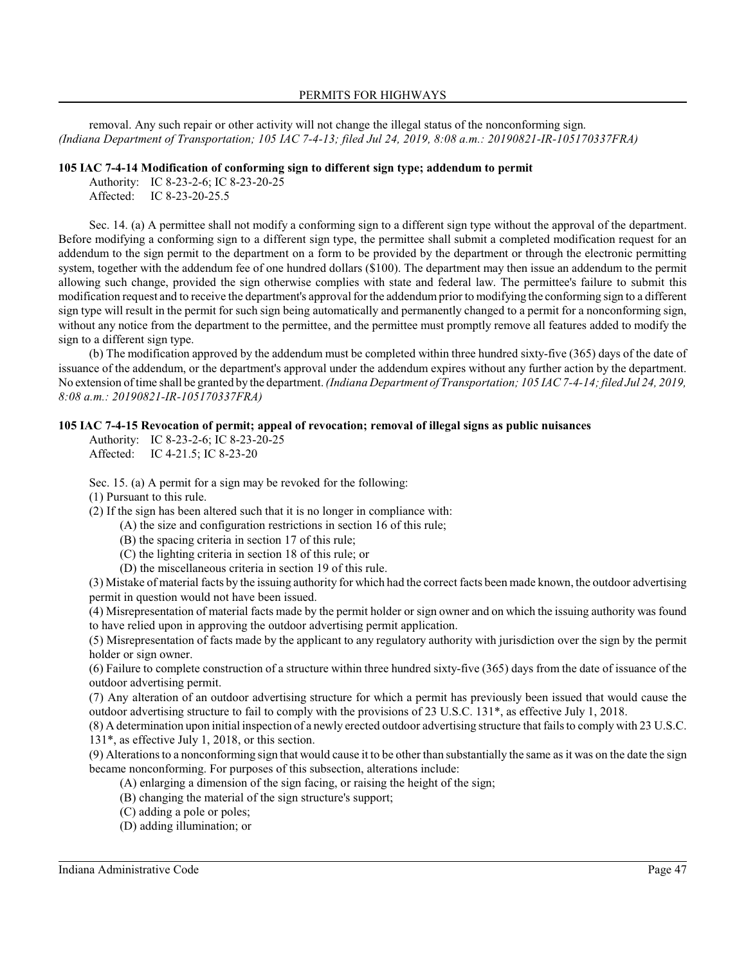removal. Any such repair or other activity will not change the illegal status of the nonconforming sign. *(Indiana Department of Transportation; 105 IAC 7-4-13; filed Jul 24, 2019, 8:08 a.m.: 20190821-IR-105170337FRA)*

# **105 IAC 7-4-14 Modification of conforming sign to different sign type; addendum to permit**

Authority: IC 8-23-2-6; IC 8-23-20-25 Affected: IC 8-23-20-25.5

Sec. 14. (a) A permittee shall not modify a conforming sign to a different sign type without the approval of the department. Before modifying a conforming sign to a different sign type, the permittee shall submit a completed modification request for an addendum to the sign permit to the department on a form to be provided by the department or through the electronic permitting system, together with the addendum fee of one hundred dollars (\$100). The department may then issue an addendum to the permit allowing such change, provided the sign otherwise complies with state and federal law. The permittee's failure to submit this modification request and to receive the department's approval for the addendumprior to modifying the conforming sign to a different sign type will result in the permit for such sign being automatically and permanently changed to a permit for a nonconforming sign, without any notice from the department to the permittee, and the permittee must promptly remove all features added to modify the sign to a different sign type.

(b) The modification approved by the addendum must be completed within three hundred sixty-five (365) days of the date of issuance of the addendum, or the department's approval under the addendum expires without any further action by the department. No extension of time shall be granted by the department. *(Indiana Department of Transportation; 105 IAC 7-4-14; filed Jul 24, 2019, 8:08 a.m.: 20190821-IR-105170337FRA)*

# **105 IAC 7-4-15 Revocation of permit; appeal of revocation; removal of illegal signs as public nuisances**

Authority: IC 8-23-2-6; IC 8-23-20-25 Affected: IC 4-21.5; IC 8-23-20

Sec. 15. (a) A permit for a sign may be revoked for the following:

(1) Pursuant to this rule.

(2) If the sign has been altered such that it is no longer in compliance with:

(A) the size and configuration restrictions in section 16 of this rule;

- (B) the spacing criteria in section 17 of this rule;
- (C) the lighting criteria in section 18 of this rule; or
- (D) the miscellaneous criteria in section 19 of this rule.

(3) Mistake of material facts by the issuing authority for which had the correct facts been made known, the outdoor advertising permit in question would not have been issued.

(4) Misrepresentation of material facts made by the permit holder or sign owner and on which the issuing authority was found to have relied upon in approving the outdoor advertising permit application.

(5) Misrepresentation of facts made by the applicant to any regulatory authority with jurisdiction over the sign by the permit holder or sign owner.

(6) Failure to complete construction of a structure within three hundred sixty-five (365) days from the date of issuance of the outdoor advertising permit.

(7) Any alteration of an outdoor advertising structure for which a permit has previously been issued that would cause the outdoor advertising structure to fail to comply with the provisions of 23 U.S.C. 131\*, as effective July 1, 2018.

(8) A determination upon initial inspection of a newly erected outdoor advertising structure that failsto comply with 23 U.S.C. 131\*, as effective July 1, 2018, or this section.

(9) Alterations to a nonconforming sign that would cause it to be other than substantially the same as it was on the date the sign became nonconforming. For purposes of this subsection, alterations include:

(A) enlarging a dimension of the sign facing, or raising the height of the sign;

- (B) changing the material of the sign structure's support;
- (C) adding a pole or poles;
- (D) adding illumination; or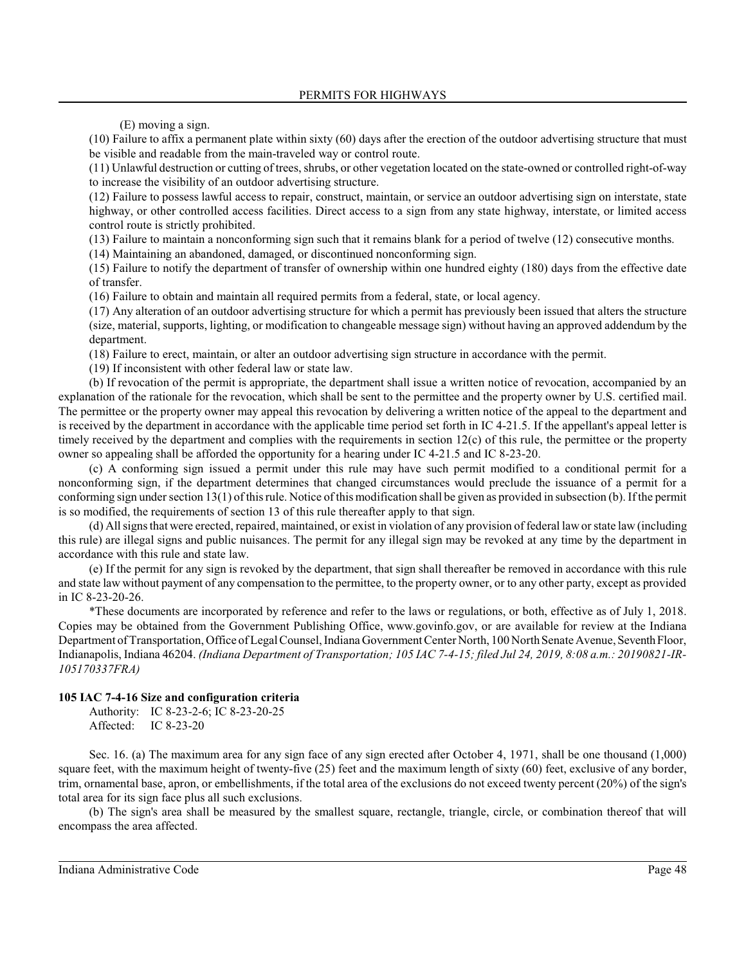(E) moving a sign.

(10) Failure to affix a permanent plate within sixty (60) days after the erection of the outdoor advertising structure that must be visible and readable from the main-traveled way or control route.

(11) Unlawful destruction or cutting of trees, shrubs, or other vegetation located on the state-owned or controlled right-of-way to increase the visibility of an outdoor advertising structure.

(12) Failure to possess lawful access to repair, construct, maintain, or service an outdoor advertising sign on interstate, state highway, or other controlled access facilities. Direct access to a sign from any state highway, interstate, or limited access control route is strictly prohibited.

(13) Failure to maintain a nonconforming sign such that it remains blank for a period of twelve (12) consecutive months.

(14) Maintaining an abandoned, damaged, or discontinued nonconforming sign.

(15) Failure to notify the department of transfer of ownership within one hundred eighty (180) days from the effective date of transfer.

(16) Failure to obtain and maintain all required permits from a federal, state, or local agency.

(17) Any alteration of an outdoor advertising structure for which a permit has previously been issued that alters the structure (size, material, supports, lighting, or modification to changeable message sign) without having an approved addendum by the department.

(18) Failure to erect, maintain, or alter an outdoor advertising sign structure in accordance with the permit.

(19) If inconsistent with other federal law or state law.

(b) If revocation of the permit is appropriate, the department shall issue a written notice of revocation, accompanied by an explanation of the rationale for the revocation, which shall be sent to the permittee and the property owner by U.S. certified mail. The permittee or the property owner may appeal this revocation by delivering a written notice of the appeal to the department and is received by the department in accordance with the applicable time period set forth in IC 4-21.5. If the appellant's appeal letter is timely received by the department and complies with the requirements in section 12(c) of this rule, the permittee or the property owner so appealing shall be afforded the opportunity for a hearing under IC 4-21.5 and IC 8-23-20.

(c) A conforming sign issued a permit under this rule may have such permit modified to a conditional permit for a nonconforming sign, if the department determines that changed circumstances would preclude the issuance of a permit for a conforming sign under section 13(1) of this rule. Notice of this modification shall be given as provided in subsection (b). If the permit is so modified, the requirements of section 13 of this rule thereafter apply to that sign.

(d) All signs that were erected, repaired, maintained, or exist in violation of any provision of federal law orstate law (including this rule) are illegal signs and public nuisances. The permit for any illegal sign may be revoked at any time by the department in accordance with this rule and state law.

(e) If the permit for any sign is revoked by the department, that sign shall thereafter be removed in accordance with this rule and state law without payment of any compensation to the permittee, to the property owner, or to any other party, except as provided in IC 8-23-20-26.

\*These documents are incorporated by reference and refer to the laws or regulations, or both, effective as of July 1, 2018. Copies may be obtained from the Government Publishing Office, www.govinfo.gov, or are available for review at the Indiana Department of Transportation, Office of Legal Counsel, Indiana Government Center North, 100 North Senate Avenue, Seventh Floor, Indianapolis, Indiana 46204. *(Indiana Department of Transportation; 105 IAC 7-4-15; filed Jul 24, 2019, 8:08 a.m.: 20190821-IR-105170337FRA)*

#### **105 IAC 7-4-16 Size and configuration criteria**

Authority: IC 8-23-2-6; IC 8-23-20-25 Affected: IC 8-23-20

Sec. 16. (a) The maximum area for any sign face of any sign erected after October 4, 1971, shall be one thousand (1,000) square feet, with the maximum height of twenty-five (25) feet and the maximum length of sixty (60) feet, exclusive of any border, trim, ornamental base, apron, or embellishments, if the total area of the exclusions do not exceed twenty percent (20%) of the sign's total area for its sign face plus all such exclusions.

(b) The sign's area shall be measured by the smallest square, rectangle, triangle, circle, or combination thereof that will encompass the area affected.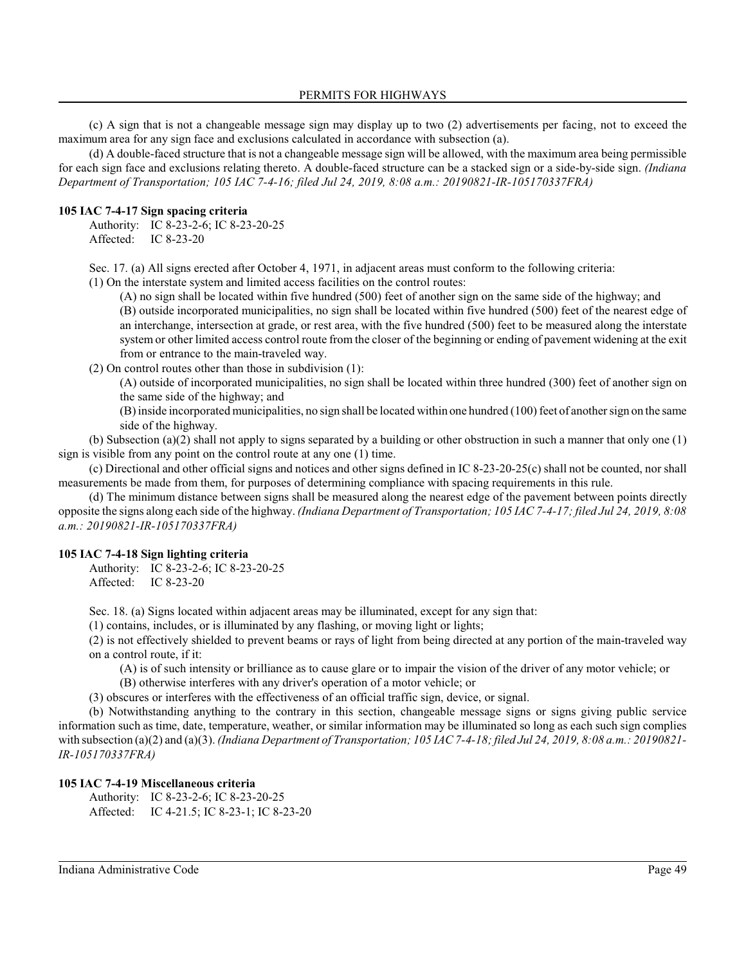(c) A sign that is not a changeable message sign may display up to two (2) advertisements per facing, not to exceed the maximum area for any sign face and exclusions calculated in accordance with subsection (a).

(d) A double-faced structure that is not a changeable message sign will be allowed, with the maximum area being permissible for each sign face and exclusions relating thereto. A double-faced structure can be a stacked sign or a side-by-side sign. *(Indiana Department of Transportation; 105 IAC 7-4-16; filed Jul 24, 2019, 8:08 a.m.: 20190821-IR-105170337FRA)*

#### **105 IAC 7-4-17 Sign spacing criteria**

Authority: IC 8-23-2-6; IC 8-23-20-25

Affected: IC 8-23-20

Sec. 17. (a) All signs erected after October 4, 1971, in adjacent areas must conform to the following criteria:

(1) On the interstate system and limited access facilities on the control routes:

(A) no sign shall be located within five hundred (500) feet of another sign on the same side of the highway; and

(B) outside incorporated municipalities, no sign shall be located within five hundred (500) feet of the nearest edge of an interchange, intersection at grade, or rest area, with the five hundred (500) feet to be measured along the interstate system or other limited access control route from the closer of the beginning or ending of pavement widening at the exit from or entrance to the main-traveled way.

(2) On control routes other than those in subdivision (1):

(A) outside of incorporated municipalities, no sign shall be located within three hundred (300) feet of another sign on the same side of the highway; and

(B) inside incorporated municipalities, no sign shall be located within one hundred (100) feet of another sign on the same side of the highway.

(b) Subsection (a)(2) shall not apply to signs separated by a building or other obstruction in such a manner that only one (1) sign is visible from any point on the control route at any one (1) time.

(c) Directional and other official signs and notices and other signs defined in IC 8-23-20-25(c) shall not be counted, nor shall measurements be made from them, for purposes of determining compliance with spacing requirements in this rule.

(d) The minimum distance between signs shall be measured along the nearest edge of the pavement between points directly opposite the signs along each side of the highway. *(Indiana Department of Transportation; 105 IAC 7-4-17; filed Jul 24, 2019, 8:08 a.m.: 20190821-IR-105170337FRA)*

## **105 IAC 7-4-18 Sign lighting criteria**

Authority: IC 8-23-2-6; IC 8-23-20-25 Affected: IC 8-23-20

Sec. 18. (a) Signs located within adjacent areas may be illuminated, except for any sign that:

(1) contains, includes, or is illuminated by any flashing, or moving light or lights;

(2) is not effectively shielded to prevent beams or rays of light from being directed at any portion of the main-traveled way on a control route, if it:

(A) is of such intensity or brilliance as to cause glare or to impair the vision of the driver of any motor vehicle; or

(B) otherwise interferes with any driver's operation of a motor vehicle; or

(3) obscures or interferes with the effectiveness of an official traffic sign, device, or signal.

(b) Notwithstanding anything to the contrary in this section, changeable message signs or signs giving public service information such as time, date, temperature, weather, or similar information may be illuminated so long as each such sign complies with subsection (a)(2) and (a)(3). *(Indiana Department of Transportation; 105 IAC 7-4-18; filed Jul 24, 2019, 8:08 a.m.: 20190821- IR-105170337FRA)*

## **105 IAC 7-4-19 Miscellaneous criteria**

Authority: IC 8-23-2-6; IC 8-23-20-25 Affected: IC 4-21.5; IC 8-23-1; IC 8-23-20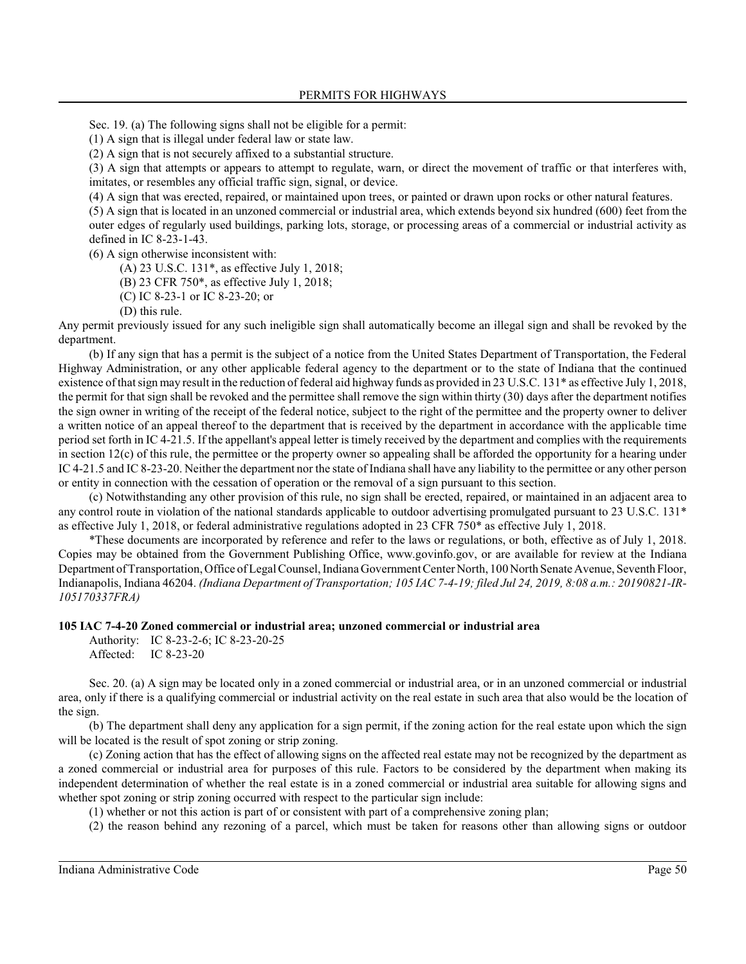Sec. 19. (a) The following signs shall not be eligible for a permit:

(1) A sign that is illegal under federal law or state law.

(2) A sign that is not securely affixed to a substantial structure.

(3) A sign that attempts or appears to attempt to regulate, warn, or direct the movement of traffic or that interferes with, imitates, or resembles any official traffic sign, signal, or device.

(4) A sign that was erected, repaired, or maintained upon trees, or painted or drawn upon rocks or other natural features.

(5) A sign that is located in an unzoned commercial or industrial area, which extends beyond six hundred (600) feet from the outer edges of regularly used buildings, parking lots, storage, or processing areas of a commercial or industrial activity as defined in IC 8-23-1-43.

(6) A sign otherwise inconsistent with:

(A) 23 U.S.C. 131\*, as effective July 1, 2018;

(B) 23 CFR 750\*, as effective July 1, 2018;

(C) IC 8-23-1 or IC 8-23-20; or

(D) this rule.

Any permit previously issued for any such ineligible sign shall automatically become an illegal sign and shall be revoked by the department.

(b) If any sign that has a permit is the subject of a notice from the United States Department of Transportation, the Federal Highway Administration, or any other applicable federal agency to the department or to the state of Indiana that the continued existence of that sign may result in the reduction of federal aid highway funds as provided in 23 U.S.C. 131\* as effective July 1, 2018, the permit for that sign shall be revoked and the permittee shall remove the sign within thirty (30) days after the department notifies the sign owner in writing of the receipt of the federal notice, subject to the right of the permittee and the property owner to deliver a written notice of an appeal thereof to the department that is received by the department in accordance with the applicable time period set forth in IC 4-21.5. If the appellant's appeal letter is timely received by the department and complies with the requirements in section 12(c) of this rule, the permittee or the property owner so appealing shall be afforded the opportunity for a hearing under IC 4-21.5 and IC 8-23-20. Neither the department nor the state of Indiana shall have any liability to the permittee or any other person or entity in connection with the cessation of operation or the removal of a sign pursuant to this section.

(c) Notwithstanding any other provision of this rule, no sign shall be erected, repaired, or maintained in an adjacent area to any control route in violation of the national standards applicable to outdoor advertising promulgated pursuant to 23 U.S.C. 131\* as effective July 1, 2018, or federal administrative regulations adopted in 23 CFR 750\* as effective July 1, 2018.

\*These documents are incorporated by reference and refer to the laws or regulations, or both, effective as of July 1, 2018. Copies may be obtained from the Government Publishing Office, www.govinfo.gov, or are available for review at the Indiana Department ofTransportation, Office of Legal Counsel, Indiana Government Center North, 100 North Senate Avenue, Seventh Floor, Indianapolis, Indiana 46204. *(Indiana Department of Transportation; 105 IAC 7-4-19; filed Jul 24, 2019, 8:08 a.m.: 20190821-IR-105170337FRA)*

## **105 IAC 7-4-20 Zoned commercial or industrial area; unzoned commercial or industrial area**

Authority: IC 8-23-2-6; IC 8-23-20-25 Affected: IC 8-23-20

Sec. 20. (a) A sign may be located only in a zoned commercial or industrial area, or in an unzoned commercial or industrial area, only if there is a qualifying commercial or industrial activity on the real estate in such area that also would be the location of the sign.

(b) The department shall deny any application for a sign permit, if the zoning action for the real estate upon which the sign will be located is the result of spot zoning or strip zoning.

(c) Zoning action that has the effect of allowing signs on the affected real estate may not be recognized by the department as a zoned commercial or industrial area for purposes of this rule. Factors to be considered by the department when making its independent determination of whether the real estate is in a zoned commercial or industrial area suitable for allowing signs and whether spot zoning or strip zoning occurred with respect to the particular sign include:

(1) whether or not this action is part of or consistent with part of a comprehensive zoning plan;

(2) the reason behind any rezoning of a parcel, which must be taken for reasons other than allowing signs or outdoor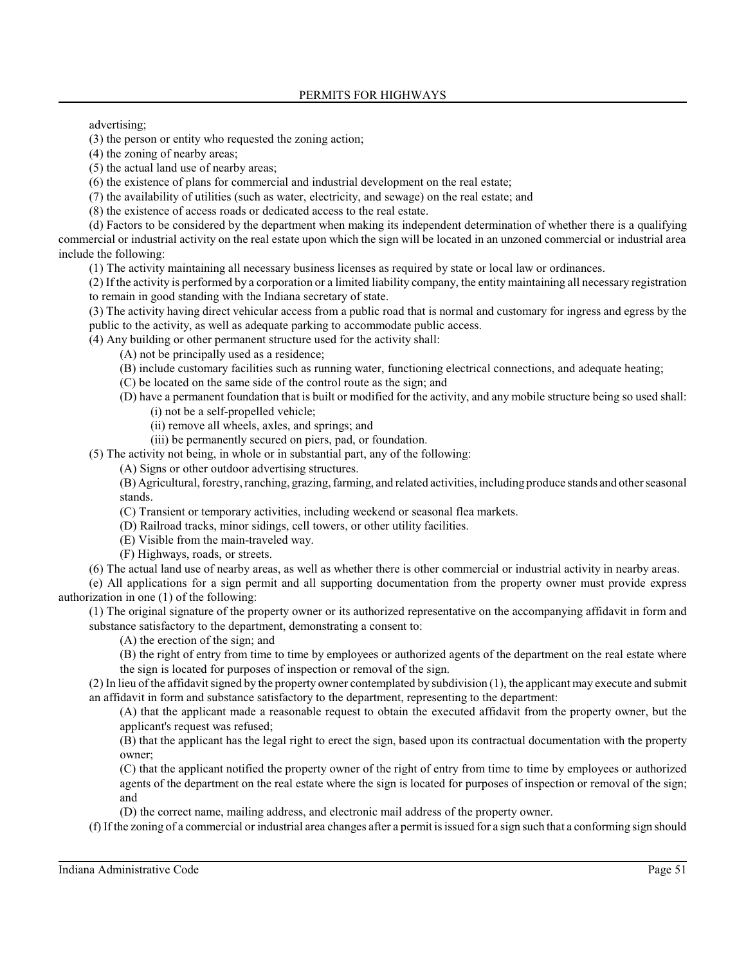advertising;

(3) the person or entity who requested the zoning action;

(4) the zoning of nearby areas;

(5) the actual land use of nearby areas;

(6) the existence of plans for commercial and industrial development on the real estate;

(7) the availability of utilities (such as water, electricity, and sewage) on the real estate; and

(8) the existence of access roads or dedicated access to the real estate.

(d) Factors to be considered by the department when making its independent determination of whether there is a qualifying commercial or industrial activity on the real estate upon which the sign will be located in an unzoned commercial or industrial area include the following:

(1) The activity maintaining all necessary business licenses as required by state or local law or ordinances.

(2) If the activity is performed by a corporation or a limited liability company, the entity maintaining all necessary registration to remain in good standing with the Indiana secretary of state.

(3) The activity having direct vehicular access from a public road that is normal and customary for ingress and egress by the public to the activity, as well as adequate parking to accommodate public access.

(4) Any building or other permanent structure used for the activity shall:

(A) not be principally used as a residence;

(B) include customary facilities such as running water, functioning electrical connections, and adequate heating;

(C) be located on the same side of the control route as the sign; and

- (D) have a permanent foundation that is built or modified for the activity, and any mobile structure being so used shall:
	- (i) not be a self-propelled vehicle;
	- (ii) remove all wheels, axles, and springs; and

(iii) be permanently secured on piers, pad, or foundation.

(5) The activity not being, in whole or in substantial part, any of the following:

(A) Signs or other outdoor advertising structures.

(B) Agricultural, forestry, ranching, grazing, farming, and related activities, including produce stands and other seasonal stands.

(C) Transient or temporary activities, including weekend or seasonal flea markets.

(D) Railroad tracks, minor sidings, cell towers, or other utility facilities.

(E) Visible from the main-traveled way.

(F) Highways, roads, or streets.

(6) The actual land use of nearby areas, as well as whether there is other commercial or industrial activity in nearby areas.

(e) All applications for a sign permit and all supporting documentation from the property owner must provide express authorization in one (1) of the following:

(1) The original signature of the property owner or its authorized representative on the accompanying affidavit in form and substance satisfactory to the department, demonstrating a consent to:

(A) the erection of the sign; and

(B) the right of entry from time to time by employees or authorized agents of the department on the real estate where the sign is located for purposes of inspection or removal of the sign.

(2) In lieu of the affidavit signed by the property owner contemplated by subdivision (1), the applicant may execute and submit an affidavit in form and substance satisfactory to the department, representing to the department:

(A) that the applicant made a reasonable request to obtain the executed affidavit from the property owner, but the applicant's request was refused;

(B) that the applicant has the legal right to erect the sign, based upon its contractual documentation with the property owner;

(C) that the applicant notified the property owner of the right of entry from time to time by employees or authorized agents of the department on the real estate where the sign is located for purposes of inspection or removal of the sign; and

(D) the correct name, mailing address, and electronic mail address of the property owner.

(f) If the zoning of a commercial or industrial area changes after a permit is issued for a sign such that a conforming sign should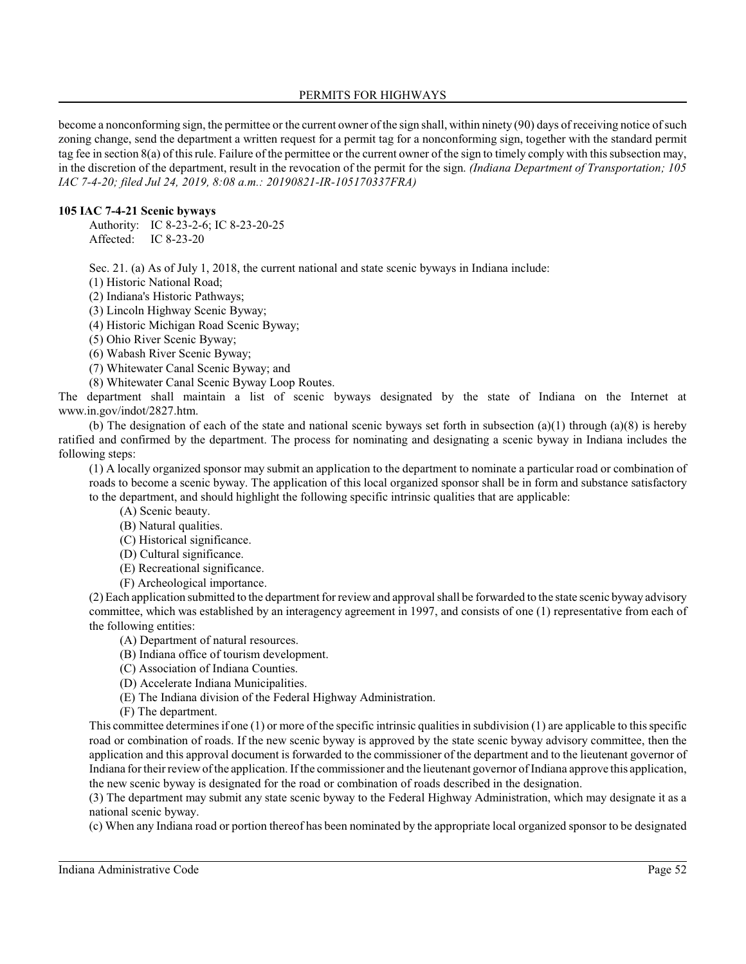become a nonconforming sign, the permittee or the current owner of the sign shall, within ninety (90) days of receiving notice of such zoning change, send the department a written request for a permit tag for a nonconforming sign, together with the standard permit tag fee in section 8(a) of thisrule. Failure of the permittee or the current owner of the sign to timely comply with thissubsection may, in the discretion of the department, result in the revocation of the permit for the sign. *(Indiana Department of Transportation; 105 IAC 7-4-20; filed Jul 24, 2019, 8:08 a.m.: 20190821-IR-105170337FRA)*

#### **105 IAC 7-4-21 Scenic byways**

Authority: IC 8-23-2-6; IC 8-23-20-25 Affected: IC 8-23-20

Sec. 21. (a) As of July 1, 2018, the current national and state scenic byways in Indiana include:

(1) Historic National Road;

(2) Indiana's Historic Pathways;

(3) Lincoln Highway Scenic Byway;

(4) Historic Michigan Road Scenic Byway;

(5) Ohio River Scenic Byway;

(6) Wabash River Scenic Byway;

(7) Whitewater Canal Scenic Byway; and

(8) Whitewater Canal Scenic Byway Loop Routes.

The department shall maintain a list of scenic byways designated by the state of Indiana on the Internet at www.in.gov/indot/2827.htm.

(b) The designation of each of the state and national scenic byways set forth in subsection (a)(1) through (a)(8) is hereby ratified and confirmed by the department. The process for nominating and designating a scenic byway in Indiana includes the following steps:

(1) A locally organized sponsor may submit an application to the department to nominate a particular road or combination of roads to become a scenic byway. The application of this local organized sponsor shall be in form and substance satisfactory to the department, and should highlight the following specific intrinsic qualities that are applicable:

(A) Scenic beauty.

- (B) Natural qualities.
- (C) Historical significance.
- (D) Cultural significance.
- (E) Recreational significance.
- (F) Archeological importance.

(2) Each application submitted to the department for review and approval shall be forwarded to the state scenic byway advisory committee, which was established by an interagency agreement in 1997, and consists of one (1) representative from each of the following entities:

- (A) Department of natural resources.
- (B) Indiana office of tourism development.
- (C) Association of Indiana Counties.
- (D) Accelerate Indiana Municipalities.
- (E) The Indiana division of the Federal Highway Administration.
- (F) The department.

This committee determines if one (1) or more of the specific intrinsic qualities in subdivision (1) are applicable to thisspecific road or combination of roads. If the new scenic byway is approved by the state scenic byway advisory committee, then the application and this approval document is forwarded to the commissioner of the department and to the lieutenant governor of Indiana for their reviewof the application. If the commissioner and the lieutenant governor of Indiana approve this application, the new scenic byway is designated for the road or combination of roads described in the designation.

(3) The department may submit any state scenic byway to the Federal Highway Administration, which may designate it as a national scenic byway.

(c) When any Indiana road or portion thereof has been nominated by the appropriate local organized sponsor to be designated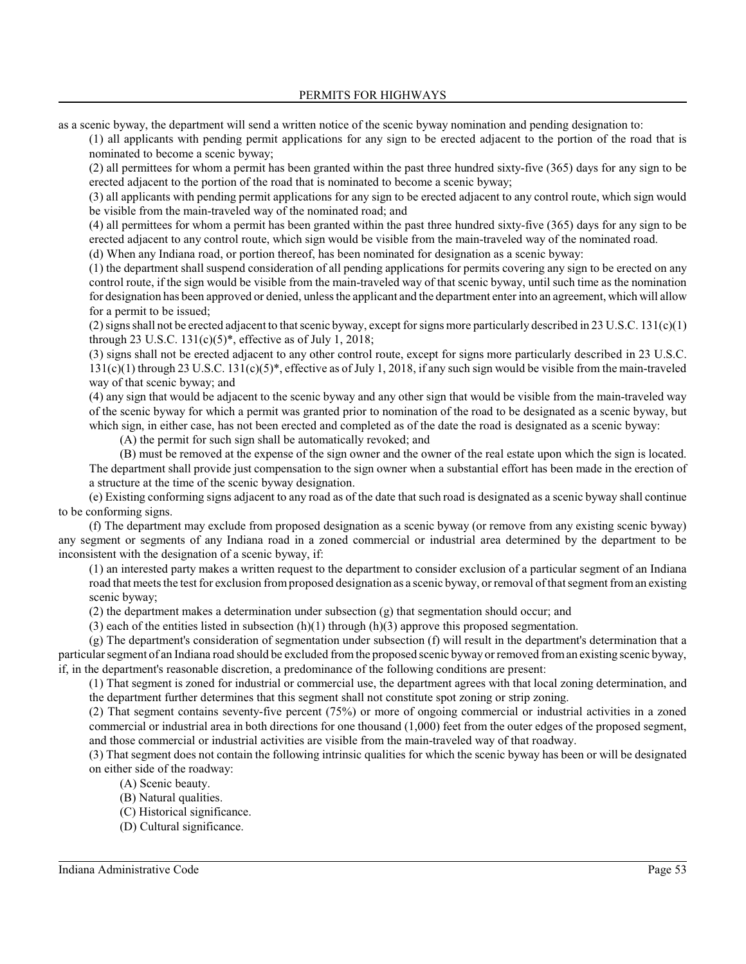as a scenic byway, the department will send a written notice of the scenic byway nomination and pending designation to:

(1) all applicants with pending permit applications for any sign to be erected adjacent to the portion of the road that is nominated to become a scenic byway;

(2) all permittees for whom a permit has been granted within the past three hundred sixty-five (365) days for any sign to be erected adjacent to the portion of the road that is nominated to become a scenic byway;

(3) all applicants with pending permit applications for any sign to be erected adjacent to any control route, which sign would be visible from the main-traveled way of the nominated road; and

(4) all permittees for whom a permit has been granted within the past three hundred sixty-five (365) days for any sign to be erected adjacent to any control route, which sign would be visible from the main-traveled way of the nominated road.

(d) When any Indiana road, or portion thereof, has been nominated for designation as a scenic byway:

(1) the department shall suspend consideration of all pending applications for permits covering any sign to be erected on any control route, if the sign would be visible from the main-traveled way of that scenic byway, until such time as the nomination for designation has been approved or denied, unless the applicant and the department enter into an agreement, which will allow for a permit to be issued;

(2) signs shall not be erected adjacent to that scenic byway, except for signs more particularly described in 23 U.S.C. 131(c)(1) through 23 U.S.C.  $131(c)(5)$ <sup>\*</sup>, effective as of July 1, 2018;

(3) signs shall not be erected adjacent to any other control route, except for signs more particularly described in 23 U.S.C.  $131(c)(1)$  through 23 U.S.C.  $131(c)(5)^*$ , effective as of July 1, 2018, if any such sign would be visible from the main-traveled way of that scenic byway; and

(4) any sign that would be adjacent to the scenic byway and any other sign that would be visible from the main-traveled way of the scenic byway for which a permit was granted prior to nomination of the road to be designated as a scenic byway, but which sign, in either case, has not been erected and completed as of the date the road is designated as a scenic byway:

(A) the permit for such sign shall be automatically revoked; and

(B) must be removed at the expense of the sign owner and the owner of the real estate upon which the sign is located. The department shall provide just compensation to the sign owner when a substantial effort has been made in the erection of a structure at the time of the scenic byway designation.

(e) Existing conforming signs adjacent to any road as of the date that such road is designated as a scenic byway shall continue to be conforming signs.

(f) The department may exclude from proposed designation as a scenic byway (or remove from any existing scenic byway) any segment or segments of any Indiana road in a zoned commercial or industrial area determined by the department to be inconsistent with the designation of a scenic byway, if:

(1) an interested party makes a written request to the department to consider exclusion of a particular segment of an Indiana road that meets the test for exclusion fromproposed designation as a scenic byway, or removal of that segment froman existing scenic byway;

(2) the department makes a determination under subsection (g) that segmentation should occur; and

(3) each of the entities listed in subsection  $(h)(1)$  through  $(h)(3)$  approve this proposed segmentation.

(g) The department's consideration of segmentation under subsection (f) will result in the department's determination that a particular segment of an Indiana road should be excluded fromthe proposed scenic byway or removed froman existing scenic byway, if, in the department's reasonable discretion, a predominance of the following conditions are present:

(1) That segment is zoned for industrial or commercial use, the department agrees with that local zoning determination, and the department further determines that this segment shall not constitute spot zoning or strip zoning.

(2) That segment contains seventy-five percent (75%) or more of ongoing commercial or industrial activities in a zoned commercial or industrial area in both directions for one thousand (1,000) feet from the outer edges of the proposed segment, and those commercial or industrial activities are visible from the main-traveled way of that roadway.

(3) That segment does not contain the following intrinsic qualities for which the scenic byway has been or will be designated on either side of the roadway:

- (A) Scenic beauty.
- (B) Natural qualities.
- (C) Historical significance.
- (D) Cultural significance.